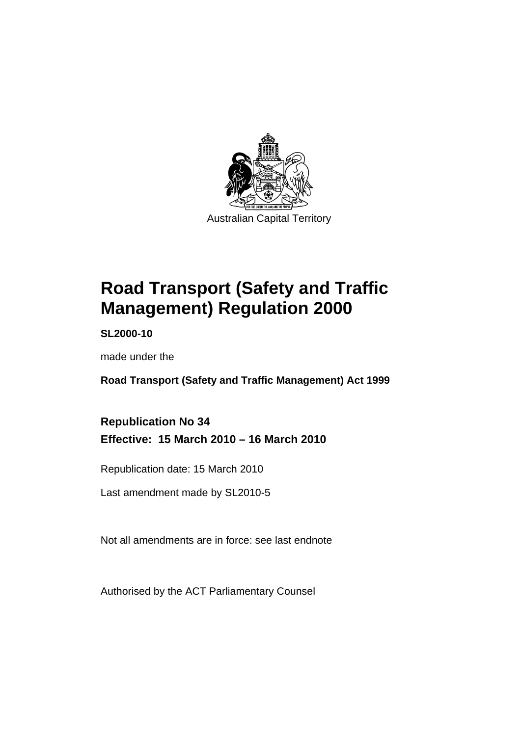

# **[Road Transport \(Safety and Traffic](#page-10-0)  [Management\) Regulation 2000](#page-10-0)**

**SL2000-10** 

made under the

**[Road Transport \(Safety and Traffic Management\) Act 1999](#page-10-0)** 

**Republication No 34 Effective: 15 March 2010 – 16 March 2010** 

Republication date: 15 March 2010

Last amendment made by SL2010-5

Not all amendments are in force: see last endnote

Authorised by the ACT Parliamentary Counsel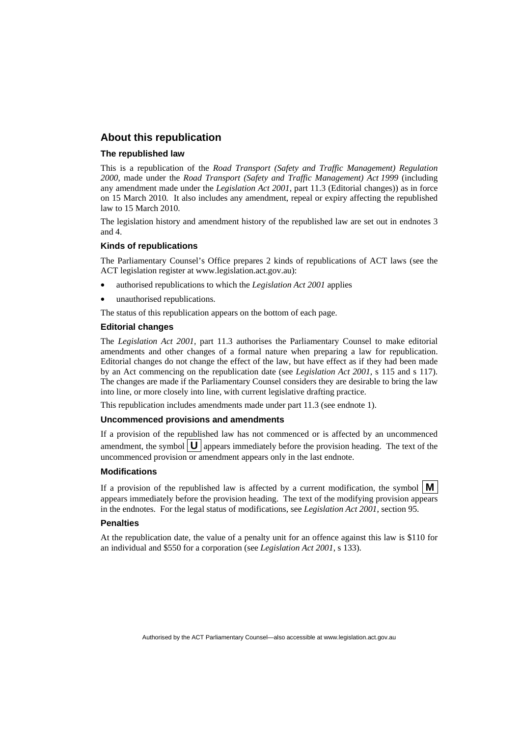#### **About this republication**

#### **The republished law**

This is a republication of the *Road Transport (Safety and Traffic Management) Regulation 2000*, made under the *[Road Transport \(Safety and Traffic Management\) Act 1999](#page-10-0)* (including any amendment made under the *Legislation Act 2001*, part 11.3 (Editorial changes)) as in force on 15 March 2010*.* It also includes any amendment, repeal or expiry affecting the republished law to 15 March 2010.

The legislation history and amendment history of the republished law are set out in endnotes 3 and 4.

#### **Kinds of republications**

The Parliamentary Counsel's Office prepares 2 kinds of republications of ACT laws (see the ACT legislation register at www.legislation.act.gov.au):

- authorised republications to which the *Legislation Act 2001* applies
- unauthorised republications.

The status of this republication appears on the bottom of each page.

#### **Editorial changes**

The *Legislation Act 2001*, part 11.3 authorises the Parliamentary Counsel to make editorial amendments and other changes of a formal nature when preparing a law for republication. Editorial changes do not change the effect of the law, but have effect as if they had been made by an Act commencing on the republication date (see *Legislation Act 2001*, s 115 and s 117). The changes are made if the Parliamentary Counsel considers they are desirable to bring the law into line, or more closely into line, with current legislative drafting practice.

This republication includes amendments made under part 11.3 (see endnote 1).

#### **Uncommenced provisions and amendments**

If a provision of the republished law has not commenced or is affected by an uncommenced amendment, the symbol  $\mathbf{U}$  appears immediately before the provision heading. The text of the uncommenced provision or amendment appears only in the last endnote.

#### **Modifications**

If a provision of the republished law is affected by a current modification, the symbol  $\vert \mathbf{M} \vert$ appears immediately before the provision heading. The text of the modifying provision appears in the endnotes. For the legal status of modifications, see *Legislation Act 2001*, section 95.

#### **Penalties**

At the republication date, the value of a penalty unit for an offence against this law is \$110 for an individual and \$550 for a corporation (see *Legislation Act 2001*, s 133).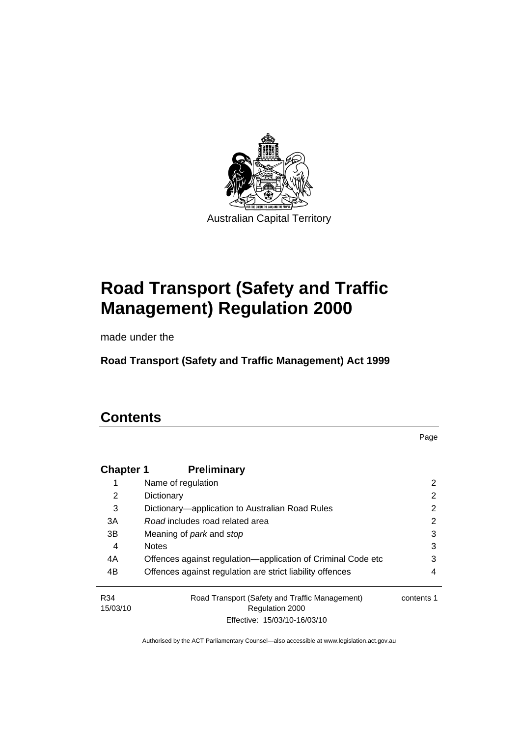

# **[Road Transport \(Safety and Traffic](#page-10-0)  [Management\) Regulation 2000](#page-10-0)**

made under the

**[Road Transport \(Safety and Traffic Management\) Act 1999](#page-10-0)** 

# **Contents**

Page

| <b>Chapter 1</b> | <b>Preliminary</b>                                           |            |
|------------------|--------------------------------------------------------------|------------|
| 1                | Name of regulation                                           | 2          |
| 2                | Dictionary                                                   | 2          |
| 3                | Dictionary—application to Australian Road Rules              | 2          |
| 3A               | Road includes road related area                              | 2          |
| 3B               | Meaning of <i>park</i> and <i>stop</i>                       | 3          |
| 4                | <b>Notes</b>                                                 | 3          |
| 4A               | Offences against regulation—application of Criminal Code etc | 3          |
| 4B               | Offences against regulation are strict liability offences    | 4          |
| R34              | Road Transport (Safety and Traffic Management)               | contents 1 |
| 15/03/10         | Regulation 2000                                              |            |
|                  | Effective: 15/03/10-16/03/10                                 |            |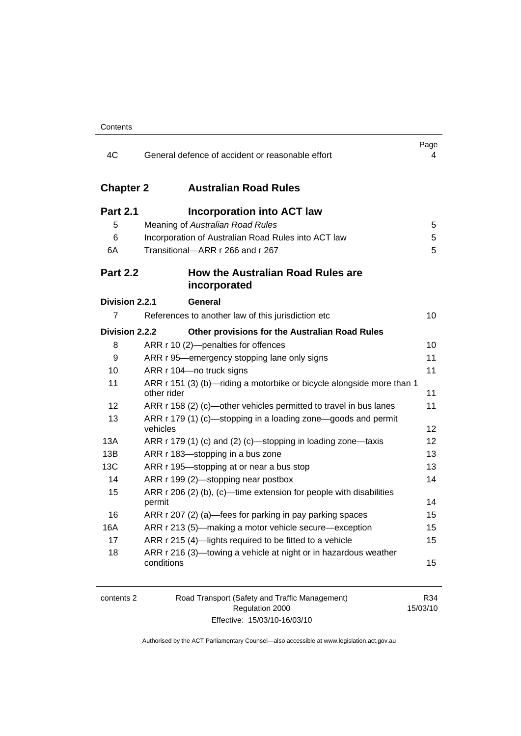| 4C               | General defence of accident or reasonable effort                                     | Page<br>4 |
|------------------|--------------------------------------------------------------------------------------|-----------|
| <b>Chapter 2</b> | <b>Australian Road Rules</b>                                                         |           |
| <b>Part 2.1</b>  | <b>Incorporation into ACT law</b>                                                    |           |
| 5                | Meaning of Australian Road Rules                                                     | 5         |
| 6                | Incorporation of Australian Road Rules into ACT law                                  | 5         |
| 6A               | Transitional-ARR r 266 and r 267                                                     | 5         |
| <b>Part 2.2</b>  | How the Australian Road Rules are<br>incorporated                                    |           |
| Division 2.2.1   | General                                                                              |           |
| 7                | References to another law of this jurisdiction etc                                   | 10        |
| Division 2.2.2   | Other provisions for the Australian Road Rules                                       |           |
| 8                | ARR r 10 (2)-penalties for offences                                                  | 10        |
| 9                | ARR r 95-emergency stopping lane only signs                                          | 11        |
| 10               | ARR r 104-no truck signs                                                             | 11        |
| 11               | ARR r 151 (3) (b)—riding a motorbike or bicycle alongside more than 1<br>other rider | 11        |
| 12               | ARR r 158 (2) (c)-other vehicles permitted to travel in bus lanes                    | 11        |
| 13               | ARR r 179 (1) (c)—stopping in a loading zone—goods and permit<br>vehicles            | 12        |
| 13A              | ARR r 179 (1) (c) and (2) (c)—stopping in loading zone—taxis                         | 12        |
| 13B              | ARR r 183—stopping in a bus zone                                                     | 13        |
| 13C              | ARR r 195-stopping at or near a bus stop                                             | 13        |
| 14               | ARR r 199 (2)-stopping near postbox                                                  | 14        |
| 15               | ARR r 206 (2) (b), (c)—time extension for people with disabilities<br>permit         | 14        |
| 16               | ARR r 207 (2) (a)-fees for parking in pay parking spaces                             | 15        |
| 16A              | ARR r 213 (5)—making a motor vehicle secure—exception                                | 15        |
| 17               | ARR r 215 (4)-lights required to be fitted to a vehicle                              | 15        |
| 18               | ARR r 216 (3)-towing a vehicle at night or in hazardous weather<br>conditions        | 15        |

| contents 2 |  |
|------------|--|
|            |  |

Road Transport (Safety and Traffic Management) Regulation 2000 Effective: 15/03/10-16/03/10

R34 15/03/10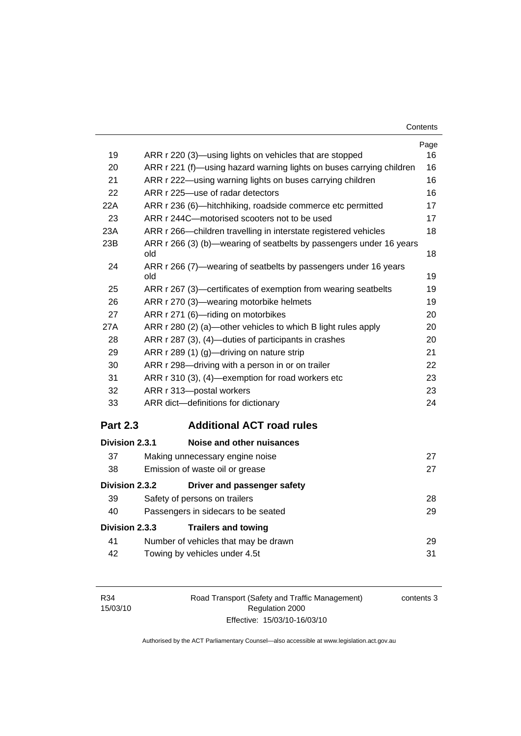| Contents |
|----------|
|----------|

| 19              | ARR r 220 (3)—using lights on vehicles that are stopped              | Page<br>16 |
|-----------------|----------------------------------------------------------------------|------------|
| 20              | ARR r 221 (f)—using hazard warning lights on buses carrying children | 16         |
| 21              | ARR r 222—using warning lights on buses carrying children            | 16         |
| 22              | ARR r 225-use of radar detectors                                     | 16         |
| 22A             | ARR r 236 (6)-hitchhiking, roadside commerce etc permitted           | 17         |
| 23              | ARR r 244C-motorised scooters not to be used                         | 17         |
| 23A             | ARR r 266-children travelling in interstate registered vehicles      | 18         |
| 23B             | ARR r 266 (3) (b)-wearing of seatbelts by passengers under 16 years  |            |
|                 | old                                                                  | 18         |
| 24              | ARR r 266 (7)—wearing of seatbelts by passengers under 16 years      |            |
|                 | old                                                                  | 19         |
| 25              | ARR r 267 (3)—certificates of exemption from wearing seatbelts       | 19         |
| 26              | ARR r 270 (3)-wearing motorbike helmets                              | 19         |
| 27              | ARR r 271 (6)-riding on motorbikes                                   | 20         |
| 27A             | ARR r 280 (2) (a)—other vehicles to which B light rules apply        | 20         |
| 28              | ARR r 287 (3), (4)—duties of participants in crashes                 | 20         |
| 29              | ARR r 289 (1) (g)-driving on nature strip                            | 21         |
| 30              | ARR r 298-driving with a person in or on trailer                     | 22         |
| 31              | ARR r 310 (3), (4)-exemption for road workers etc                    | 23         |
| 32              | ARR r 313-postal workers                                             | 23         |
| 33              | ARR dict-definitions for dictionary                                  | 24         |
| <b>Part 2.3</b> | <b>Additional ACT road rules</b>                                     |            |
| Division 2.3.1  | Noise and other nuisances                                            |            |
| 37              | Making unnecessary engine noise                                      | 27         |
| 38              | Emission of waste oil or grease                                      | 27         |
| Division 2.3.2  | Driver and passenger safety                                          |            |
| 39              | Safety of persons on trailers                                        | 28         |
| 40              | Passengers in sidecars to be seated                                  | 29         |
| Division 2.3.3  | <b>Trailers and towing</b>                                           |            |
| 41              | Number of vehicles that may be drawn                                 | 29         |
|                 |                                                                      |            |

|     | Number of vehicles that may be drawn |  |
|-----|--------------------------------------|--|
| -42 | Towing by vehicles under 4.5t        |  |

contents 3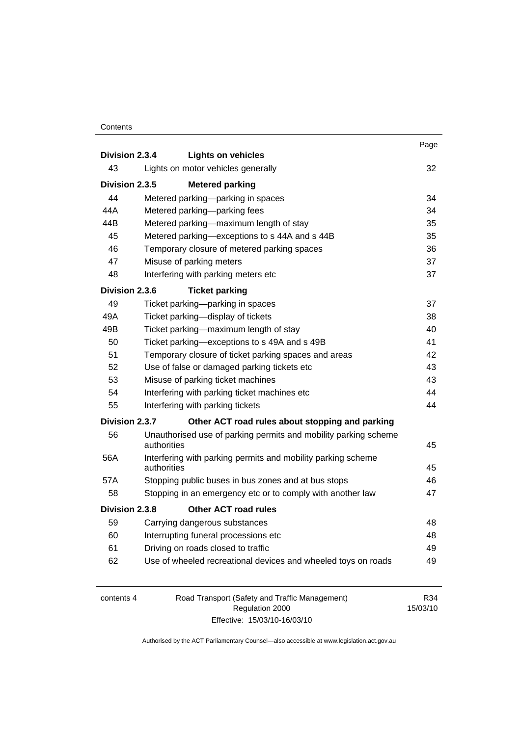#### **Contents**

| Division 2.3.4 |             | <b>Lights on vehicles</b>                                       | Page |
|----------------|-------------|-----------------------------------------------------------------|------|
| 43             |             | Lights on motor vehicles generally                              | 32   |
|                |             |                                                                 |      |
| Division 2.3.5 |             | <b>Metered parking</b>                                          |      |
| 44             |             | Metered parking-parking in spaces                               | 34   |
| 44A            |             | Metered parking-parking fees                                    | 34   |
| 44B            |             | Metered parking—maximum length of stay                          | 35   |
| 45             |             | Metered parking-exceptions to s 44A and s 44B                   | 35   |
| 46             |             | Temporary closure of metered parking spaces                     | 36   |
| 47             |             | Misuse of parking meters                                        | 37   |
| 48             |             | Interfering with parking meters etc                             | 37   |
| Division 2.3.6 |             | <b>Ticket parking</b>                                           |      |
| 49             |             | Ticket parking-parking in spaces                                | 37   |
| 49A            |             | Ticket parking-display of tickets                               | 38   |
| 49B            |             | Ticket parking-maximum length of stay                           | 40   |
| 50             |             | Ticket parking-exceptions to s 49A and s 49B                    | 41   |
| 51             |             | Temporary closure of ticket parking spaces and areas            | 42   |
| 52             |             | Use of false or damaged parking tickets etc                     | 43   |
| 53             |             | Misuse of parking ticket machines                               | 43   |
| 54             |             | Interfering with parking ticket machines etc                    | 44   |
| 55             |             | Interfering with parking tickets                                | 44   |
| Division 2.3.7 |             | Other ACT road rules about stopping and parking                 |      |
| 56             | authorities | Unauthorised use of parking permits and mobility parking scheme | 45   |
| 56A            |             | Interfering with parking permits and mobility parking scheme    |      |
|                | authorities |                                                                 | 45   |
| 57A            |             | Stopping public buses in bus zones and at bus stops             | 46   |
| 58             |             | Stopping in an emergency etc or to comply with another law      | 47   |
| Division 2.3.8 |             | <b>Other ACT road rules</b>                                     |      |
| 59             |             | Carrying dangerous substances                                   | 48   |
| 60             |             | Interrupting funeral processions etc                            | 48   |
| 61             |             | Driving on roads closed to traffic                              | 49   |
| 62             |             | Use of wheeled recreational devices and wheeled toys on roads   | 49   |
|                |             |                                                                 |      |

| contents 4 | Road Transport (Safety and Traffic Management) | R34      |
|------------|------------------------------------------------|----------|
|            | Regulation 2000                                | 15/03/10 |
|            | Effective: 15/03/10-16/03/10                   |          |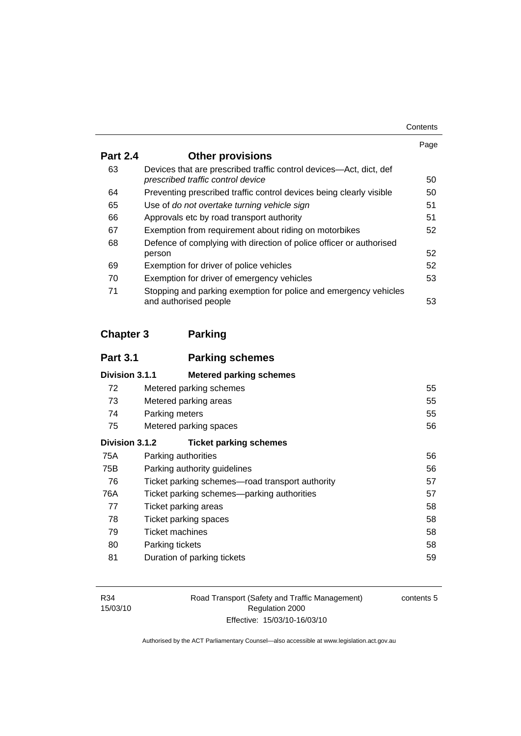| Contents |
|----------|
|----------|

|                 |                                                                                                         | Page |
|-----------------|---------------------------------------------------------------------------------------------------------|------|
| <b>Part 2.4</b> | <b>Other provisions</b>                                                                                 |      |
| 63              | Devices that are prescribed traffic control devices—Act, dict, def<br>prescribed traffic control device | 50   |
| 64              | Preventing prescribed traffic control devices being clearly visible                                     | 50   |
| 65              | Use of do not overtake turning vehicle sign                                                             | 51   |
| 66              | Approvals etc by road transport authority                                                               | 51   |
| 67              | Exemption from requirement about riding on motorbikes                                                   | 52   |
| 68              | Defence of complying with direction of police officer or authorised                                     |      |
|                 | person                                                                                                  | 52   |
| 69              | Exemption for driver of police vehicles                                                                 | 52   |
| 70              | Exemption for driver of emergency vehicles                                                              | 53   |
| 71              | Stopping and parking exemption for police and emergency vehicles<br>and authorised people               | 53   |

# **Chapter 3 Parking**

| <b>Part 3.1</b> | <b>Parking schemes</b>                          |    |
|-----------------|-------------------------------------------------|----|
| Division 3.1.1  | <b>Metered parking schemes</b>                  |    |
| 72              | Metered parking schemes                         | 55 |
| 73              | Metered parking areas                           | 55 |
| 74              | Parking meters                                  | 55 |
| 75              | Metered parking spaces                          | 56 |
| Division 3.1.2  | <b>Ticket parking schemes</b>                   |    |
| 75A             | Parking authorities                             | 56 |
| 75B             | Parking authority guidelines                    | 56 |
| 76              | Ticket parking schemes—road transport authority | 57 |
| 76A             | Ticket parking schemes—parking authorities      | 57 |
| 77              | Ticket parking areas                            | 58 |
| 78              | Ticket parking spaces                           | 58 |
| 79              | Ticket machines                                 | 58 |
| 80              | Parking tickets                                 | 58 |
| 81              | Duration of parking tickets                     | 59 |

Road Transport (Safety and Traffic Management) Regulation 2000 Effective: 15/03/10-16/03/10

contents 5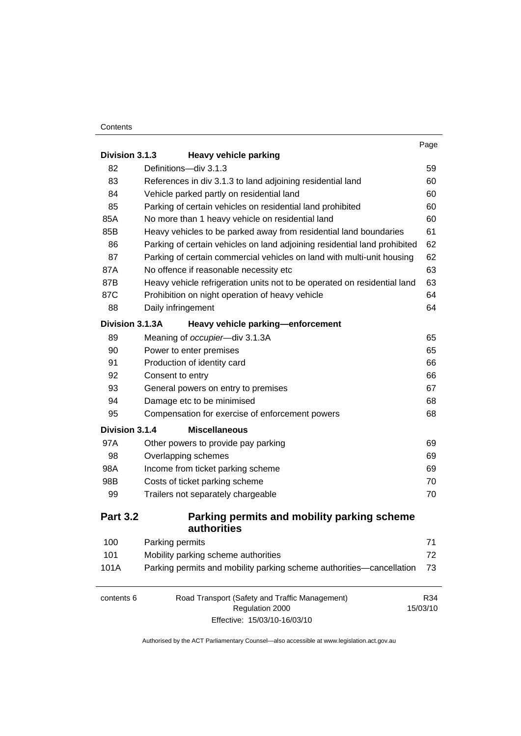#### **Contents**

|                 |                                                                           | Page     |
|-----------------|---------------------------------------------------------------------------|----------|
| Division 3.1.3  | <b>Heavy vehicle parking</b>                                              |          |
| 82              | Definitions-div 3.1.3                                                     | 59       |
| 83              | References in div 3.1.3 to land adjoining residential land                | 60       |
| 84              | Vehicle parked partly on residential land                                 | 60       |
| 85              | Parking of certain vehicles on residential land prohibited                | 60       |
| 85A             | No more than 1 heavy vehicle on residential land                          | 60       |
| 85B             | Heavy vehicles to be parked away from residential land boundaries         | 61       |
| 86              | Parking of certain vehicles on land adjoining residential land prohibited | 62       |
| 87              | Parking of certain commercial vehicles on land with multi-unit housing    | 62       |
| 87A             | No offence if reasonable necessity etc                                    | 63       |
| 87B             | Heavy vehicle refrigeration units not to be operated on residential land  | 63       |
| 87C             | Prohibition on night operation of heavy vehicle                           | 64       |
| 88              | Daily infringement                                                        | 64       |
| Division 3.1.3A | Heavy vehicle parking-enforcement                                         |          |
| 89              | Meaning of occupier-div 3.1.3A                                            | 65       |
| 90              | Power to enter premises                                                   | 65       |
| 91              | Production of identity card                                               | 66       |
| 92              | Consent to entry                                                          | 66       |
| 93              | General powers on entry to premises                                       | 67       |
| 94              | Damage etc to be minimised                                                | 68       |
| 95              | Compensation for exercise of enforcement powers                           | 68       |
| Division 3.1.4  | <b>Miscellaneous</b>                                                      |          |
| 97A             | Other powers to provide pay parking                                       | 69       |
| 98              | Overlapping schemes                                                       | 69       |
| 98A             | Income from ticket parking scheme                                         | 69       |
| 98B             | Costs of ticket parking scheme                                            | 70       |
| 99              | Trailers not separately chargeable                                        | 70       |
| <b>Part 3.2</b> | Parking permits and mobility parking scheme<br>authorities                |          |
| 100             | Parking permits                                                           | 71       |
| 101             | Mobility parking scheme authorities                                       | 72       |
| 101A            | Parking permits and mobility parking scheme authorities-cancellation      | 73       |
|                 |                                                                           |          |
| contents 6      | Road Transport (Safety and Traffic Management)                            | R34      |
|                 | Regulation 2000<br>Effective: 15/03/10-16/03/10                           | 15/03/10 |
|                 |                                                                           |          |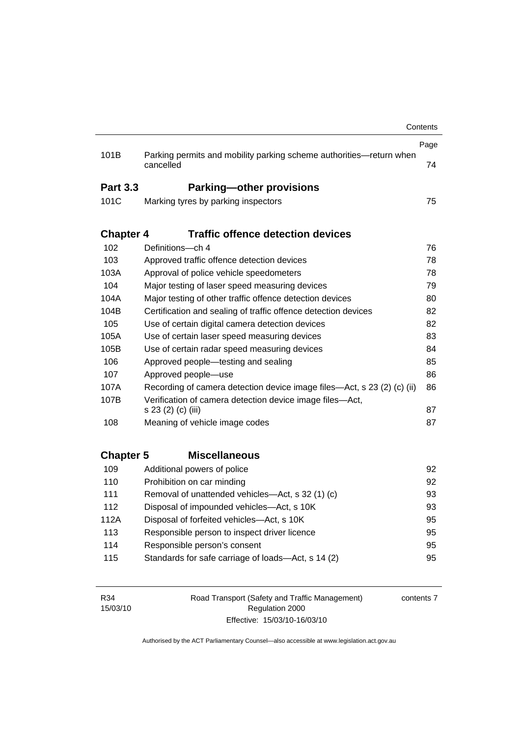|                  |                                                                                  | Contents |
|------------------|----------------------------------------------------------------------------------|----------|
|                  |                                                                                  | Page     |
| 101B             | Parking permits and mobility parking scheme authorities-return when<br>cancelled | 74       |
| <b>Part 3.3</b>  | <b>Parking-other provisions</b>                                                  |          |
| 101C             | Marking tyres by parking inspectors                                              | 75       |
|                  |                                                                                  |          |
| <b>Chapter 4</b> | <b>Traffic offence detection devices</b>                                         |          |
| 102              | Definitions-ch 4                                                                 | 76       |
| 103              | Approved traffic offence detection devices                                       | 78       |
| 103A             | Approval of police vehicle speedometers                                          | 78       |
| 104              | Major testing of laser speed measuring devices                                   | 79       |
| 104A             | Major testing of other traffic offence detection devices                         | 80       |
| 104B             | Certification and sealing of traffic offence detection devices                   | 82       |
| 105              | Use of certain digital camera detection devices                                  | 82       |
| 105A             | Use of certain laser speed measuring devices                                     | 83       |
| 105B             | Use of certain radar speed measuring devices                                     | 84       |
| 106              | Approved people—testing and sealing                                              | 85       |
| 107              | Approved people-use                                                              | 86       |
| 107A             | Recording of camera detection device image files—Act, s 23 (2) (c) (ii)          | 86       |
| 107B             | Verification of camera detection device image files-Act,                         |          |
|                  | s 23 (2) (c) (iii)                                                               | 87       |
| 108              | Meaning of vehicle image codes                                                   | 87       |
|                  |                                                                                  |          |
| <b>Chapter 5</b> | <b>Miscellaneous</b>                                                             |          |
| 109              | Additional powers of police                                                      | 92       |
| 110              | Prohibition on car minding                                                       | 92       |
| 111              | Removal of unattended vehicles—Act, s 32 (1) (c)                                 | 93       |
| 112              | Disposal of impounded vehicles-Act, s 10K                                        | 93       |
| 112A             | Disposal of forfeited vehicles-Act, s 10K                                        | 95       |
| 113              | Responsible person to inspect driver licence                                     | 95       |
| 114              | Responsible person's consent                                                     | 95       |
| 115              | Standards for safe carriage of loads-Act, s 14 (2)                               | 95       |
|                  |                                                                                  |          |
|                  |                                                                                  |          |

R34 15/03/10 Road Transport (Safety and Traffic Management) Regulation 2000 Effective: 15/03/10-16/03/10

contents 7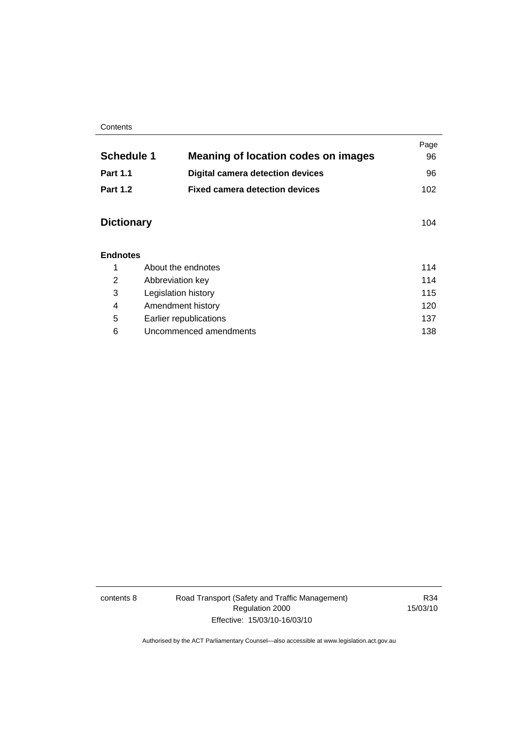#### **Contents**

| <b>Schedule 1</b> | <b>Meaning of location codes on images</b> | Page<br>96 |
|-------------------|--------------------------------------------|------------|
|                   |                                            |            |
| <b>Part 1.1</b>   | <b>Digital camera detection devices</b>    | 96         |
| <b>Part 1.2</b>   | <b>Fixed camera detection devices</b>      | 102        |
|                   |                                            |            |
| <b>Dictionary</b> |                                            | 104        |
|                   |                                            |            |
| <b>Endnotes</b>   |                                            |            |
| 1                 | About the endnotes                         | 114        |
| 2                 | Abbreviation key                           | 114        |
| 3                 | Legislation history                        | 115        |
| 4                 | Amendment history                          | 120        |
| 5                 | Earlier republications                     | 137        |
| 6                 | Uncommenced amendments                     | 138        |

contents 8 Road Transport (Safety and Traffic Management) Regulation 2000 Effective: 15/03/10-16/03/10

R34 15/03/10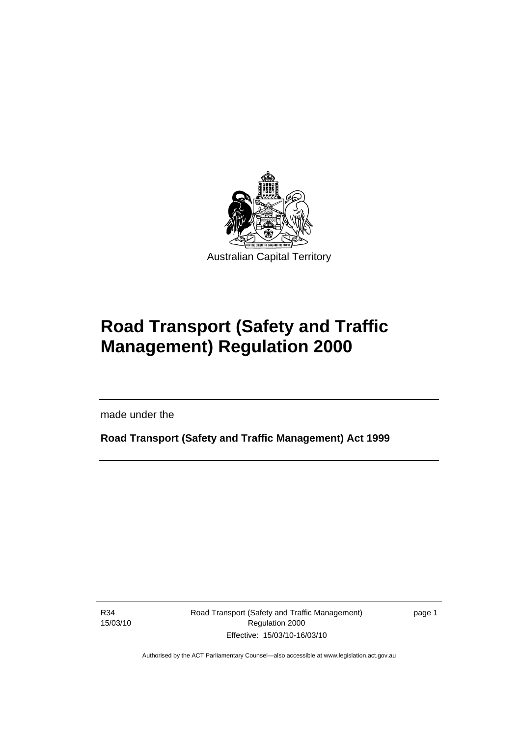<span id="page-10-0"></span>

# **Road Transport (Safety and Traffic Management) Regulation 2000**

made under the

**Road Transport (Safety and Traffic Management) Act 1999** 

R34 15/03/10

l

Road Transport (Safety and Traffic Management) Regulation 2000 Effective: 15/03/10-16/03/10

page 1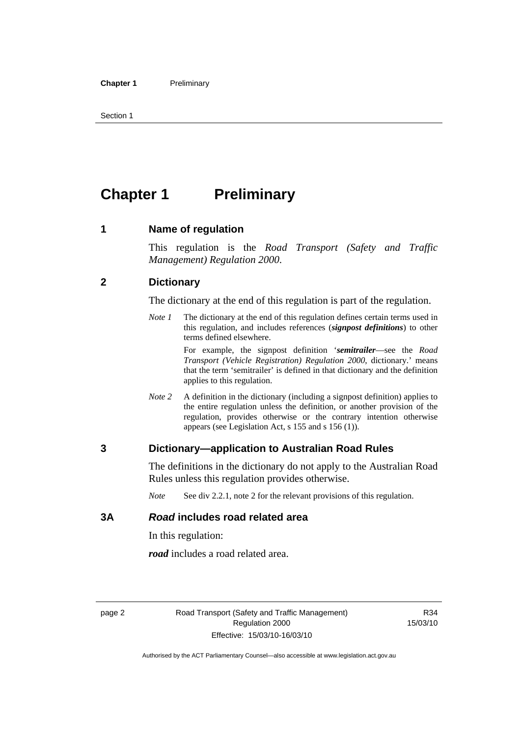<span id="page-11-0"></span>Section 1

# **Chapter 1** Preliminary

#### **1 Name of regulation**

This regulation is the *Road Transport (Safety and Traffic Management) Regulation 2000*.

#### **2 Dictionary**

The dictionary at the end of this regulation is part of the regulation.

*Note 1* The dictionary at the end of this regulation defines certain terms used in this regulation, and includes references (*signpost definitions*) to other terms defined elsewhere.

> For example, the signpost definition '*semitrailer*—see the *Road Transport (Vehicle Registration) Regulation 2000*, dictionary.' means that the term 'semitrailer' is defined in that dictionary and the definition applies to this regulation.

*Note 2* A definition in the dictionary (including a signpost definition) applies to the entire regulation unless the definition, or another provision of the regulation, provides otherwise or the contrary intention otherwise appears (see Legislation Act, s 155 and s 156 (1)).

#### **3 Dictionary—application to Australian Road Rules**

The definitions in the dictionary do not apply to the Australian Road Rules unless this regulation provides otherwise.

*Note* See div 2.2.1, note 2 for the relevant provisions of this regulation.

#### **3A** *Road* **includes road related area**

In this regulation:

*road* includes a road related area.

R34 15/03/10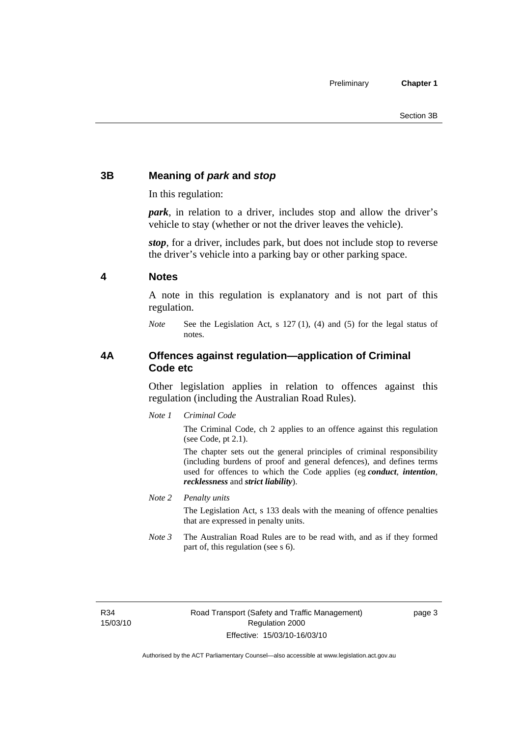### <span id="page-12-0"></span>**3B Meaning of** *park* **and** *stop*

In this regulation:

*park*, in relation to a driver, includes stop and allow the driver's vehicle to stay (whether or not the driver leaves the vehicle).

*stop*, for a driver, includes park, but does not include stop to reverse the driver's vehicle into a parking bay or other parking space.

#### **4 Notes**

A note in this regulation is explanatory and is not part of this regulation.

*Note* See the Legislation Act, s 127 (1), (4) and (5) for the legal status of notes.

#### **4A Offences against regulation—application of Criminal Code etc**

Other legislation applies in relation to offences against this regulation (including the Australian Road Rules).

*Note 1 Criminal Code*

The Criminal Code, ch 2 applies to an offence against this regulation (see Code, pt 2.1).

The chapter sets out the general principles of criminal responsibility (including burdens of proof and general defences), and defines terms used for offences to which the Code applies (eg *conduct*, *intention*, *recklessness* and *strict liability*).

*Note 2 Penalty units* 

The Legislation Act, s 133 deals with the meaning of offence penalties that are expressed in penalty units.

*Note 3* The Australian Road Rules are to be read with, and as if they formed part of, this regulation (see s 6).

R34 15/03/10 page 3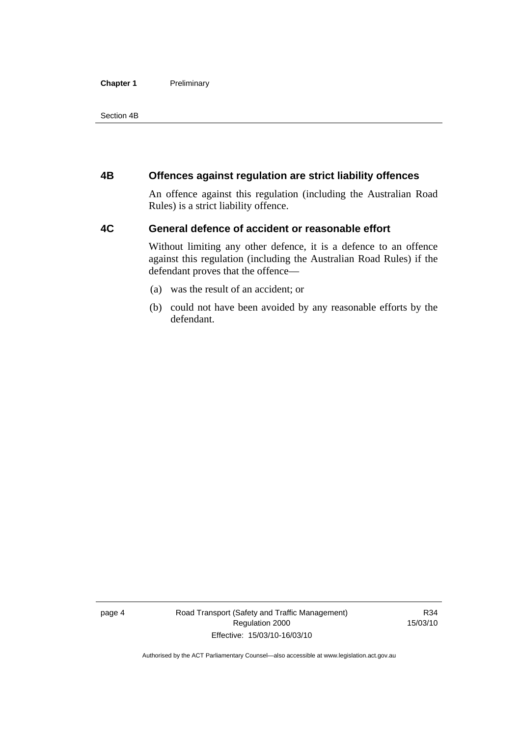#### <span id="page-13-0"></span>**Chapter 1** Preliminary

Section 4B

#### **4B Offences against regulation are strict liability offences**

An offence against this regulation (including the Australian Road Rules) is a strict liability offence.

#### **4C General defence of accident or reasonable effort**

Without limiting any other defence, it is a defence to an offence against this regulation (including the Australian Road Rules) if the defendant proves that the offence—

- (a) was the result of an accident; or
- (b) could not have been avoided by any reasonable efforts by the defendant.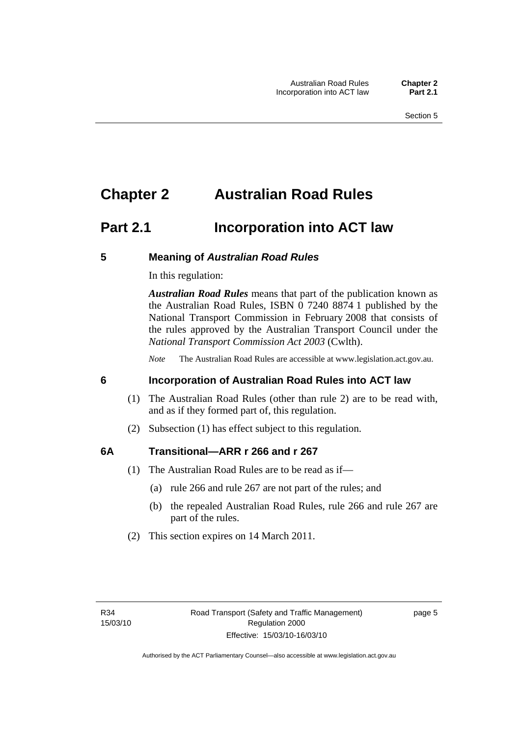## <span id="page-14-0"></span>**Chapter 2 Australian Road Rules**

## **Part 2.1 Incorporation into ACT law**

#### **5 Meaning of** *Australian Road Rules*

In this regulation:

*Australian Road Rules* means that part of the publication known as the Australian Road Rules, ISBN 0 7240 8874 1 published by the National Transport Commission in February 2008 that consists of the rules approved by the Australian Transport Council under the *National Transport Commission Act 2003* (Cwlth).

*Note* The Australian Road Rules are accessible at www.legislation.act.gov.au.

#### **6 Incorporation of Australian Road Rules into ACT law**

- (1) The Australian Road Rules (other than rule 2) are to be read with, and as if they formed part of, this regulation.
- (2) Subsection (1) has effect subject to this regulation.

#### **6A Transitional—ARR r 266 and r 267**

- (1) The Australian Road Rules are to be read as if—
	- (a) rule 266 and rule 267 are not part of the rules; and
	- (b) the repealed Australian Road Rules, rule 266 and rule 267 are part of the rules.
- (2) This section expires on 14 March 2011.

page 5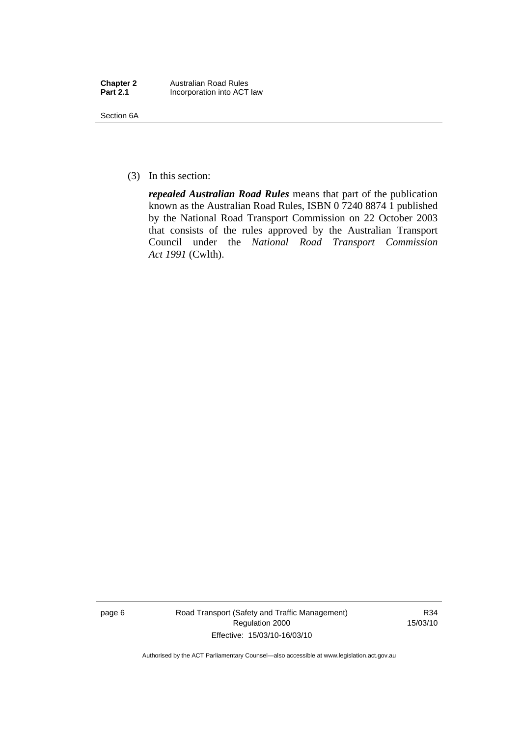| <b>Chapter 2</b> | <b>Australian Road Rules</b> |
|------------------|------------------------------|
| <b>Part 2.1</b>  | Incorporation into ACT law   |

Section 6A

(3) In this section:

*repealed Australian Road Rules* means that part of the publication known as the Australian Road Rules, ISBN 0 7240 8874 1 published by the National Road Transport Commission on 22 October 2003 that consists of the rules approved by the Australian Transport Council under the *National Road Transport Commission Act 1991* (Cwlth).

page 6 Road Transport (Safety and Traffic Management) Regulation 2000 Effective: 15/03/10-16/03/10

R34 15/03/10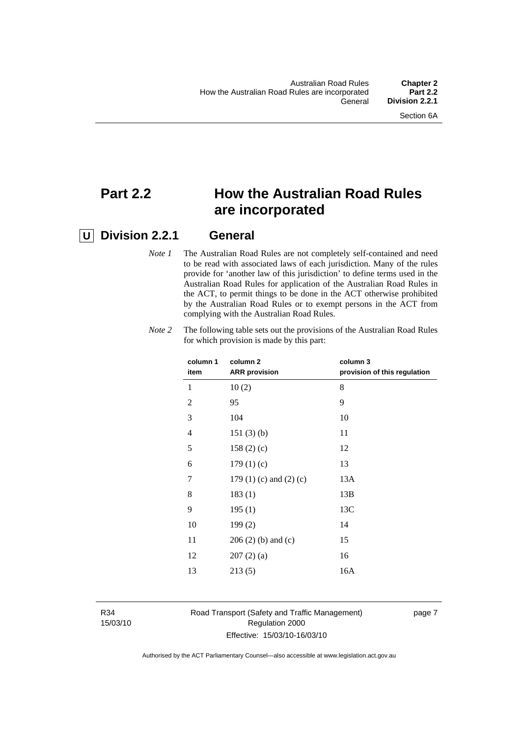## **Part 2.2 How the Australian Road Rules are incorporated**

### **U Division 2.2.1 General**

*Note 1* The Australian Road Rules are not completely self-contained and need to be read with associated laws of each jurisdiction. Many of the rules provide for 'another law of this jurisdiction' to define terms used in the Australian Road Rules for application of the Australian Road Rules in the ACT, to permit things to be done in the ACT otherwise prohibited by the Australian Road Rules or to exempt persons in the ACT from complying with the Australian Road Rules.

| column 1<br>item | column 2<br><b>ARR</b> provision | column 3<br>provision of this regulation |
|------------------|----------------------------------|------------------------------------------|
| 1                | 10(2)                            | 8                                        |
| $\overline{2}$   | 95                               | 9                                        |
| 3                | 104                              | 10                                       |
| 4                | 151(3)(b)                        | 11                                       |
| 5                | 158(2)(c)                        | 12                                       |
| 6                | 179(1)(c)                        | 13                                       |
| 7                | 179 $(1)$ $(c)$ and $(2)$ $(c)$  | 13A                                      |
| 8                | 183(1)                           | 13B                                      |
| 9                | 195(1)                           | 13C                                      |
| 10               | 199(2)                           | 14                                       |
| 11               | $206(2)$ (b) and (c)             | 15                                       |
| 12               | 207(2)(a)                        | 16                                       |
| 13               | 213(5)                           | 16A                                      |
|                  |                                  |                                          |

*Note 2* The following table sets out the provisions of the Australian Road Rules for which provision is made by this part:

R34 15/03/10

#### Road Transport (Safety and Traffic Management) Regulation 2000 Effective: 15/03/10-16/03/10

page 7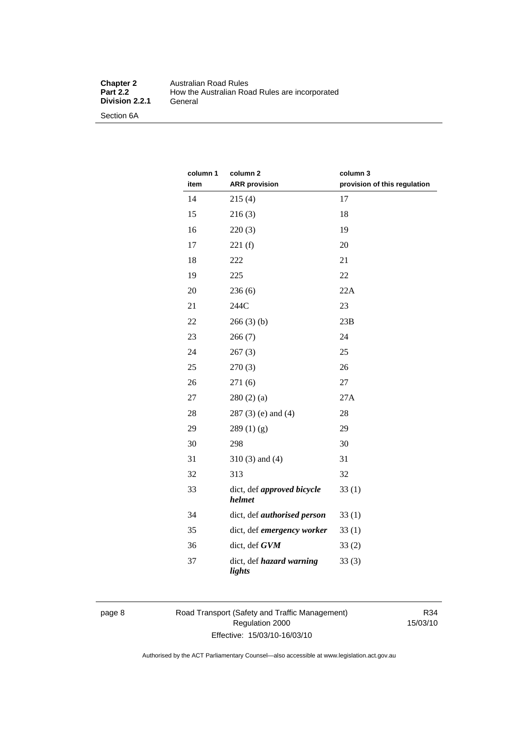#### **Chapter 2** Australian Road Rules<br>**Part 2.2** How the Australian Road **Production Product Product**<br> **Part 2.2 Product**<br> **Part 2.2 Product**<br> **Part 2.2 Product**<br> **Part 2.2 Product**<br> **Part 2.2 Product**<br> **Part 2.4 Product**<br> **Part 2.4 Product**<br> **Part 2.4 Product**<br> **Part 2.4 Product Division 2.2.1**

Section 6A

| column 1<br>item | column 2<br><b>ARR</b> provision          | column 3<br>provision of this regulation |
|------------------|-------------------------------------------|------------------------------------------|
| 14               | 215(4)                                    | 17                                       |
| 15               | 216(3)                                    | 18                                       |
| 16               | 220(3)                                    | 19                                       |
| 17               | 221(f)                                    | 20                                       |
| 18               | 222                                       | 21                                       |
| 19               | 225                                       | 22                                       |
| 20               | 236(6)                                    | 22A                                      |
| 21               | 244C                                      | 23                                       |
| 22               | 266(3)(b)                                 | 23B                                      |
| 23               | 266(7)                                    | 24                                       |
| 24               | 267(3)                                    | 25                                       |
| 25               | 270(3)                                    | 26                                       |
| 26               | 271 (6)                                   | $27\,$                                   |
| 27               | 280(2)(a)                                 | 27A                                      |
| 28               | $287(3)$ (e) and (4)                      | 28                                       |
| 29               | 289(1)(g)                                 | 29                                       |
| 30               | 298                                       | 30                                       |
| 31               | $310(3)$ and $(4)$                        | 31                                       |
| 32               | 313                                       | 32                                       |
| 33               | dict, def approved bicycle<br>helmet      | 33(1)                                    |
| 34               | dict, def <i>authorised</i> person        | 33(1)                                    |
| 35               | dict, def emergency worker                | 33(1)                                    |
| 36               | dict, def GVM                             | 33(2)                                    |
| 37               | dict, def <i>hazard warning</i><br>lights | 33(3)                                    |

#### page 8 Road Transport (Safety and Traffic Management) Regulation 2000 Effective: 15/03/10-16/03/10

R34 15/03/10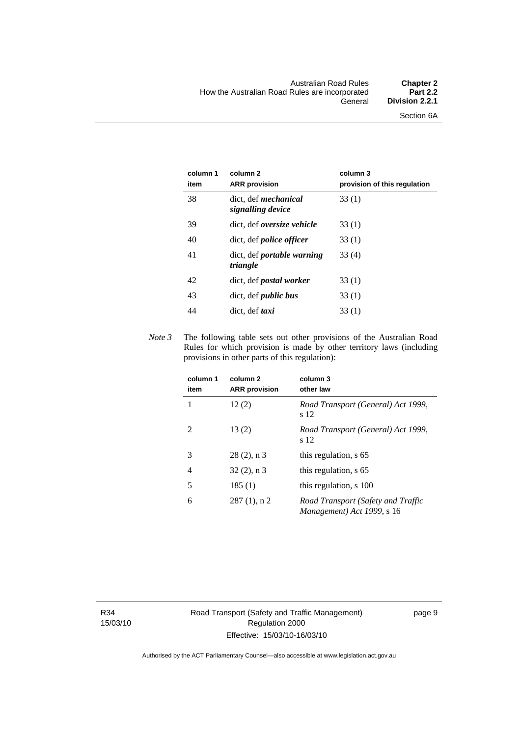| column 1<br>item | column 2<br><b>ARR</b> provision                 | column 3<br>provision of this regulation |
|------------------|--------------------------------------------------|------------------------------------------|
| 38               | dict. def <i>mechanical</i><br>signalling device | 33 (1)                                   |
| 39               | dict, def <i>oversize</i> vehicle                | 33(1)                                    |
| 40               | dict, def <i>police officer</i>                  | 33(1)                                    |
| 41               | dict, def <i>portable</i> warning<br>triangle    | 33(4)                                    |
| 42               | dict, def <i>postal</i> worker                   | 33(1)                                    |
| 43               | dict, def <i>public</i> bus                      | 33(1)                                    |
| 44               | dict. def <i>taxi</i>                            | 33(1)                                    |

*Note 3* The following table sets out other provisions of the Australian Road Rules for which provision is made by other territory laws (including provisions in other parts of this regulation):

| column 1<br>item | column <sub>2</sub><br><b>ARR</b> provision | column 3<br>other law                                            |
|------------------|---------------------------------------------|------------------------------------------------------------------|
| 1                | 12(2)                                       | Road Transport (General) Act 1999,<br>s 12                       |
| 2                | 13(2)                                       | Road Transport (General) Act 1999,<br>s 12                       |
| 3                | $28(2)$ , n 3                               | this regulation, s 65                                            |
| 4                | $32(2)$ , n 3                               | this regulation, s 65                                            |
| 5                | 185(1)                                      | this regulation, s 100                                           |
| 6                | $287(1)$ , n 2                              | Road Transport (Safety and Traffic<br>Management) Act 1999, s 16 |

R34 15/03/10 page 9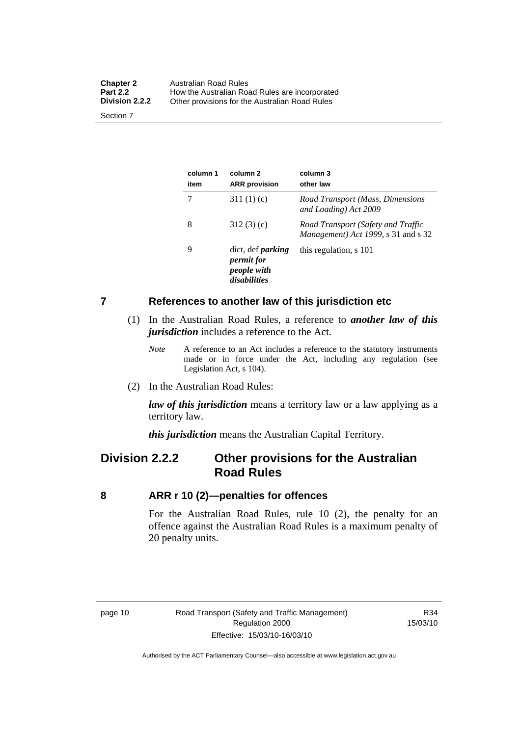<span id="page-19-0"></span>

| <b>Chapter 2</b><br><b>Part 2.2</b><br><b>Division 2.2.2</b> | Australian Road Rules<br>How the Australian Road Rules are incorporated |
|--------------------------------------------------------------|-------------------------------------------------------------------------|
| Section 7                                                    | Other provisions for the Australian Road Rules                          |

**column 1 item column 2 ARR provision column 3 other law**  7 311 (1) (c) *Road Transport (Mass, Dimensions and Loading) Act 2009*  8 312 (3) (c) *Road Transport (Safety and Traffic Management) Act 1999*, s 31 and s 32 9 dict, def *parking permit for people with disabilities* this regulation, s 101

#### **7 References to another law of this jurisdiction etc**

- (1) In the Australian Road Rules, a reference to *another law of this jurisdiction* includes a reference to the Act.
	- *Note* A reference to an Act includes a reference to the statutory instruments made or in force under the Act, including any regulation (see Legislation Act, s 104).
- (2) In the Australian Road Rules:

*law of this jurisdiction* means a territory law or a law applying as a territory law.

*this jurisdiction* means the Australian Capital Territory.

### **Division 2.2.2 Other provisions for the Australian Road Rules**

#### **8 ARR r 10 (2)—penalties for offences**

For the Australian Road Rules, rule 10 (2), the penalty for an offence against the Australian Road Rules is a maximum penalty of 20 penalty units.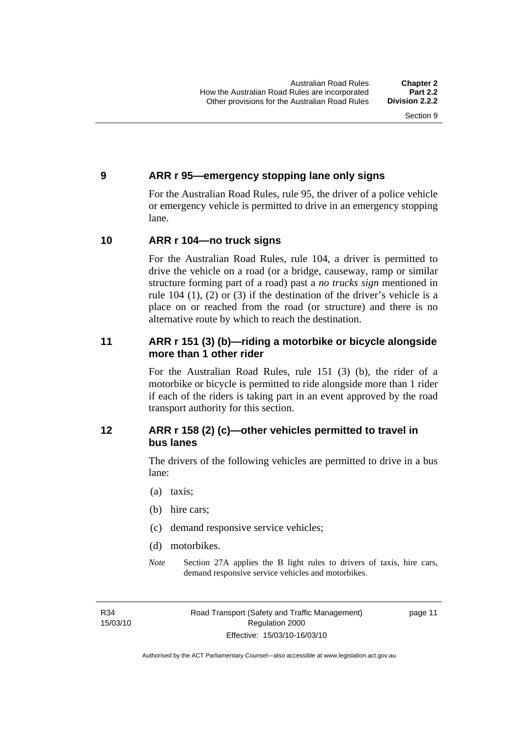#### <span id="page-20-0"></span>**9 ARR r 95—emergency stopping lane only signs**

For the Australian Road Rules, rule 95, the driver of a police vehicle or emergency vehicle is permitted to drive in an emergency stopping lane.

#### **10 ARR r 104—no truck signs**

For the Australian Road Rules, rule 104, a driver is permitted to drive the vehicle on a road (or a bridge, causeway, ramp or similar structure forming part of a road) past a *no trucks sign* mentioned in rule 104 (1), (2) or (3) if the destination of the driver's vehicle is a place on or reached from the road (or structure) and there is no alternative route by which to reach the destination.

#### **11 ARR r 151 (3) (b)—riding a motorbike or bicycle alongside more than 1 other rider**

For the Australian Road Rules, rule 151 (3) (b), the rider of a motorbike or bicycle is permitted to ride alongside more than 1 rider if each of the riders is taking part in an event approved by the road transport authority for this section.

#### **12 ARR r 158 (2) (c)—other vehicles permitted to travel in bus lanes**

The drivers of the following vehicles are permitted to drive in a bus lane:

- (a) taxis;
- (b) hire cars;
- (c) demand responsive service vehicles;
- (d) motorbikes.
- *Note* Section 27A applies the B light rules to drivers of taxis, hire cars, demand responsive service vehicles and motorbikes.

R34 15/03/10 page 11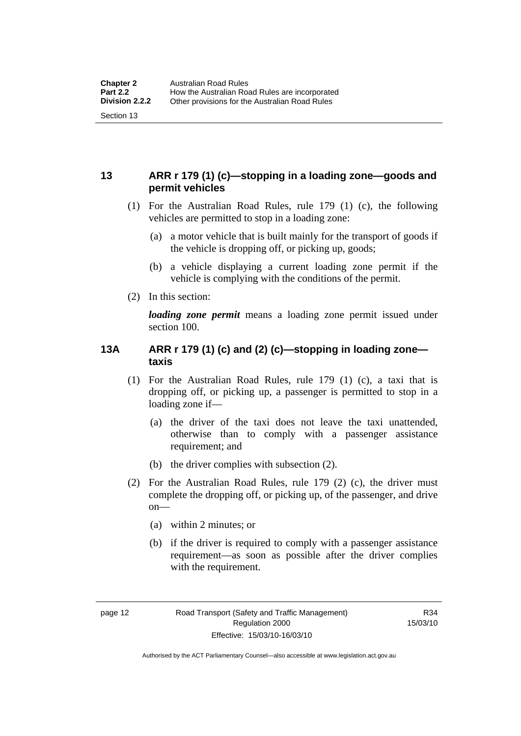#### <span id="page-21-0"></span>**13 ARR r 179 (1) (c)—stopping in a loading zone—goods and permit vehicles**

- (1) For the Australian Road Rules, rule 179 (1) (c), the following vehicles are permitted to stop in a loading zone:
	- (a) a motor vehicle that is built mainly for the transport of goods if the vehicle is dropping off, or picking up, goods;
	- (b) a vehicle displaying a current loading zone permit if the vehicle is complying with the conditions of the permit.
- (2) In this section:

*loading zone permit* means a loading zone permit issued under section 100.

#### **13A ARR r 179 (1) (c) and (2) (c)—stopping in loading zone taxis**

- (1) For the Australian Road Rules, rule 179 (1) (c), a taxi that is dropping off, or picking up, a passenger is permitted to stop in a loading zone if—
	- (a) the driver of the taxi does not leave the taxi unattended, otherwise than to comply with a passenger assistance requirement; and
	- (b) the driver complies with subsection (2).
- (2) For the Australian Road Rules, rule 179 (2) (c), the driver must complete the dropping off, or picking up, of the passenger, and drive  $on$ —
	- (a) within 2 minutes; or
	- (b) if the driver is required to comply with a passenger assistance requirement—as soon as possible after the driver complies with the requirement.

Authorised by the ACT Parliamentary Counsel—also accessible at www.legislation.act.gov.au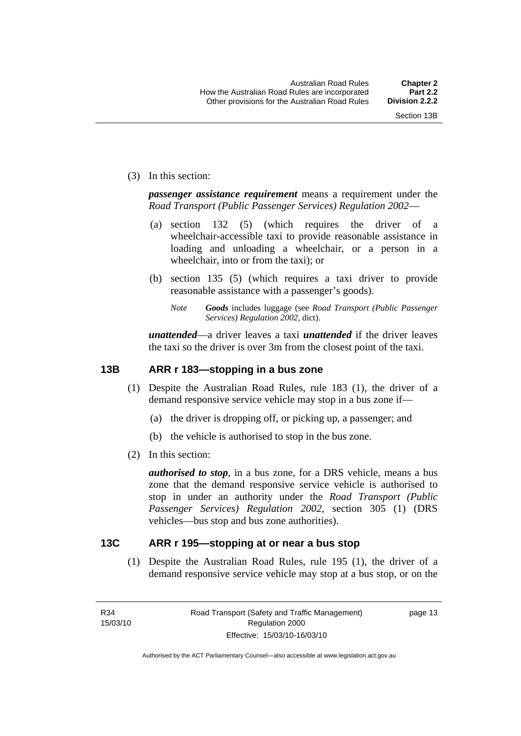<span id="page-22-0"></span>(3) In this section:

*passenger assistance requirement* means a requirement under the *Road Transport (Public Passenger Services) Regulation 2002*—

- (a) section 132 (5) (which requires the driver of a wheelchair-accessible taxi to provide reasonable assistance in loading and unloading a wheelchair, or a person in a wheelchair, into or from the taxi); or
- (b) section 135 (5) (which requires a taxi driver to provide reasonable assistance with a passenger's goods).
	- *Note Goods* includes luggage (see *Road Transport (Public Passenger Services) Regulation 2002*, dict).

*unattended*—a driver leaves a taxi *unattended* if the driver leaves the taxi so the driver is over 3m from the closest point of the taxi.

#### **13B ARR r 183—stopping in a bus zone**

- (1) Despite the Australian Road Rules, rule 183 (1), the driver of a demand responsive service vehicle may stop in a bus zone if—
	- (a) the driver is dropping off, or picking up, a passenger; and
	- (b) the vehicle is authorised to stop in the bus zone.
- (2) In this section:

*authorised to stop*, in a bus zone, for a DRS vehicle, means a bus zone that the demand responsive service vehicle is authorised to stop in under an authority under the *Road Transport (Public Passenger Services) Regulation 2002*, section 305 (1) (DRS vehicles—bus stop and bus zone authorities).

#### **13C ARR r 195—stopping at or near a bus stop**

 (1) Despite the Australian Road Rules, rule 195 (1), the driver of a demand responsive service vehicle may stop at a bus stop, or on the

page 13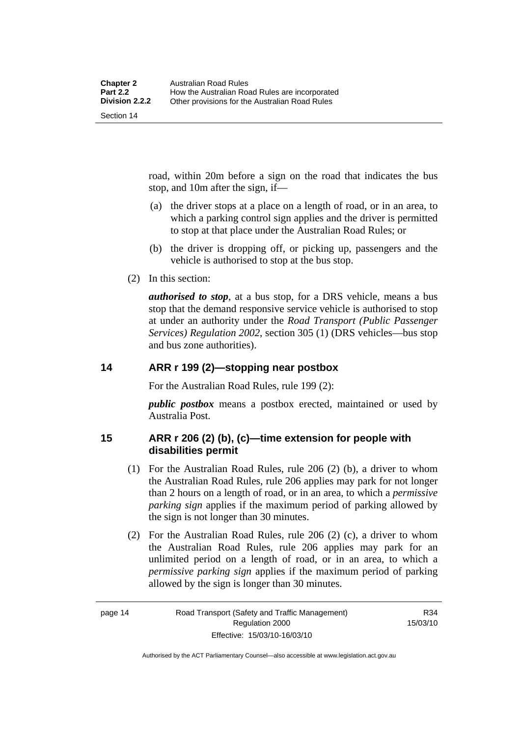<span id="page-23-0"></span>road, within 20m before a sign on the road that indicates the bus stop, and 10m after the sign, if—

- (a) the driver stops at a place on a length of road, or in an area, to which a parking control sign applies and the driver is permitted to stop at that place under the Australian Road Rules; or
- (b) the driver is dropping off, or picking up, passengers and the vehicle is authorised to stop at the bus stop.
- (2) In this section:

*authorised to stop*, at a bus stop, for a DRS vehicle, means a bus stop that the demand responsive service vehicle is authorised to stop at under an authority under the *Road Transport (Public Passenger Services) Regulation 2002*, section 305 (1) (DRS vehicles—bus stop and bus zone authorities).

#### **14 ARR r 199 (2)—stopping near postbox**

For the Australian Road Rules, rule 199 (2):

*public postbox* means a postbox erected, maintained or used by Australia Post.

#### **15 ARR r 206 (2) (b), (c)—time extension for people with disabilities permit**

- (1) For the Australian Road Rules, rule 206 (2) (b), a driver to whom the Australian Road Rules, rule 206 applies may park for not longer than 2 hours on a length of road, or in an area, to which a *permissive parking sign* applies if the maximum period of parking allowed by the sign is not longer than 30 minutes.
- (2) For the Australian Road Rules, rule 206 (2) (c), a driver to whom the Australian Road Rules, rule 206 applies may park for an unlimited period on a length of road, or in an area, to which a *permissive parking sign* applies if the maximum period of parking allowed by the sign is longer than 30 minutes.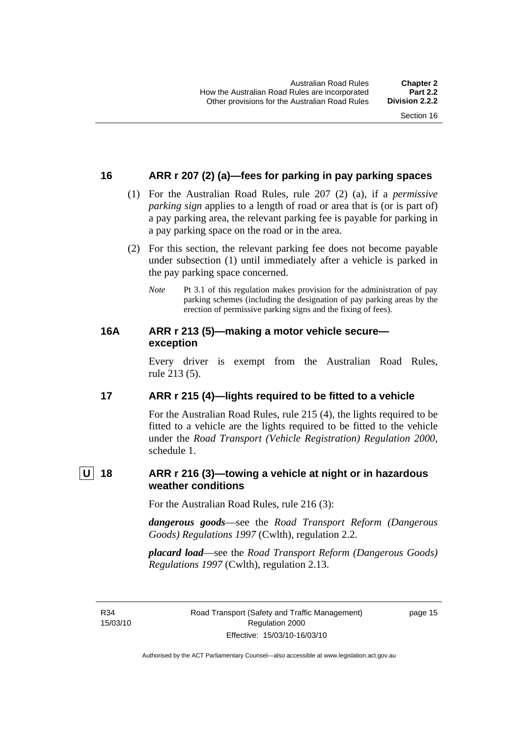#### <span id="page-24-0"></span>**16 ARR r 207 (2) (a)—fees for parking in pay parking spaces**

- (1) For the Australian Road Rules, rule 207 (2) (a), if a *permissive parking sign* applies to a length of road or area that is (or is part of) a pay parking area, the relevant parking fee is payable for parking in a pay parking space on the road or in the area.
- (2) For this section, the relevant parking fee does not become payable under subsection (1) until immediately after a vehicle is parked in the pay parking space concerned.
	- *Note* Pt 3.1 of this regulation makes provision for the administration of pay parking schemes (including the designation of pay parking areas by the erection of permissive parking signs and the fixing of fees).

#### **16A ARR r 213 (5)—making a motor vehicle secure exception**

Every driver is exempt from the Australian Road Rules, rule 213 (5).

#### **17 ARR r 215 (4)—lights required to be fitted to a vehicle**

For the Australian Road Rules, rule 215 (4), the lights required to be fitted to a vehicle are the lights required to be fitted to the vehicle under the *Road Transport (Vehicle Registration) Regulation 2000,*  schedule 1.

### **U 18 ARR r 216 (3)—towing a vehicle at night or in hazardous weather conditions**

For the Australian Road Rules, rule 216 (3):

*dangerous goods*—see the *Road Transport Reform (Dangerous Goods) Regulations 1997* (Cwlth), regulation 2.2.

*placard load*—see the *Road Transport Reform (Dangerous Goods) Regulations 1997* (Cwlth), regulation 2.13.

R34 15/03/10 page 15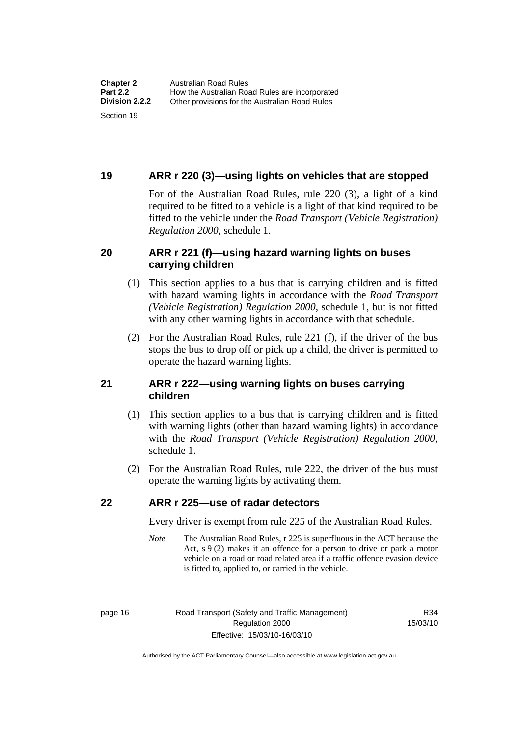#### <span id="page-25-0"></span>**19 ARR r 220 (3)—using lights on vehicles that are stopped**

For of the Australian Road Rules, rule 220 (3), a light of a kind required to be fitted to a vehicle is a light of that kind required to be fitted to the vehicle under the *Road Transport (Vehicle Registration) Regulation 2000*, schedule 1.

#### **20 ARR r 221 (f)—using hazard warning lights on buses carrying children**

- (1) This section applies to a bus that is carrying children and is fitted with hazard warning lights in accordance with the *Road Transport (Vehicle Registration) Regulation 2000*, schedule 1, but is not fitted with any other warning lights in accordance with that schedule.
- (2) For the Australian Road Rules, rule 221 (f), if the driver of the bus stops the bus to drop off or pick up a child, the driver is permitted to operate the hazard warning lights.

#### **21 ARR r 222—using warning lights on buses carrying children**

- (1) This section applies to a bus that is carrying children and is fitted with warning lights (other than hazard warning lights) in accordance with the *Road Transport (Vehicle Registration) Regulation 2000*, schedule 1.
- (2) For the Australian Road Rules, rule 222, the driver of the bus must operate the warning lights by activating them.

#### **22 ARR r 225—use of radar detectors**

Every driver is exempt from rule 225 of the Australian Road Rules.

*Note* The Australian Road Rules, r 225 is superfluous in the ACT because the Act, s 9 (2) makes it an offence for a person to drive or park a motor vehicle on a road or road related area if a traffic offence evasion device is fitted to, applied to, or carried in the vehicle.

R34 15/03/10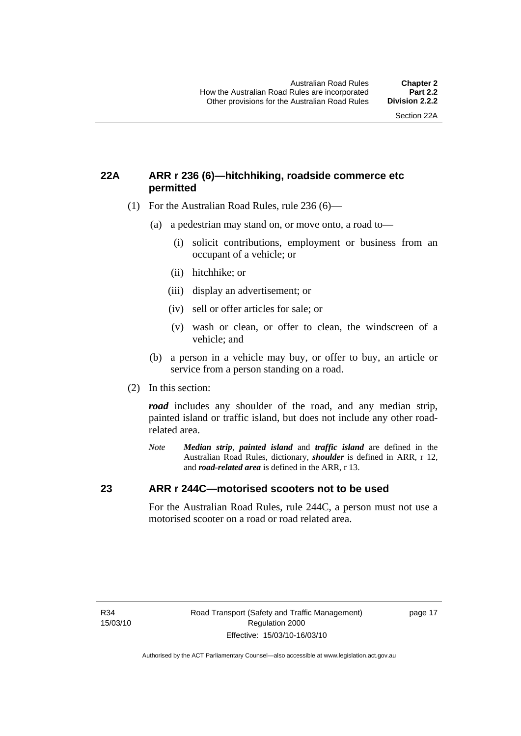#### <span id="page-26-0"></span>**22A ARR r 236 (6)—hitchhiking, roadside commerce etc permitted**

- (1) For the Australian Road Rules, rule 236 (6)—
	- (a) a pedestrian may stand on, or move onto, a road to—
		- (i) solicit contributions, employment or business from an occupant of a vehicle; or
		- (ii) hitchhike; or
		- (iii) display an advertisement; or
		- (iv) sell or offer articles for sale; or
		- (v) wash or clean, or offer to clean, the windscreen of a vehicle; and
	- (b) a person in a vehicle may buy, or offer to buy, an article or service from a person standing on a road.
- (2) In this section:

*road* includes any shoulder of the road, and any median strip, painted island or traffic island, but does not include any other roadrelated area.

*Note Median strip*, *painted island* and *traffic island* are defined in the Australian Road Rules, dictionary, *shoulder* is defined in ARR, r 12, and *road-related area* is defined in the ARR, r 13.

#### **23 ARR r 244C—motorised scooters not to be used**

For the Australian Road Rules, rule 244C, a person must not use a motorised scooter on a road or road related area.

page 17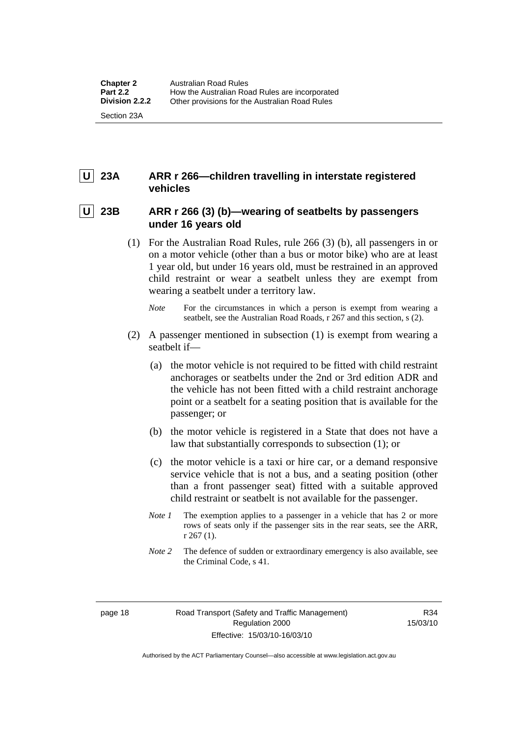### <span id="page-27-0"></span> **U 23A ARR r 266—children travelling in interstate registered vehicles**

#### 23B ARR r 266 (3) (b)—wearing of seatbelts by passengers **under 16 years old**

- (1) For the Australian Road Rules, rule 266 (3) (b), all passengers in or on a motor vehicle (other than a bus or motor bike) who are at least 1 year old, but under 16 years old, must be restrained in an approved child restraint or wear a seatbelt unless they are exempt from wearing a seatbelt under a territory law.
	- *Note* For the circumstances in which a person is exempt from wearing a seatbelt, see the Australian Road Roads, r 267 and this section, s (2).
- (2) A passenger mentioned in subsection (1) is exempt from wearing a seatbelt if—
	- (a) the motor vehicle is not required to be fitted with child restraint anchorages or seatbelts under the 2nd or 3rd edition ADR and the vehicle has not been fitted with a child restraint anchorage point or a seatbelt for a seating position that is available for the passenger; or
	- (b) the motor vehicle is registered in a State that does not have a law that substantially corresponds to subsection (1); or
	- (c) the motor vehicle is a taxi or hire car, or a demand responsive service vehicle that is not a bus, and a seating position (other than a front passenger seat) fitted with a suitable approved child restraint or seatbelt is not available for the passenger.
	- *Note 1* The exemption applies to a passenger in a vehicle that has 2 or more rows of seats only if the passenger sits in the rear seats, see the ARR, r 267 (1).
	- *Note* 2 The defence of sudden or extraordinary emergency is also available, see the Criminal Code, s 41.

Authorised by the ACT Parliamentary Counsel—also accessible at www.legislation.act.gov.au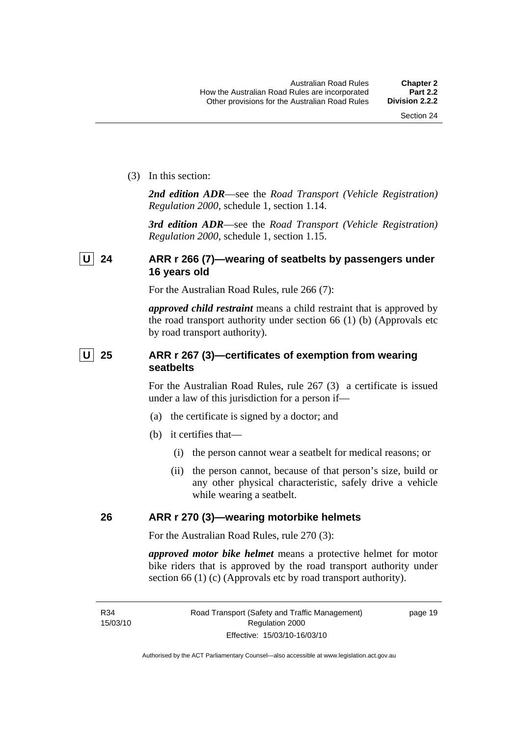<span id="page-28-0"></span>(3) In this section:

*2nd edition ADR*—see the *Road Transport (Vehicle Registration) Regulation 2000*, schedule 1, section 1.14.

*3rd edition ADR*—see the *Road Transport (Vehicle Registration) Regulation 2000*, schedule 1, section 1.15.

#### **U 24 ARR r 266 (7)—wearing of seatbelts by passengers under 16 years old**

For the Australian Road Rules, rule 266 (7):

*approved child restraint* means a child restraint that is approved by the road transport authority under section 66 (1) (b) (Approvals etc by road transport authority).

### **U** 25 ARR r 267 (3)—certificates of exemption from wearing **seatbelts**

For the Australian Road Rules, rule 267 (3) a certificate is issued under a law of this jurisdiction for a person if—

- (a) the certificate is signed by a doctor; and
- (b) it certifies that—
	- (i) the person cannot wear a seatbelt for medical reasons; or
	- (ii) the person cannot, because of that person's size, build or any other physical characteristic, safely drive a vehicle while wearing a seatbelt.

#### **26 ARR r 270 (3)—wearing motorbike helmets**

For the Australian Road Rules, rule 270 (3):

*approved motor bike helmet* means a protective helmet for motor bike riders that is approved by the road transport authority under section 66 (1) (c) (Approvals etc by road transport authority).

page 19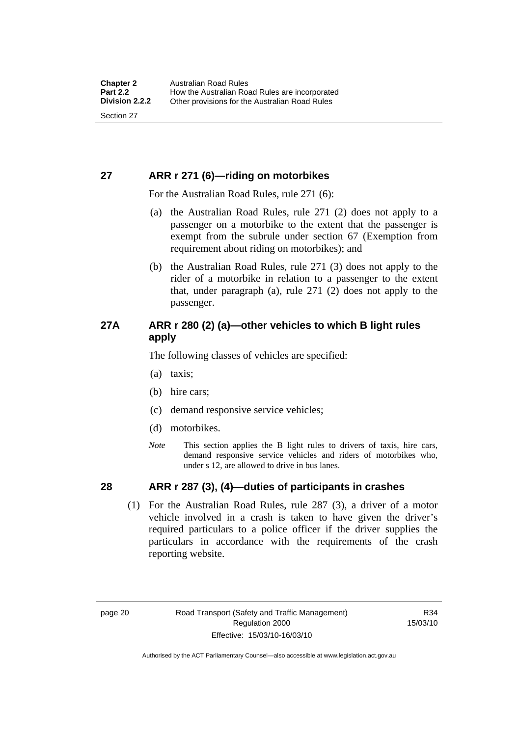#### <span id="page-29-0"></span>**27 ARR r 271 (6)—riding on motorbikes**

For the Australian Road Rules, rule 271 (6):

- (a) the Australian Road Rules, rule 271 (2) does not apply to a passenger on a motorbike to the extent that the passenger is exempt from the subrule under section 67 (Exemption from requirement about riding on motorbikes); and
- (b) the Australian Road Rules, rule 271 (3) does not apply to the rider of a motorbike in relation to a passenger to the extent that, under paragraph (a), rule 271 (2) does not apply to the passenger.

#### **27A ARR r 280 (2) (a)—other vehicles to which B light rules apply**

The following classes of vehicles are specified:

- (a) taxis;
- (b) hire cars;
- (c) demand responsive service vehicles;
- (d) motorbikes.
- *Note* This section applies the B light rules to drivers of taxis, hire cars, demand responsive service vehicles and riders of motorbikes who, under s 12, are allowed to drive in bus lanes.

#### **28 ARR r 287 (3), (4)—duties of participants in crashes**

 (1) For the Australian Road Rules, rule 287 (3), a driver of a motor vehicle involved in a crash is taken to have given the driver's required particulars to a police officer if the driver supplies the particulars in accordance with the requirements of the crash reporting website.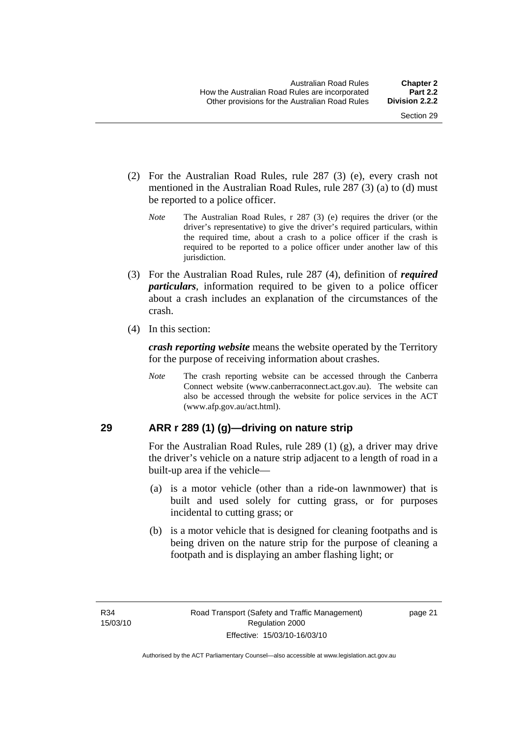- <span id="page-30-0"></span> (2) For the Australian Road Rules, rule 287 (3) (e), every crash not mentioned in the Australian Road Rules, rule 287 (3) (a) to (d) must be reported to a police officer.
	- *Note* The Australian Road Rules, r 287 (3) (e) requires the driver (or the driver's representative) to give the driver's required particulars, within the required time, about a crash to a police officer if the crash is required to be reported to a police officer under another law of this jurisdiction.
- (3) For the Australian Road Rules, rule 287 (4), definition of *required particulars*, information required to be given to a police officer about a crash includes an explanation of the circumstances of the crash.
- (4) In this section:

*crash reporting website* means the website operated by the Territory for the purpose of receiving information about crashes.

*Note* The crash reporting website can be accessed through the Canberra Connect website (www.canberraconnect.act.gov.au). The website can also be accessed through the website for police services in the ACT (www.afp.gov.au/act.html).

#### **29 ARR r 289 (1) (g)—driving on nature strip**

For the Australian Road Rules, rule 289 (1) (g), a driver may drive the driver's vehicle on a nature strip adjacent to a length of road in a built-up area if the vehicle—

- (a) is a motor vehicle (other than a ride-on lawnmower) that is built and used solely for cutting grass, or for purposes incidental to cutting grass; or
- (b) is a motor vehicle that is designed for cleaning footpaths and is being driven on the nature strip for the purpose of cleaning a footpath and is displaying an amber flashing light; or

page 21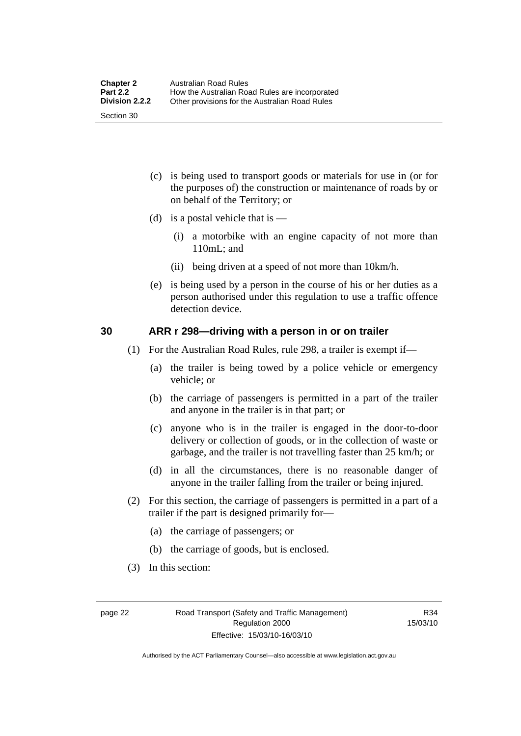- <span id="page-31-0"></span> (c) is being used to transport goods or materials for use in (or for the purposes of) the construction or maintenance of roads by or on behalf of the Territory; or
- (d) is a postal vehicle that is  $-$ 
	- (i) a motorbike with an engine capacity of not more than 110mL; and
	- (ii) being driven at a speed of not more than 10km/h.
- (e) is being used by a person in the course of his or her duties as a person authorised under this regulation to use a traffic offence detection device.

#### **30 ARR r 298—driving with a person in or on trailer**

- (1) For the Australian Road Rules, rule 298, a trailer is exempt if—
	- (a) the trailer is being towed by a police vehicle or emergency vehicle; or
	- (b) the carriage of passengers is permitted in a part of the trailer and anyone in the trailer is in that part; or
	- (c) anyone who is in the trailer is engaged in the door-to-door delivery or collection of goods, or in the collection of waste or garbage, and the trailer is not travelling faster than 25 km/h; or
	- (d) in all the circumstances, there is no reasonable danger of anyone in the trailer falling from the trailer or being injured.
- (2) For this section, the carriage of passengers is permitted in a part of a trailer if the part is designed primarily for—
	- (a) the carriage of passengers; or
	- (b) the carriage of goods, but is enclosed.
- (3) In this section:

R34 15/03/10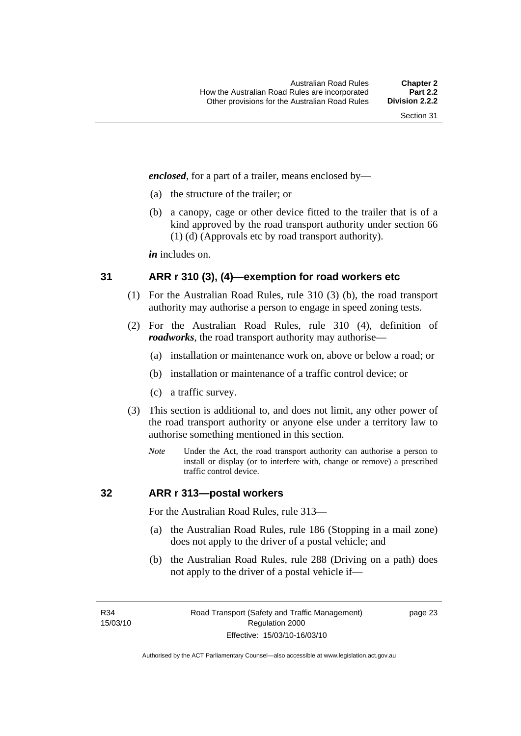<span id="page-32-0"></span>*enclosed*, for a part of a trailer, means enclosed by—

- (a) the structure of the trailer; or
- (b) a canopy, cage or other device fitted to the trailer that is of a kind approved by the road transport authority under section 66 (1) (d) (Approvals etc by road transport authority).

*in* includes on.

#### **31 ARR r 310 (3), (4)—exemption for road workers etc**

- (1) For the Australian Road Rules, rule 310 (3) (b), the road transport authority may authorise a person to engage in speed zoning tests.
- (2) For the Australian Road Rules, rule 310 (4), definition of *roadworks*, the road transport authority may authorise—
	- (a) installation or maintenance work on, above or below a road; or
	- (b) installation or maintenance of a traffic control device; or
	- (c) a traffic survey.
- (3) This section is additional to, and does not limit, any other power of the road transport authority or anyone else under a territory law to authorise something mentioned in this section.
	- *Note* Under the Act, the road transport authority can authorise a person to install or display (or to interfere with, change or remove) a prescribed traffic control device.

#### **32 ARR r 313—postal workers**

For the Australian Road Rules, rule 313—

- (a) the Australian Road Rules, rule 186 (Stopping in a mail zone) does not apply to the driver of a postal vehicle; and
- (b) the Australian Road Rules, rule 288 (Driving on a path) does not apply to the driver of a postal vehicle if—

R34 15/03/10 page 23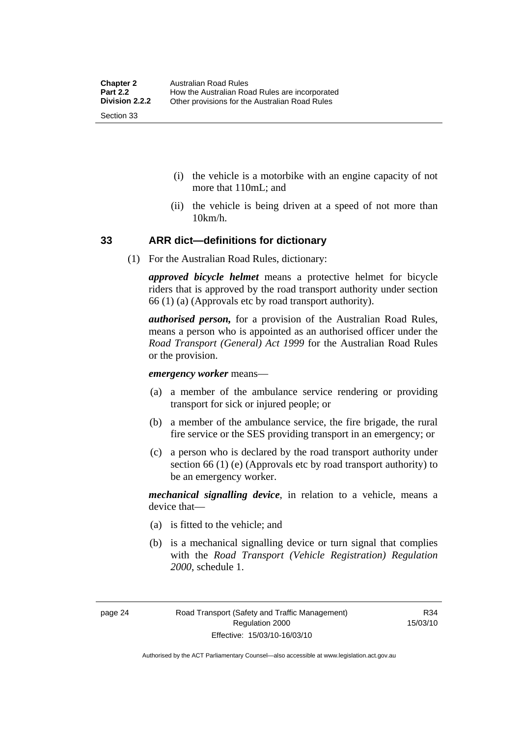- <span id="page-33-0"></span> (i) the vehicle is a motorbike with an engine capacity of not more that 110mL; and
- (ii) the vehicle is being driven at a speed of not more than 10km/h.

#### **33 ARR dict—definitions for dictionary**

(1) For the Australian Road Rules, dictionary:

*approved bicycle helmet* means a protective helmet for bicycle riders that is approved by the road transport authority under section 66 (1) (a) (Approvals etc by road transport authority).

*authorised person,* for a provision of the Australian Road Rules, means a person who is appointed as an authorised officer under the *Road Transport (General) Act 1999* for the Australian Road Rules or the provision.

*emergency worker* means—

- (a) a member of the ambulance service rendering or providing transport for sick or injured people; or
- (b) a member of the ambulance service, the fire brigade, the rural fire service or the SES providing transport in an emergency; or
- (c) a person who is declared by the road transport authority under section 66 (1) (e) (Approvals etc by road transport authority) to be an emergency worker.

*mechanical signalling device*, in relation to a vehicle, means a device that—

- (a) is fitted to the vehicle; and
- (b) is a mechanical signalling device or turn signal that complies with the *Road Transport (Vehicle Registration) Regulation 2000*, schedule 1.

Authorised by the ACT Parliamentary Counsel—also accessible at www.legislation.act.gov.au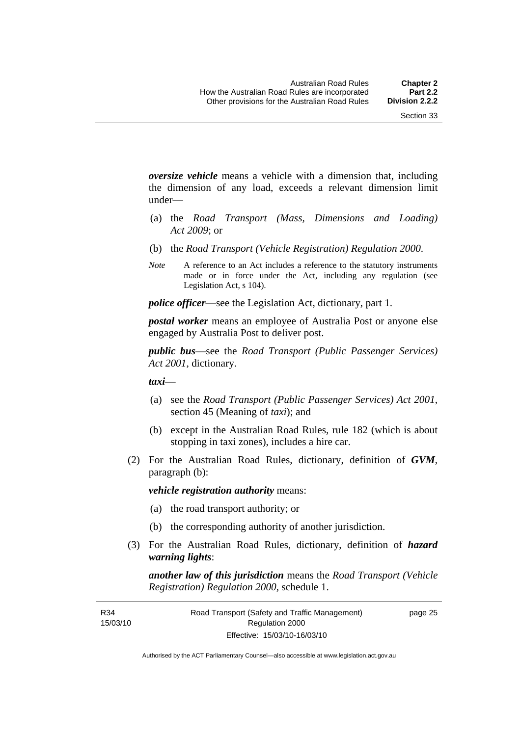*oversize vehicle* means a vehicle with a dimension that, including the dimension of any load, exceeds a relevant dimension limit under—

- (a) the *Road Transport (Mass, Dimensions and Loading) Act 2009*; or
- (b) the *Road Transport (Vehicle Registration) Regulation 2000*.
- *Note* A reference to an Act includes a reference to the statutory instruments made or in force under the Act, including any regulation (see Legislation Act, s 104).

*police officer*—see the Legislation Act, dictionary, part 1.

*postal worker* means an employee of Australia Post or anyone else engaged by Australia Post to deliver post.

*public bus*—see the *Road Transport (Public Passenger Services) Act 2001*, dictionary.

*taxi*—

- (a) see the *Road Transport (Public Passenger Services) Act 2001*, section 45 (Meaning of *taxi*); and
- (b) except in the Australian Road Rules, rule 182 (which is about stopping in taxi zones), includes a hire car.
- (2) For the Australian Road Rules, dictionary, definition of *GVM*, paragraph (b):

*vehicle registration authority* means:

- (a) the road transport authority; or
- (b) the corresponding authority of another jurisdiction.
- (3) For the Australian Road Rules, dictionary, definition of *hazard warning lights*:

*another law of this jurisdiction* means the *Road Transport (Vehicle Registration) Regulation 2000*, schedule 1.

R34 15/03/10 page 25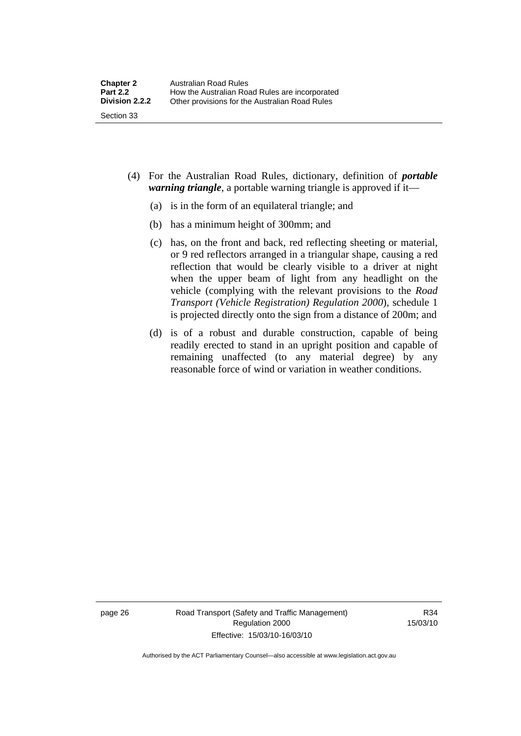- (4) For the Australian Road Rules, dictionary, definition of *portable warning triangle*, a portable warning triangle is approved if it—
	- (a) is in the form of an equilateral triangle; and
	- (b) has a minimum height of 300mm; and
	- (c) has, on the front and back, red reflecting sheeting or material, or 9 red reflectors arranged in a triangular shape, causing a red reflection that would be clearly visible to a driver at night when the upper beam of light from any headlight on the vehicle (complying with the relevant provisions to the *Road Transport (Vehicle Registration) Regulation 2000*), schedule 1 is projected directly onto the sign from a distance of 200m; and
	- (d) is of a robust and durable construction, capable of being readily erected to stand in an upright position and capable of remaining unaffected (to any material degree) by any reasonable force of wind or variation in weather conditions.

page 26 Road Transport (Safety and Traffic Management) Regulation 2000 Effective: 15/03/10-16/03/10

R34 15/03/10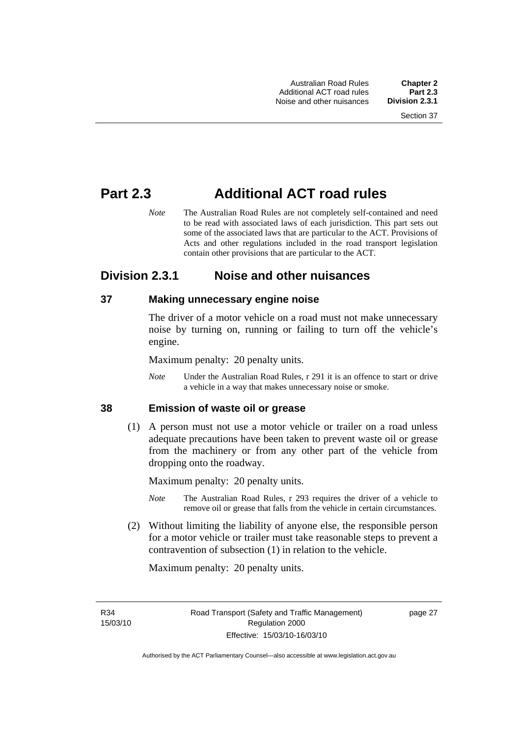# **Part 2.3 Additional ACT road rules**

*Note* The Australian Road Rules are not completely self-contained and need to be read with associated laws of each jurisdiction. This part sets out some of the associated laws that are particular to the ACT. Provisions of Acts and other regulations included in the road transport legislation contain other provisions that are particular to the ACT.

# **Division 2.3.1 Noise and other nuisances**

# **37 Making unnecessary engine noise**

The driver of a motor vehicle on a road must not make unnecessary noise by turning on, running or failing to turn off the vehicle's engine.

Maximum penalty: 20 penalty units.

*Note* Under the Australian Road Rules, r 291 it is an offence to start or drive a vehicle in a way that makes unnecessary noise or smoke.

#### **38 Emission of waste oil or grease**

 (1) A person must not use a motor vehicle or trailer on a road unless adequate precautions have been taken to prevent waste oil or grease from the machinery or from any other part of the vehicle from dropping onto the roadway.

Maximum penalty: 20 penalty units.

- *Note* The Australian Road Rules, r 293 requires the driver of a vehicle to remove oil or grease that falls from the vehicle in certain circumstances.
- (2) Without limiting the liability of anyone else, the responsible person for a motor vehicle or trailer must take reasonable steps to prevent a contravention of subsection (1) in relation to the vehicle.

Maximum penalty: 20 penalty units.

R34 15/03/10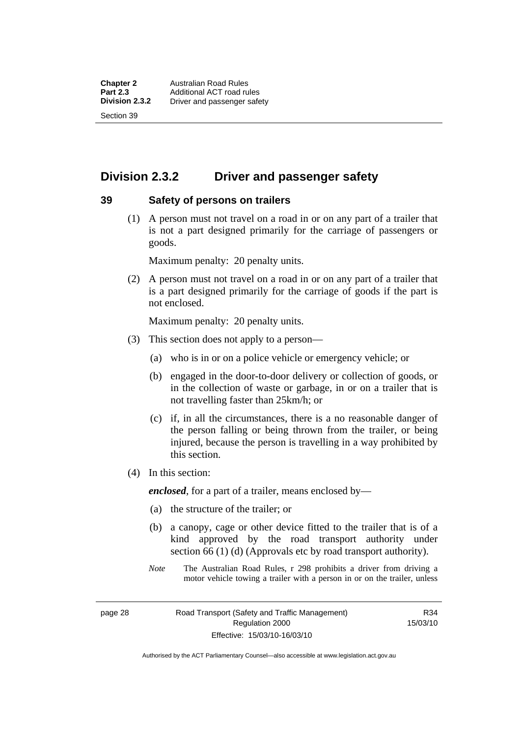# **Division 2.3.2 Driver and passenger safety**

#### **39 Safety of persons on trailers**

 (1) A person must not travel on a road in or on any part of a trailer that is not a part designed primarily for the carriage of passengers or goods.

Maximum penalty: 20 penalty units.

 (2) A person must not travel on a road in or on any part of a trailer that is a part designed primarily for the carriage of goods if the part is not enclosed.

Maximum penalty: 20 penalty units.

- (3) This section does not apply to a person—
	- (a) who is in or on a police vehicle or emergency vehicle; or
	- (b) engaged in the door-to-door delivery or collection of goods, or in the collection of waste or garbage, in or on a trailer that is not travelling faster than 25km/h; or
	- (c) if, in all the circumstances, there is a no reasonable danger of the person falling or being thrown from the trailer, or being injured, because the person is travelling in a way prohibited by this section.
- (4) In this section:

*enclosed*, for a part of a trailer, means enclosed by—

- (a) the structure of the trailer; or
- (b) a canopy, cage or other device fitted to the trailer that is of a kind approved by the road transport authority under section 66 (1) (d) (Approvals etc by road transport authority).
- *Note* The Australian Road Rules, r 298 prohibits a driver from driving a motor vehicle towing a trailer with a person in or on the trailer, unless

page 28 Road Transport (Safety and Traffic Management) Regulation 2000 Effective: 15/03/10-16/03/10

R34 15/03/10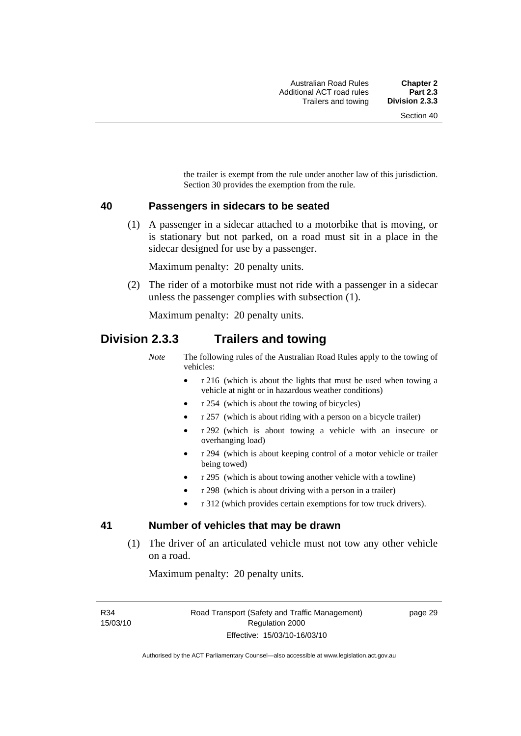the trailer is exempt from the rule under another law of this jurisdiction. Section 30 provides the exemption from the rule.

#### **40 Passengers in sidecars to be seated**

 (1) A passenger in a sidecar attached to a motorbike that is moving, or is stationary but not parked, on a road must sit in a place in the sidecar designed for use by a passenger.

Maximum penalty: 20 penalty units.

 (2) The rider of a motorbike must not ride with a passenger in a sidecar unless the passenger complies with subsection (1).

Maximum penalty: 20 penalty units.

# **Division 2.3.3 Trailers and towing**

*Note* The following rules of the Australian Road Rules apply to the towing of vehicles:

- r 216 (which is about the lights that must be used when towing a vehicle at night or in hazardous weather conditions)
- r 254 (which is about the towing of bicycles)
- r 257 (which is about riding with a person on a bicycle trailer)
- r 292 (which is about towing a vehicle with an insecure or overhanging load)
- r 294 (which is about keeping control of a motor vehicle or trailer being towed)
- r 295 (which is about towing another vehicle with a towline)
- r 298 (which is about driving with a person in a trailer)
- r 312 (which provides certain exemptions for tow truck drivers).

#### **41 Number of vehicles that may be drawn**

 (1) The driver of an articulated vehicle must not tow any other vehicle on a road.

Maximum penalty: 20 penalty units.

R34 15/03/10 page 29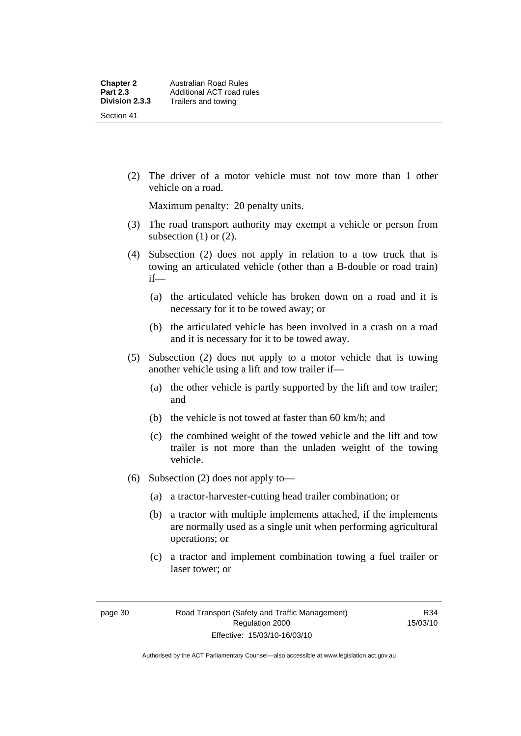(2) The driver of a motor vehicle must not tow more than 1 other vehicle on a road.

Maximum penalty: 20 penalty units.

- (3) The road transport authority may exempt a vehicle or person from subsection  $(1)$  or  $(2)$ .
- (4) Subsection (2) does not apply in relation to a tow truck that is towing an articulated vehicle (other than a B-double or road train) if—
	- (a) the articulated vehicle has broken down on a road and it is necessary for it to be towed away; or
	- (b) the articulated vehicle has been involved in a crash on a road and it is necessary for it to be towed away.
- (5) Subsection (2) does not apply to a motor vehicle that is towing another vehicle using a lift and tow trailer if—
	- (a) the other vehicle is partly supported by the lift and tow trailer; and
	- (b) the vehicle is not towed at faster than 60 km/h; and
	- (c) the combined weight of the towed vehicle and the lift and tow trailer is not more than the unladen weight of the towing vehicle.
- (6) Subsection (2) does not apply to—
	- (a) a tractor-harvester-cutting head trailer combination; or
	- (b) a tractor with multiple implements attached, if the implements are normally used as a single unit when performing agricultural operations; or
	- (c) a tractor and implement combination towing a fuel trailer or laser tower; or

Authorised by the ACT Parliamentary Counsel—also accessible at www.legislation.act.gov.au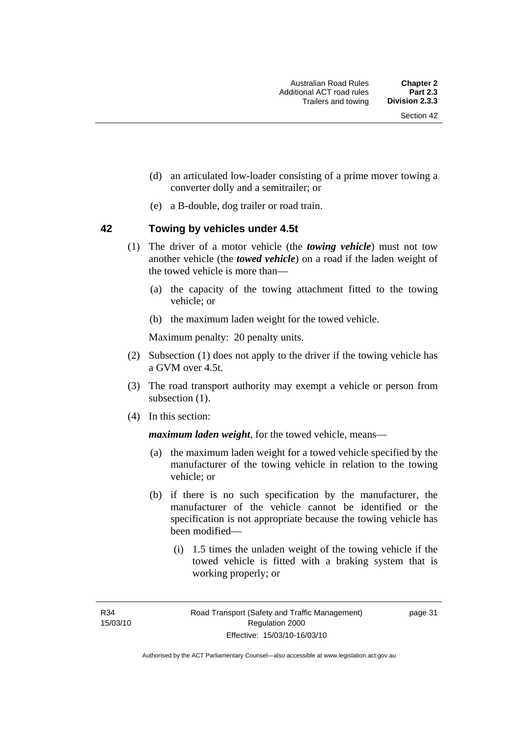- (d) an articulated low-loader consisting of a prime mover towing a converter dolly and a semitrailer; or
- (e) a B-double, dog trailer or road train.

#### **42 Towing by vehicles under 4.5t**

- (1) The driver of a motor vehicle (the *towing vehicle*) must not tow another vehicle (the *towed vehicle*) on a road if the laden weight of the towed vehicle is more than—
	- (a) the capacity of the towing attachment fitted to the towing vehicle; or
	- (b) the maximum laden weight for the towed vehicle.

Maximum penalty: 20 penalty units.

- (2) Subsection (1) does not apply to the driver if the towing vehicle has a GVM over 4.5t.
- (3) The road transport authority may exempt a vehicle or person from subsection  $(1)$ .
- (4) In this section:

*maximum laden weight*, for the towed vehicle, means—

- (a) the maximum laden weight for a towed vehicle specified by the manufacturer of the towing vehicle in relation to the towing vehicle; or
- (b) if there is no such specification by the manufacturer, the manufacturer of the vehicle cannot be identified or the specification is not appropriate because the towing vehicle has been modified—
	- (i) 1.5 times the unladen weight of the towing vehicle if the towed vehicle is fitted with a braking system that is working properly; or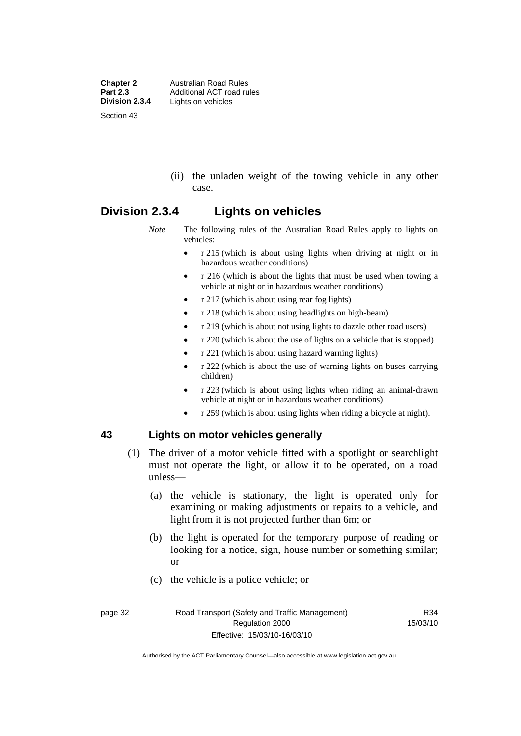**Chapter 2 Australian Road Rules**<br>**Part 2.3 Additional ACT road rules Part 2.3** Additional ACT road rules<br>**Division 2.3.4** Lights on vehicles Lights on vehicles Section 43

> (ii) the unladen weight of the towing vehicle in any other case.

# **Division 2.3.4 Lights on vehicles**

*Note* The following rules of the Australian Road Rules apply to lights on vehicles:

- r 215 (which is about using lights when driving at night or in hazardous weather conditions)
- r 216 (which is about the lights that must be used when towing a vehicle at night or in hazardous weather conditions)
- r 217 (which is about using rear fog lights)
- r 218 (which is about using headlights on high-beam)
- r 219 (which is about not using lights to dazzle other road users)
- r 220 (which is about the use of lights on a vehicle that is stopped)
- r 221 (which is about using hazard warning lights)
- r 222 (which is about the use of warning lights on buses carrying children)
- r 223 (which is about using lights when riding an animal-drawn vehicle at night or in hazardous weather conditions)
- r 259 (which is about using lights when riding a bicycle at night).

## **43 Lights on motor vehicles generally**

- (1) The driver of a motor vehicle fitted with a spotlight or searchlight must not operate the light, or allow it to be operated, on a road unless—
	- (a) the vehicle is stationary, the light is operated only for examining or making adjustments or repairs to a vehicle, and light from it is not projected further than 6m; or
	- (b) the light is operated for the temporary purpose of reading or looking for a notice, sign, house number or something similar; or
	- (c) the vehicle is a police vehicle; or

Authorised by the ACT Parliamentary Counsel—also accessible at www.legislation.act.gov.au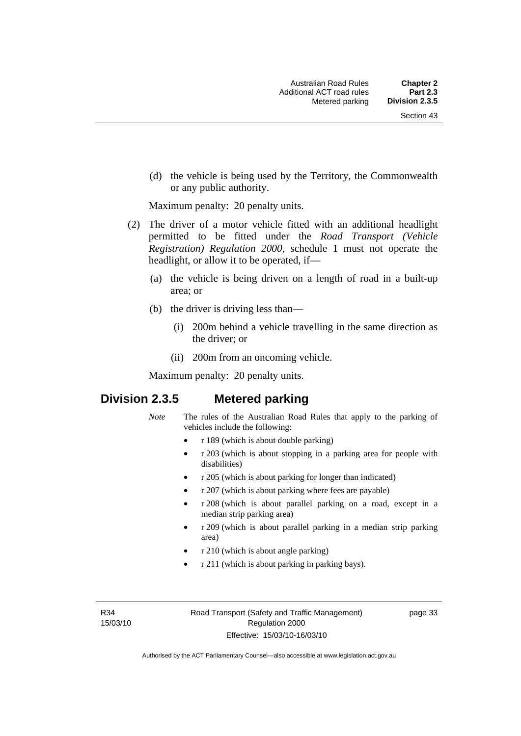(d) the vehicle is being used by the Territory, the Commonwealth or any public authority.

Maximum penalty: 20 penalty units.

- (2) The driver of a motor vehicle fitted with an additional headlight permitted to be fitted under the *Road Transport (Vehicle Registration) Regulation 2000*, schedule 1 must not operate the headlight, or allow it to be operated, if—
	- (a) the vehicle is being driven on a length of road in a built-up area; or
	- (b) the driver is driving less than—
		- (i) 200m behind a vehicle travelling in the same direction as the driver; or
		- (ii) 200m from an oncoming vehicle.

Maximum penalty: 20 penalty units.

# **Division 2.3.5 Metered parking**

- *Note* The rules of the Australian Road Rules that apply to the parking of vehicles include the following:
	- r 189 (which is about double parking)
	- r 203 (which is about stopping in a parking area for people with disabilities)
	- r 205 (which is about parking for longer than indicated)
	- r 207 (which is about parking where fees are payable)
	- r 208 (which is about parallel parking on a road, except in a median strip parking area)
	- r 209 (which is about parallel parking in a median strip parking area)
	- r 210 (which is about angle parking)
	- r 211 (which is about parking in parking bays).

R34 15/03/10 page 33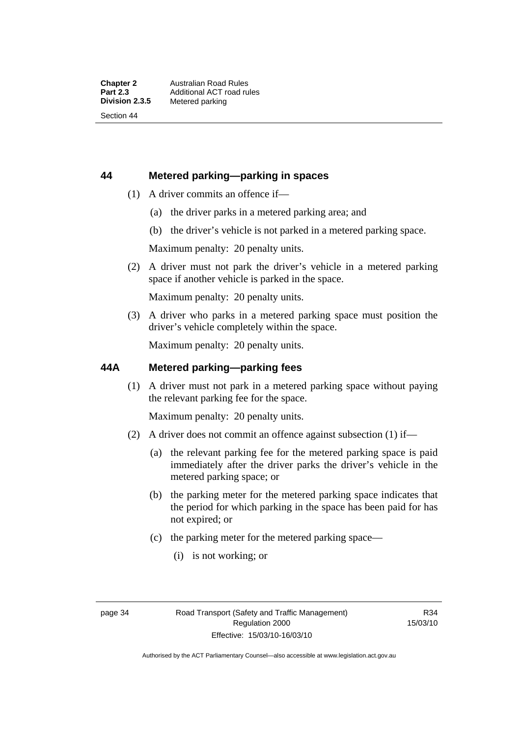# **44 Metered parking—parking in spaces**

- (1) A driver commits an offence if—
	- (a) the driver parks in a metered parking area; and
	- (b) the driver's vehicle is not parked in a metered parking space.

Maximum penalty: 20 penalty units.

 (2) A driver must not park the driver's vehicle in a metered parking space if another vehicle is parked in the space.

Maximum penalty: 20 penalty units.

 (3) A driver who parks in a metered parking space must position the driver's vehicle completely within the space.

Maximum penalty: 20 penalty units.

## **44A Metered parking—parking fees**

 (1) A driver must not park in a metered parking space without paying the relevant parking fee for the space.

Maximum penalty: 20 penalty units.

- (2) A driver does not commit an offence against subsection (1) if—
	- (a) the relevant parking fee for the metered parking space is paid immediately after the driver parks the driver's vehicle in the metered parking space; or
	- (b) the parking meter for the metered parking space indicates that the period for which parking in the space has been paid for has not expired; or
	- (c) the parking meter for the metered parking space—
		- (i) is not working; or

R34 15/03/10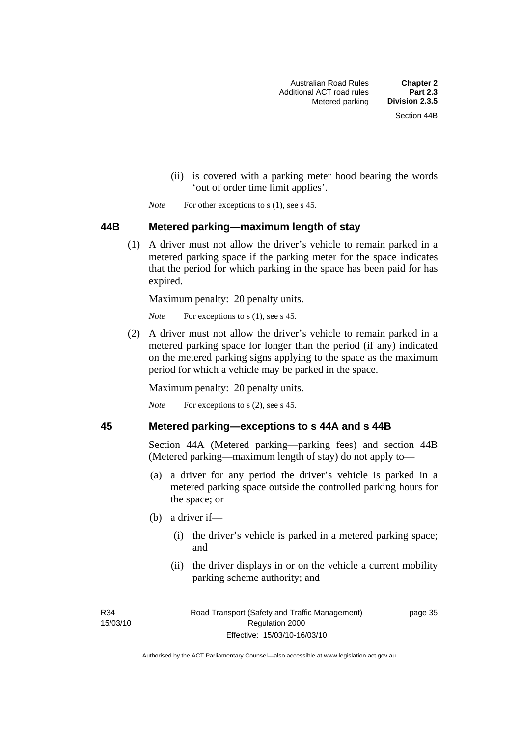- (ii) is covered with a parking meter hood bearing the words 'out of order time limit applies'.
- *Note* For other exceptions to s (1), see s 45.

#### **44B Metered parking—maximum length of stay**

 (1) A driver must not allow the driver's vehicle to remain parked in a metered parking space if the parking meter for the space indicates that the period for which parking in the space has been paid for has expired.

Maximum penalty: 20 penalty units.

*Note* For exceptions to s (1), see s 45.

 (2) A driver must not allow the driver's vehicle to remain parked in a metered parking space for longer than the period (if any) indicated on the metered parking signs applying to the space as the maximum period for which a vehicle may be parked in the space.

Maximum penalty: 20 penalty units.

*Note* For exceptions to s (2), see s 45.

#### **45 Metered parking—exceptions to s 44A and s 44B**

Section 44A (Metered parking—parking fees) and section 44B (Metered parking—maximum length of stay) do not apply to—

- (a) a driver for any period the driver's vehicle is parked in a metered parking space outside the controlled parking hours for the space; or
- (b) a driver if—
	- (i) the driver's vehicle is parked in a metered parking space; and
	- (ii) the driver displays in or on the vehicle a current mobility parking scheme authority; and

R34 15/03/10 page 35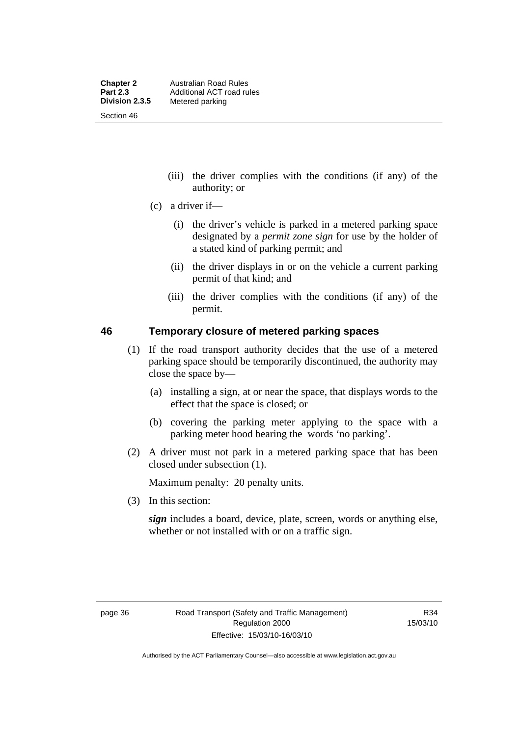- (iii) the driver complies with the conditions (if any) of the authority; or
- (c) a driver if—
	- (i) the driver's vehicle is parked in a metered parking space designated by a *permit zone sign* for use by the holder of a stated kind of parking permit; and
	- (ii) the driver displays in or on the vehicle a current parking permit of that kind; and
	- (iii) the driver complies with the conditions (if any) of the permit.

#### **46 Temporary closure of metered parking spaces**

- (1) If the road transport authority decides that the use of a metered parking space should be temporarily discontinued, the authority may close the space by—
	- (a) installing a sign, at or near the space, that displays words to the effect that the space is closed; or
	- (b) covering the parking meter applying to the space with a parking meter hood bearing the words 'no parking'.
- (2) A driver must not park in a metered parking space that has been closed under subsection (1).

Maximum penalty: 20 penalty units.

(3) In this section:

*sign* includes a board, device, plate, screen, words or anything else, whether or not installed with or on a traffic sign.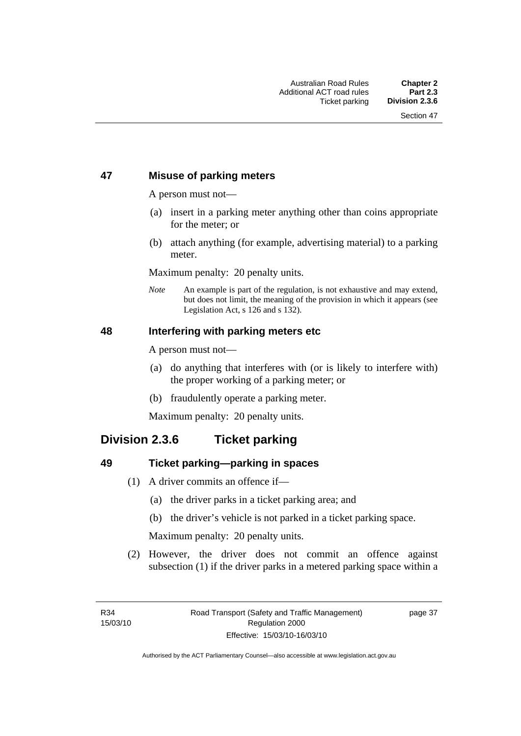# **47 Misuse of parking meters**

A person must not—

- (a) insert in a parking meter anything other than coins appropriate for the meter; or
- (b) attach anything (for example, advertising material) to a parking meter.

Maximum penalty: 20 penalty units.

*Note* An example is part of the regulation, is not exhaustive and may extend, but does not limit, the meaning of the provision in which it appears (see Legislation Act, s 126 and s 132).

#### **48 Interfering with parking meters etc**

A person must not—

- (a) do anything that interferes with (or is likely to interfere with) the proper working of a parking meter; or
- (b) fraudulently operate a parking meter.

Maximum penalty: 20 penalty units.

# **Division 2.3.6 Ticket parking**

#### **49 Ticket parking—parking in spaces**

- (1) A driver commits an offence if—
	- (a) the driver parks in a ticket parking area; and
	- (b) the driver's vehicle is not parked in a ticket parking space.

Maximum penalty: 20 penalty units.

 (2) However, the driver does not commit an offence against subsection (1) if the driver parks in a metered parking space within a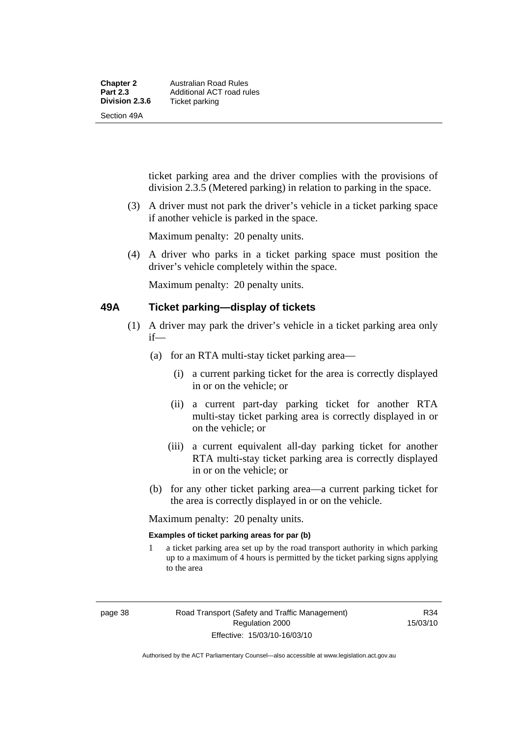| <b>Chapter 2</b> | Australian Road Rules     |
|------------------|---------------------------|
| <b>Part 2.3</b>  | Additional ACT road rules |
| Division 2.3.6   | Ticket parking            |
| Section 49A      |                           |

ticket parking area and the driver complies with the provisions of division 2.3.5 (Metered parking) in relation to parking in the space.

 (3) A driver must not park the driver's vehicle in a ticket parking space if another vehicle is parked in the space.

Maximum penalty: 20 penalty units.

 (4) A driver who parks in a ticket parking space must position the driver's vehicle completely within the space.

Maximum penalty: 20 penalty units.

#### **49A Ticket parking—display of tickets**

- (1) A driver may park the driver's vehicle in a ticket parking area only if—
	- (a) for an RTA multi-stay ticket parking area—
		- (i) a current parking ticket for the area is correctly displayed in or on the vehicle; or
		- (ii) a current part-day parking ticket for another RTA multi-stay ticket parking area is correctly displayed in or on the vehicle; or
		- (iii) a current equivalent all-day parking ticket for another RTA multi-stay ticket parking area is correctly displayed in or on the vehicle; or
	- (b) for any other ticket parking area—a current parking ticket for the area is correctly displayed in or on the vehicle.

Maximum penalty: 20 penalty units.

#### **Examples of ticket parking areas for par (b)**

1 a ticket parking area set up by the road transport authority in which parking up to a maximum of 4 hours is permitted by the ticket parking signs applying to the area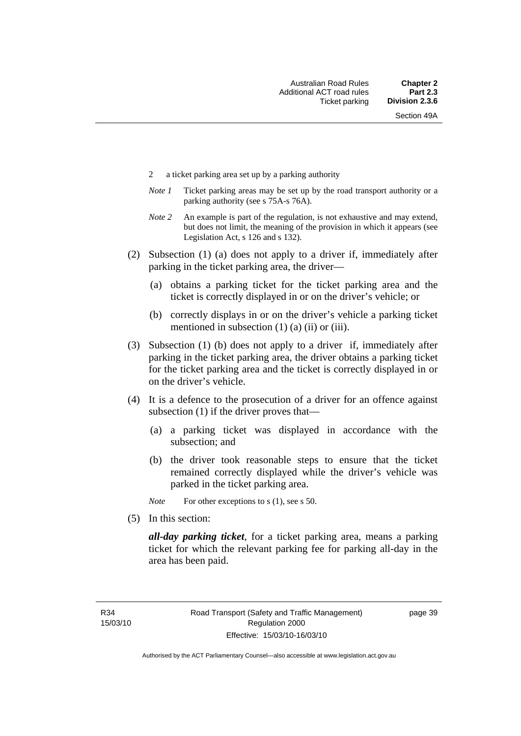- 2 a ticket parking area set up by a parking authority
- *Note 1* Ticket parking areas may be set up by the road transport authority or a parking authority (see s 75A-s 76A).
- *Note 2* An example is part of the regulation, is not exhaustive and may extend, but does not limit, the meaning of the provision in which it appears (see Legislation Act, s 126 and s 132).
- (2) Subsection (1) (a) does not apply to a driver if, immediately after parking in the ticket parking area, the driver—
	- (a) obtains a parking ticket for the ticket parking area and the ticket is correctly displayed in or on the driver's vehicle; or
	- (b) correctly displays in or on the driver's vehicle a parking ticket mentioned in subsection  $(1)$   $(a)$   $(ii)$  or  $(iii)$ .
- (3) Subsection (1) (b) does not apply to a driver if, immediately after parking in the ticket parking area, the driver obtains a parking ticket for the ticket parking area and the ticket is correctly displayed in or on the driver's vehicle.
- (4) It is a defence to the prosecution of a driver for an offence against subsection (1) if the driver proves that—
	- (a) a parking ticket was displayed in accordance with the subsection; and
	- (b) the driver took reasonable steps to ensure that the ticket remained correctly displayed while the driver's vehicle was parked in the ticket parking area.
	- *Note* For other exceptions to s (1), see s 50.
- (5) In this section:

*all-day parking ticket*, for a ticket parking area, means a parking ticket for which the relevant parking fee for parking all-day in the area has been paid.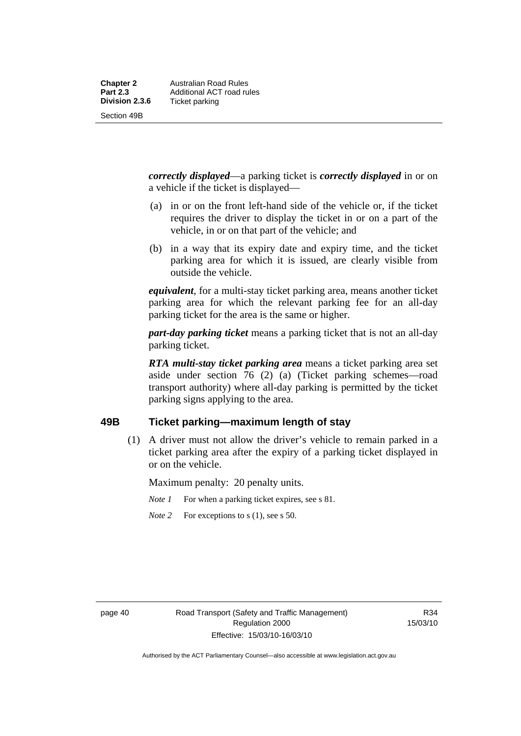*correctly displayed*—a parking ticket is *correctly displayed* in or on a vehicle if the ticket is displayed—

- (a) in or on the front left-hand side of the vehicle or, if the ticket requires the driver to display the ticket in or on a part of the vehicle, in or on that part of the vehicle; and
- (b) in a way that its expiry date and expiry time, and the ticket parking area for which it is issued, are clearly visible from outside the vehicle.

*equivalent*, for a multi-stay ticket parking area, means another ticket parking area for which the relevant parking fee for an all-day parking ticket for the area is the same or higher.

*part-day parking ticket* means a parking ticket that is not an all-day parking ticket.

*RTA multi-stay ticket parking area* means a ticket parking area set aside under section 76 (2) (a) (Ticket parking schemes—road transport authority) where all-day parking is permitted by the ticket parking signs applying to the area.

# **49B Ticket parking—maximum length of stay**

 (1) A driver must not allow the driver's vehicle to remain parked in a ticket parking area after the expiry of a parking ticket displayed in or on the vehicle.

Maximum penalty: 20 penalty units.

*Note 1* For when a parking ticket expires, see s 81.

*Note* 2 For exceptions to s (1), see s 50.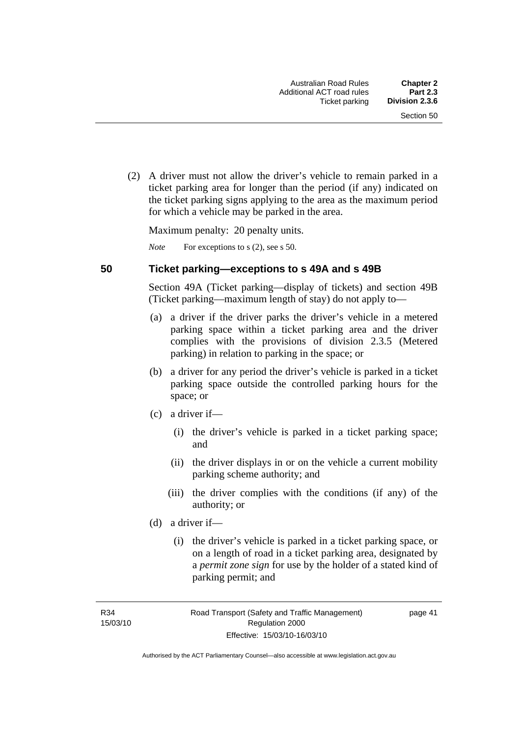(2) A driver must not allow the driver's vehicle to remain parked in a ticket parking area for longer than the period (if any) indicated on the ticket parking signs applying to the area as the maximum period for which a vehicle may be parked in the area.

Maximum penalty: 20 penalty units.

*Note* For exceptions to s (2), see s 50.

#### **50 Ticket parking—exceptions to s 49A and s 49B**

Section 49A (Ticket parking—display of tickets) and section 49B (Ticket parking—maximum length of stay) do not apply to—

- (a) a driver if the driver parks the driver's vehicle in a metered parking space within a ticket parking area and the driver complies with the provisions of division 2.3.5 (Metered parking) in relation to parking in the space; or
- (b) a driver for any period the driver's vehicle is parked in a ticket parking space outside the controlled parking hours for the space; or
- (c) a driver if—
	- (i) the driver's vehicle is parked in a ticket parking space; and
	- (ii) the driver displays in or on the vehicle a current mobility parking scheme authority; and
	- (iii) the driver complies with the conditions (if any) of the authority; or
- (d) a driver if—
	- (i) the driver's vehicle is parked in a ticket parking space, or on a length of road in a ticket parking area, designated by a *permit zone sign* for use by the holder of a stated kind of parking permit; and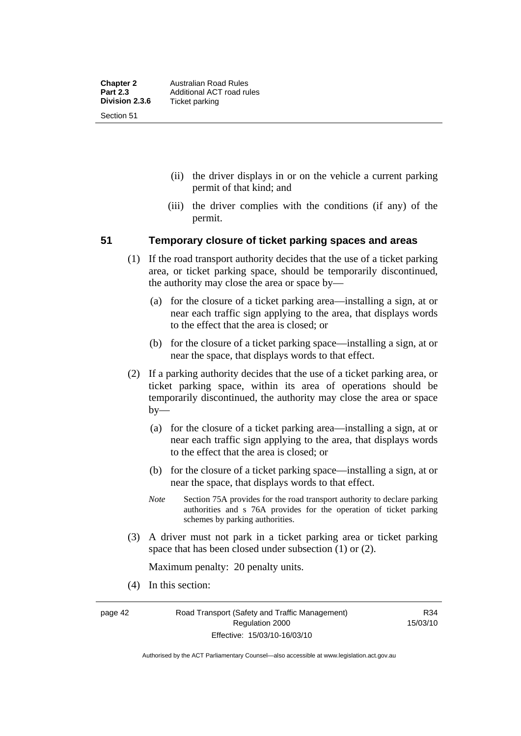- (ii) the driver displays in or on the vehicle a current parking permit of that kind; and
- (iii) the driver complies with the conditions (if any) of the permit.

#### **51 Temporary closure of ticket parking spaces and areas**

- (1) If the road transport authority decides that the use of a ticket parking area, or ticket parking space, should be temporarily discontinued, the authority may close the area or space by—
	- (a) for the closure of a ticket parking area—installing a sign, at or near each traffic sign applying to the area, that displays words to the effect that the area is closed; or
	- (b) for the closure of a ticket parking space—installing a sign, at or near the space, that displays words to that effect.
- (2) If a parking authority decides that the use of a ticket parking area, or ticket parking space, within its area of operations should be temporarily discontinued, the authority may close the area or space by—
	- (a) for the closure of a ticket parking area—installing a sign, at or near each traffic sign applying to the area, that displays words to the effect that the area is closed; or
	- (b) for the closure of a ticket parking space—installing a sign, at or near the space, that displays words to that effect.
	- *Note* Section 75A provides for the road transport authority to declare parking authorities and s 76A provides for the operation of ticket parking schemes by parking authorities.
- (3) A driver must not park in a ticket parking area or ticket parking space that has been closed under subsection (1) or (2).

Maximum penalty: 20 penalty units.

(4) In this section:

page 42 Road Transport (Safety and Traffic Management) Regulation 2000 Effective: 15/03/10-16/03/10

R34 15/03/10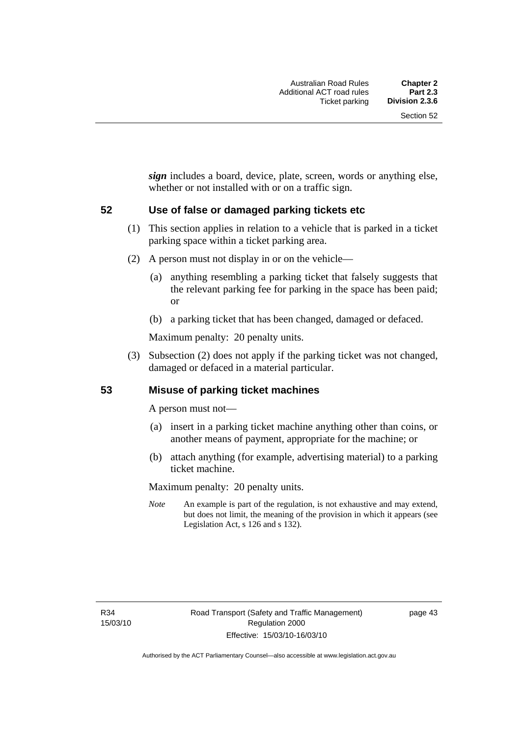*sign* includes a board, device, plate, screen, words or anything else, whether or not installed with or on a traffic sign.

#### **52 Use of false or damaged parking tickets etc**

- (1) This section applies in relation to a vehicle that is parked in a ticket parking space within a ticket parking area.
- (2) A person must not display in or on the vehicle—
	- (a) anything resembling a parking ticket that falsely suggests that the relevant parking fee for parking in the space has been paid; or
	- (b) a parking ticket that has been changed, damaged or defaced.

Maximum penalty: 20 penalty units.

 (3) Subsection (2) does not apply if the parking ticket was not changed, damaged or defaced in a material particular.

#### **53 Misuse of parking ticket machines**

A person must not—

- (a) insert in a parking ticket machine anything other than coins, or another means of payment, appropriate for the machine; or
- (b) attach anything (for example, advertising material) to a parking ticket machine.

Maximum penalty: 20 penalty units.

*Note* An example is part of the regulation, is not exhaustive and may extend, but does not limit, the meaning of the provision in which it appears (see Legislation Act, s 126 and s 132).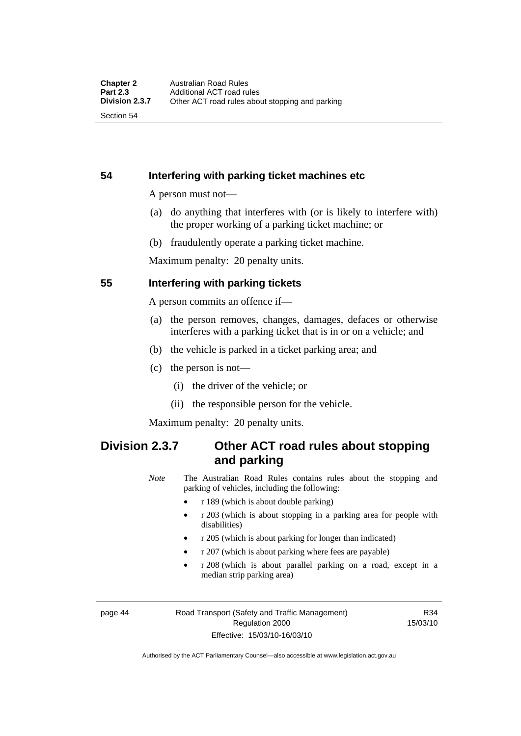Section 54

# **54 Interfering with parking ticket machines etc**

A person must not—

- (a) do anything that interferes with (or is likely to interfere with) the proper working of a parking ticket machine; or
- (b) fraudulently operate a parking ticket machine.

Maximum penalty: 20 penalty units.

# **55 Interfering with parking tickets**

A person commits an offence if—

- (a) the person removes, changes, damages, defaces or otherwise interferes with a parking ticket that is in or on a vehicle; and
- (b) the vehicle is parked in a ticket parking area; and
- (c) the person is not—
	- (i) the driver of the vehicle; or
	- (ii) the responsible person for the vehicle.

Maximum penalty: 20 penalty units.

# **Division 2.3.7 Other ACT road rules about stopping and parking**

*Note* The Australian Road Rules contains rules about the stopping and parking of vehicles, including the following:

- r 189 (which is about double parking)
- r 203 (which is about stopping in a parking area for people with disabilities)
- r 205 (which is about parking for longer than indicated)
- r 207 (which is about parking where fees are payable)
- r 208 (which is about parallel parking on a road, except in a median strip parking area)

page 44 Road Transport (Safety and Traffic Management) Regulation 2000 Effective: 15/03/10-16/03/10

R34 15/03/10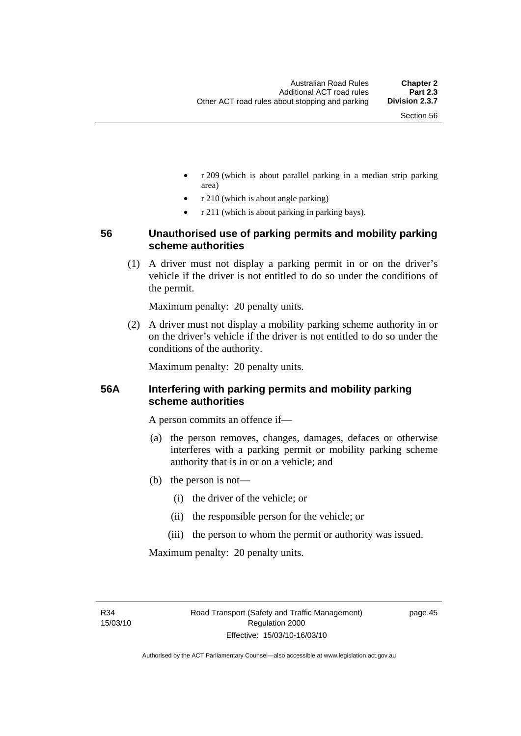- r 209 (which is about parallel parking in a median strip parking area)
- r 210 (which is about angle parking)
- r 211 (which is about parking in parking bays).

# **56 Unauthorised use of parking permits and mobility parking scheme authorities**

 (1) A driver must not display a parking permit in or on the driver's vehicle if the driver is not entitled to do so under the conditions of the permit.

Maximum penalty: 20 penalty units.

 (2) A driver must not display a mobility parking scheme authority in or on the driver's vehicle if the driver is not entitled to do so under the conditions of the authority.

Maximum penalty: 20 penalty units.

# **56A Interfering with parking permits and mobility parking scheme authorities**

A person commits an offence if—

- (a) the person removes, changes, damages, defaces or otherwise interferes with a parking permit or mobility parking scheme authority that is in or on a vehicle; and
- (b) the person is not—
	- (i) the driver of the vehicle; or
	- (ii) the responsible person for the vehicle; or
	- (iii) the person to whom the permit or authority was issued.

Maximum penalty: 20 penalty units.

R34 15/03/10 page 45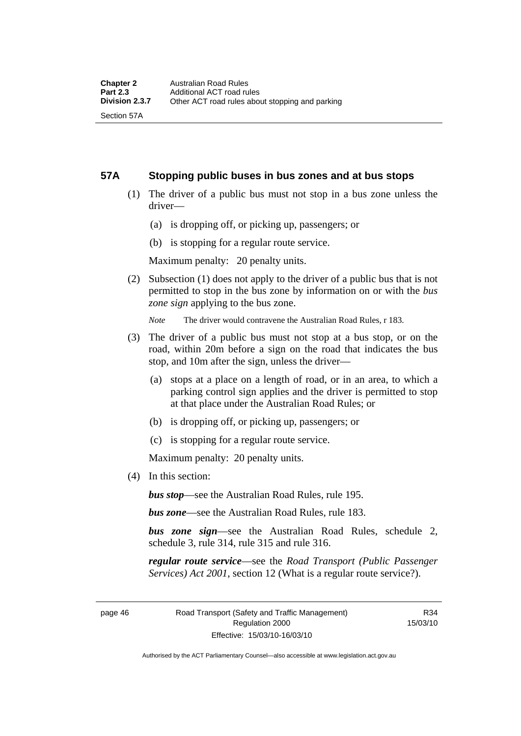#### **57A Stopping public buses in bus zones and at bus stops**

- (1) The driver of a public bus must not stop in a bus zone unless the driver—
	- (a) is dropping off, or picking up, passengers; or
	- (b) is stopping for a regular route service.

Maximum penalty: 20 penalty units.

 (2) Subsection (1) does not apply to the driver of a public bus that is not permitted to stop in the bus zone by information on or with the *bus zone sign* applying to the bus zone.

*Note* The driver would contravene the Australian Road Rules, r 183.

- (3) The driver of a public bus must not stop at a bus stop, or on the road, within 20m before a sign on the road that indicates the bus stop, and 10m after the sign, unless the driver—
	- (a) stops at a place on a length of road, or in an area, to which a parking control sign applies and the driver is permitted to stop at that place under the Australian Road Rules; or
	- (b) is dropping off, or picking up, passengers; or
	- (c) is stopping for a regular route service.

Maximum penalty: 20 penalty units.

(4) In this section:

*bus stop*—see the Australian Road Rules, rule 195.

*bus zone*—see the Australian Road Rules, rule 183.

*bus zone sign*—see the Australian Road Rules, schedule 2, schedule 3, rule 314, rule 315 and rule 316.

*regular route service*—see the *Road Transport (Public Passenger Services) Act 2001*, section 12 (What is a regular route service?).

page 46 Road Transport (Safety and Traffic Management) Regulation 2000 Effective: 15/03/10-16/03/10

R34 15/03/10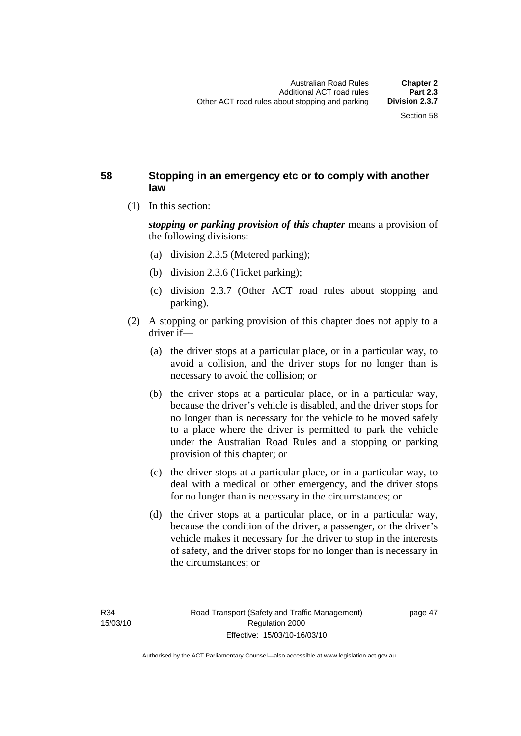# **58 Stopping in an emergency etc or to comply with another law**

(1) In this section:

*stopping or parking provision of this chapter* means a provision of the following divisions:

- (a) division 2.3.5 (Metered parking);
- (b) division 2.3.6 (Ticket parking);
- (c) division 2.3.7 (Other ACT road rules about stopping and parking).
- (2) A stopping or parking provision of this chapter does not apply to a driver if—
	- (a) the driver stops at a particular place, or in a particular way, to avoid a collision, and the driver stops for no longer than is necessary to avoid the collision; or
	- (b) the driver stops at a particular place, or in a particular way, because the driver's vehicle is disabled, and the driver stops for no longer than is necessary for the vehicle to be moved safely to a place where the driver is permitted to park the vehicle under the Australian Road Rules and a stopping or parking provision of this chapter; or
	- (c) the driver stops at a particular place, or in a particular way, to deal with a medical or other emergency, and the driver stops for no longer than is necessary in the circumstances; or
	- (d) the driver stops at a particular place, or in a particular way, because the condition of the driver, a passenger, or the driver's vehicle makes it necessary for the driver to stop in the interests of safety, and the driver stops for no longer than is necessary in the circumstances; or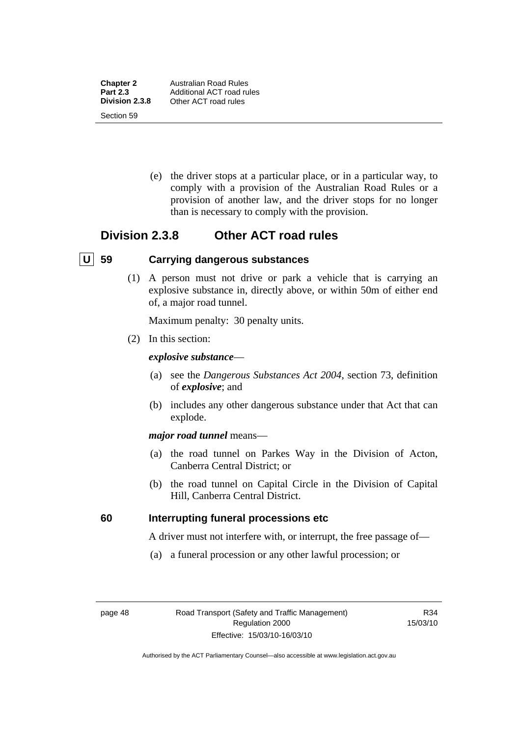**Chapter 2** Australian Road Rules<br>**Part 2.3** Additional ACT road ru **Part 2.3** Additional ACT road rules<br> **Division 2.3.8** Other ACT road rules **Division 2.3.8** Other ACT road rules Section 59

> (e) the driver stops at a particular place, or in a particular way, to comply with a provision of the Australian Road Rules or a provision of another law, and the driver stops for no longer than is necessary to comply with the provision.

# **Division 2.3.8 Other ACT road rules**

# **U 59 Carrying dangerous substances**

 (1) A person must not drive or park a vehicle that is carrying an explosive substance in, directly above, or within 50m of either end of, a major road tunnel.

Maximum penalty: 30 penalty units.

(2) In this section:

#### *explosive substance*—

- (a) see the *Dangerous Substances Act 2004*, section 73, definition of *explosive*; and
- (b) includes any other dangerous substance under that Act that can explode.

#### *major road tunnel* means—

- (a) the road tunnel on Parkes Way in the Division of Acton, Canberra Central District; or
- (b) the road tunnel on Capital Circle in the Division of Capital Hill, Canberra Central District.

#### **60 Interrupting funeral processions etc**

A driver must not interfere with, or interrupt, the free passage of—

(a) a funeral procession or any other lawful procession; or

R34 15/03/10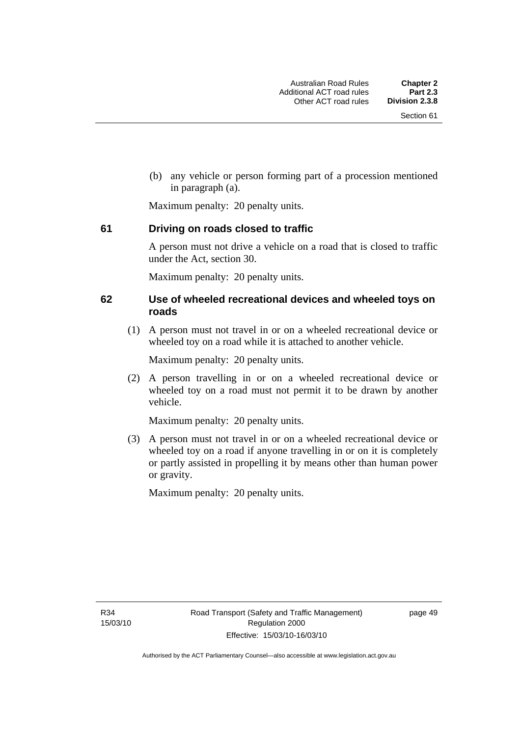(b) any vehicle or person forming part of a procession mentioned in paragraph (a).

Maximum penalty: 20 penalty units.

# **61 Driving on roads closed to traffic**

A person must not drive a vehicle on a road that is closed to traffic under the Act, section 30.

Maximum penalty: 20 penalty units.

### **62 Use of wheeled recreational devices and wheeled toys on roads**

 (1) A person must not travel in or on a wheeled recreational device or wheeled toy on a road while it is attached to another vehicle.

Maximum penalty: 20 penalty units.

 (2) A person travelling in or on a wheeled recreational device or wheeled toy on a road must not permit it to be drawn by another vehicle.

Maximum penalty: 20 penalty units.

 (3) A person must not travel in or on a wheeled recreational device or wheeled toy on a road if anyone travelling in or on it is completely or partly assisted in propelling it by means other than human power or gravity.

Maximum penalty: 20 penalty units.

R34 15/03/10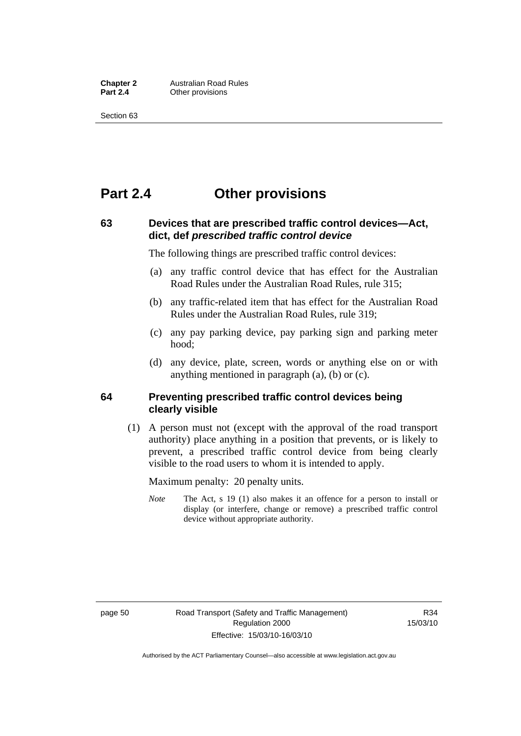**Chapter 2** Australian Road Rules<br>**Part 2.4** Other provisions **Other provisions** 

Section 63

# **Part 2.4 Other provisions**

# **63 Devices that are prescribed traffic control devices—Act, dict, def** *prescribed traffic control device*

The following things are prescribed traffic control devices:

- (a) any traffic control device that has effect for the Australian Road Rules under the Australian Road Rules, rule 315;
- (b) any traffic-related item that has effect for the Australian Road Rules under the Australian Road Rules, rule 319;
- (c) any pay parking device, pay parking sign and parking meter hood;
- (d) any device, plate, screen, words or anything else on or with anything mentioned in paragraph (a), (b) or (c).

#### **64 Preventing prescribed traffic control devices being clearly visible**

 (1) A person must not (except with the approval of the road transport authority) place anything in a position that prevents, or is likely to prevent, a prescribed traffic control device from being clearly visible to the road users to whom it is intended to apply.

Maximum penalty: 20 penalty units.

*Note* The Act, s 19 (1) also makes it an offence for a person to install or display (or interfere, change or remove) a prescribed traffic control device without appropriate authority.

Authorised by the ACT Parliamentary Counsel—also accessible at www.legislation.act.gov.au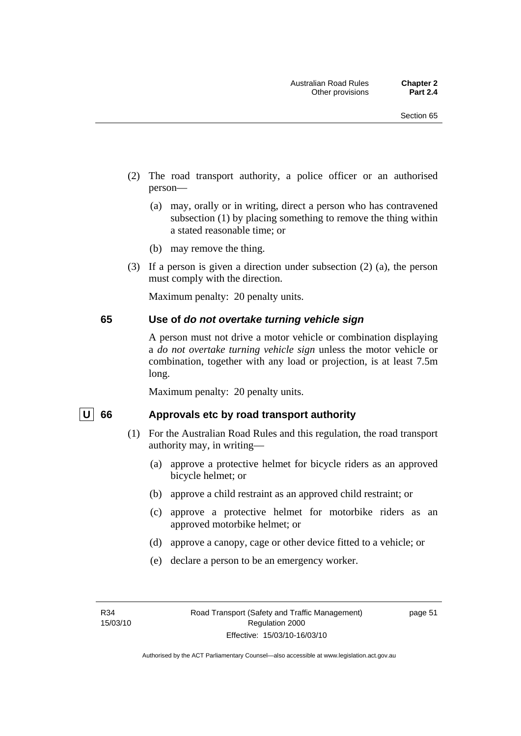- (2) The road transport authority, a police officer or an authorised person—
	- (a) may, orally or in writing, direct a person who has contravened subsection (1) by placing something to remove the thing within a stated reasonable time; or
	- (b) may remove the thing.
- (3) If a person is given a direction under subsection (2) (a), the person must comply with the direction.

Maximum penalty: 20 penalty units.

#### **65 Use of** *do not overtake turning vehicle sign*

A person must not drive a motor vehicle or combination displaying a *do not overtake turning vehicle sign* unless the motor vehicle or combination, together with any load or projection, is at least 7.5m long.

Maximum penalty: 20 penalty units.

#### U 66 Approvals etc by road transport authority

- (1) For the Australian Road Rules and this regulation, the road transport authority may, in writing—
	- (a) approve a protective helmet for bicycle riders as an approved bicycle helmet; or
	- (b) approve a child restraint as an approved child restraint; or
	- (c) approve a protective helmet for motorbike riders as an approved motorbike helmet; or
	- (d) approve a canopy, cage or other device fitted to a vehicle; or
	- (e) declare a person to be an emergency worker.

page 51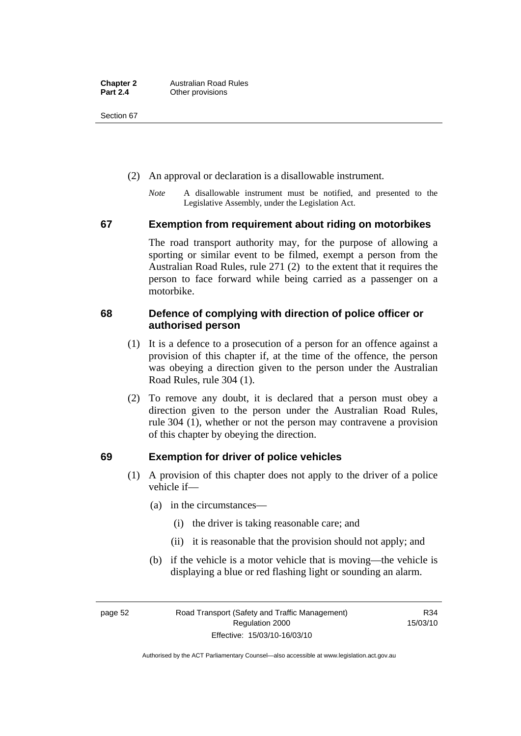Section 67

- (2) An approval or declaration is a disallowable instrument.
	- *Note* A disallowable instrument must be notified, and presented to the Legislative Assembly, under the Legislation Act.

#### **67 Exemption from requirement about riding on motorbikes**

The road transport authority may, for the purpose of allowing a sporting or similar event to be filmed, exempt a person from the Australian Road Rules, rule 271 (2) to the extent that it requires the person to face forward while being carried as a passenger on a motorbike.

# **68 Defence of complying with direction of police officer or authorised person**

- (1) It is a defence to a prosecution of a person for an offence against a provision of this chapter if, at the time of the offence, the person was obeying a direction given to the person under the Australian Road Rules, rule 304 (1).
- (2) To remove any doubt, it is declared that a person must obey a direction given to the person under the Australian Road Rules, rule 304 (1), whether or not the person may contravene a provision of this chapter by obeying the direction.

# **69 Exemption for driver of police vehicles**

- (1) A provision of this chapter does not apply to the driver of a police vehicle if—
	- (a) in the circumstances—
		- (i) the driver is taking reasonable care; and
		- (ii) it is reasonable that the provision should not apply; and
	- (b) if the vehicle is a motor vehicle that is moving—the vehicle is displaying a blue or red flashing light or sounding an alarm.

page 52 Road Transport (Safety and Traffic Management) Regulation 2000 Effective: 15/03/10-16/03/10

R34 15/03/10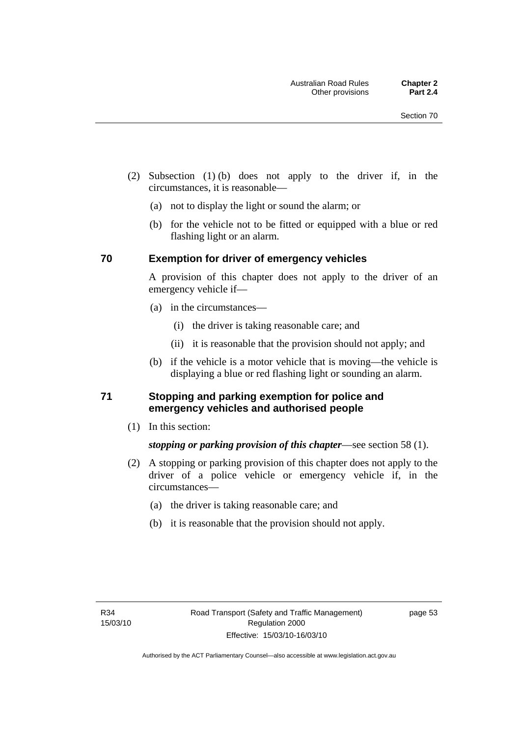- (2) Subsection (1) (b) does not apply to the driver if, in the circumstances, it is reasonable—
	- (a) not to display the light or sound the alarm; or
	- (b) for the vehicle not to be fitted or equipped with a blue or red flashing light or an alarm.

#### **70 Exemption for driver of emergency vehicles**

A provision of this chapter does not apply to the driver of an emergency vehicle if—

- (a) in the circumstances—
	- (i) the driver is taking reasonable care; and
	- (ii) it is reasonable that the provision should not apply; and
- (b) if the vehicle is a motor vehicle that is moving—the vehicle is displaying a blue or red flashing light or sounding an alarm.

# **71 Stopping and parking exemption for police and emergency vehicles and authorised people**

(1) In this section:

# *stopping or parking provision of this chapter*—see section 58 (1).

- (2) A stopping or parking provision of this chapter does not apply to the driver of a police vehicle or emergency vehicle if, in the circumstances—
	- (a) the driver is taking reasonable care; and
	- (b) it is reasonable that the provision should not apply.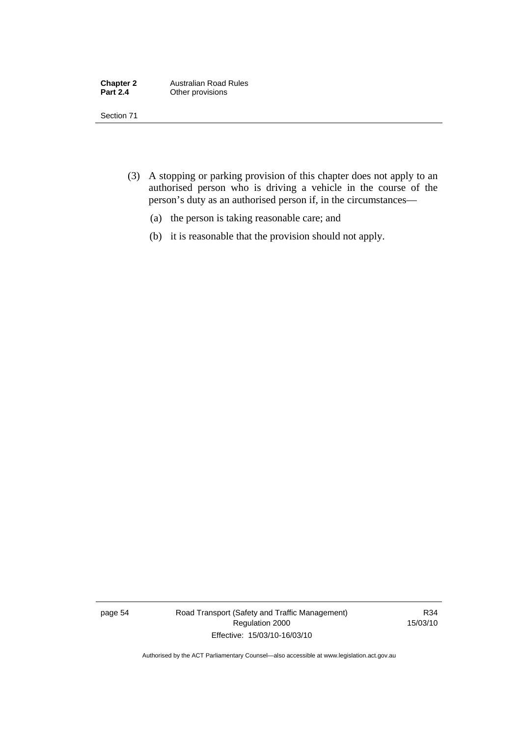| <b>Chapter 2</b> | <b>Australian Road Rules</b> |
|------------------|------------------------------|
| <b>Part 2.4</b>  | Other provisions             |

Section 71

- (3) A stopping or parking provision of this chapter does not apply to an authorised person who is driving a vehicle in the course of the person's duty as an authorised person if, in the circumstances—
	- (a) the person is taking reasonable care; and
	- (b) it is reasonable that the provision should not apply.

page 54 Road Transport (Safety and Traffic Management) Regulation 2000 Effective: 15/03/10-16/03/10

R34 15/03/10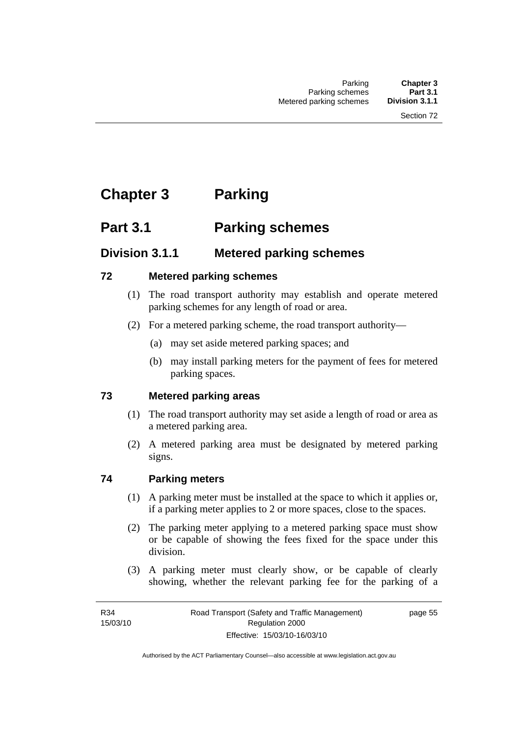# **Chapter 3 Parking**

# **Part 3.1 Parking schemes**

# **Division 3.1.1 Metered parking schemes**

# **72 Metered parking schemes**

- (1) The road transport authority may establish and operate metered parking schemes for any length of road or area.
- (2) For a metered parking scheme, the road transport authority—
	- (a) may set aside metered parking spaces; and
	- (b) may install parking meters for the payment of fees for metered parking spaces.

# **73 Metered parking areas**

- (1) The road transport authority may set aside a length of road or area as a metered parking area.
- (2) A metered parking area must be designated by metered parking signs.

# **74 Parking meters**

- (1) A parking meter must be installed at the space to which it applies or, if a parking meter applies to 2 or more spaces, close to the spaces.
- (2) The parking meter applying to a metered parking space must show or be capable of showing the fees fixed for the space under this division.
- (3) A parking meter must clearly show, or be capable of clearly showing, whether the relevant parking fee for the parking of a

page 55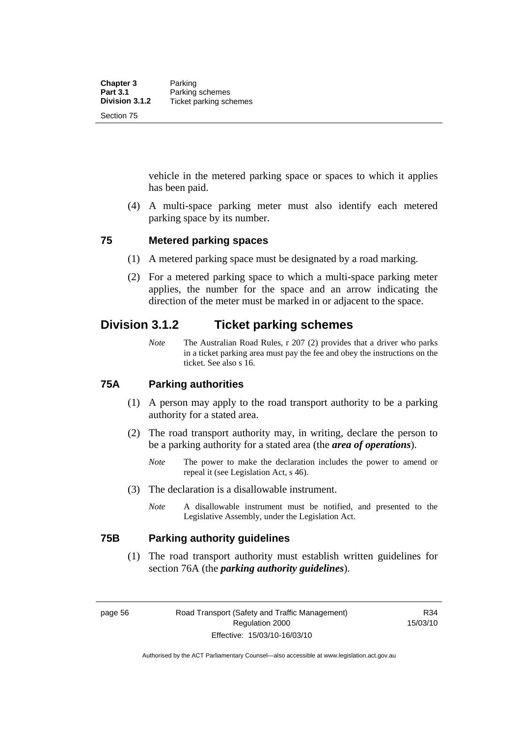vehicle in the metered parking space or spaces to which it applies has been paid.

 (4) A multi-space parking meter must also identify each metered parking space by its number.

#### **75 Metered parking spaces**

- (1) A metered parking space must be designated by a road marking.
- (2) For a metered parking space to which a multi-space parking meter applies, the number for the space and an arrow indicating the direction of the meter must be marked in or adjacent to the space.

# **Division 3.1.2 Ticket parking schemes**

*Note* The Australian Road Rules, r 207 (2) provides that a driver who parks in a ticket parking area must pay the fee and obey the instructions on the ticket. See also s 16.

# **75A Parking authorities**

- (1) A person may apply to the road transport authority to be a parking authority for a stated area.
- (2) The road transport authority may, in writing, declare the person to be a parking authority for a stated area (the *area of operations*).
	- *Note* The power to make the declaration includes the power to amend or repeal it (see Legislation Act, s 46).
- (3) The declaration is a disallowable instrument.
	- *Note* A disallowable instrument must be notified, and presented to the Legislative Assembly, under the Legislation Act.

#### **75B Parking authority guidelines**

 (1) The road transport authority must establish written guidelines for section 76A (the *parking authority guidelines*).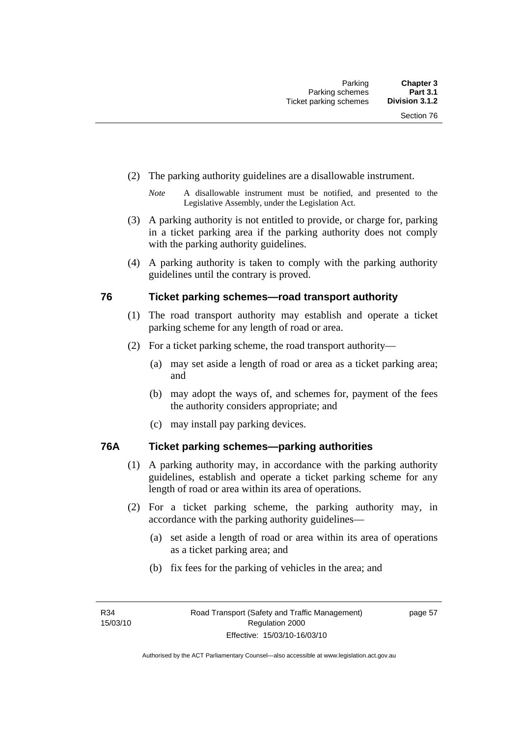- (2) The parking authority guidelines are a disallowable instrument.
	- *Note* A disallowable instrument must be notified, and presented to the Legislative Assembly, under the Legislation Act.
- (3) A parking authority is not entitled to provide, or charge for, parking in a ticket parking area if the parking authority does not comply with the parking authority guidelines.
- (4) A parking authority is taken to comply with the parking authority guidelines until the contrary is proved.

# **76 Ticket parking schemes—road transport authority**

- (1) The road transport authority may establish and operate a ticket parking scheme for any length of road or area.
- (2) For a ticket parking scheme, the road transport authority—
	- (a) may set aside a length of road or area as a ticket parking area; and
	- (b) may adopt the ways of, and schemes for, payment of the fees the authority considers appropriate; and
	- (c) may install pay parking devices.

# **76A Ticket parking schemes—parking authorities**

- (1) A parking authority may, in accordance with the parking authority guidelines, establish and operate a ticket parking scheme for any length of road or area within its area of operations.
- (2) For a ticket parking scheme, the parking authority may, in accordance with the parking authority guidelines—
	- (a) set aside a length of road or area within its area of operations as a ticket parking area; and
	- (b) fix fees for the parking of vehicles in the area; and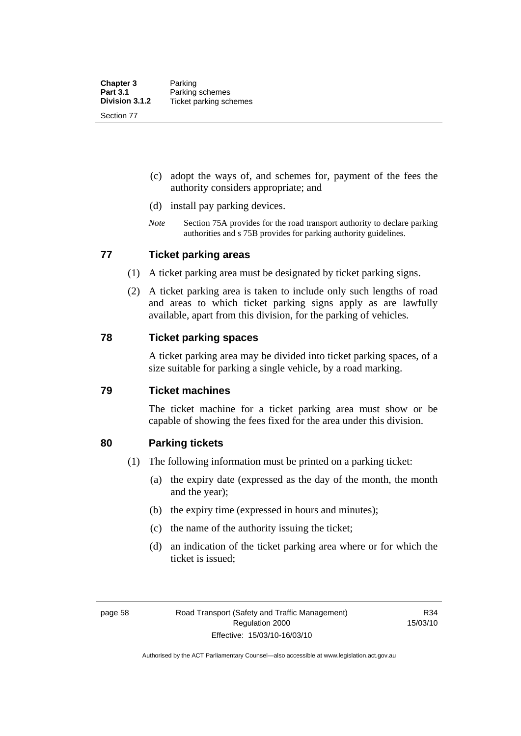- (c) adopt the ways of, and schemes for, payment of the fees the authority considers appropriate; and
- (d) install pay parking devices.
- *Note* Section 75A provides for the road transport authority to declare parking authorities and s 75B provides for parking authority guidelines.

#### **77 Ticket parking areas**

- (1) A ticket parking area must be designated by ticket parking signs.
- (2) A ticket parking area is taken to include only such lengths of road and areas to which ticket parking signs apply as are lawfully available, apart from this division, for the parking of vehicles.

#### **78 Ticket parking spaces**

A ticket parking area may be divided into ticket parking spaces, of a size suitable for parking a single vehicle, by a road marking.

#### **79 Ticket machines**

The ticket machine for a ticket parking area must show or be capable of showing the fees fixed for the area under this division.

#### **80 Parking tickets**

- (1) The following information must be printed on a parking ticket:
	- (a) the expiry date (expressed as the day of the month, the month and the year);
	- (b) the expiry time (expressed in hours and minutes);
	- (c) the name of the authority issuing the ticket;
	- (d) an indication of the ticket parking area where or for which the ticket is issued;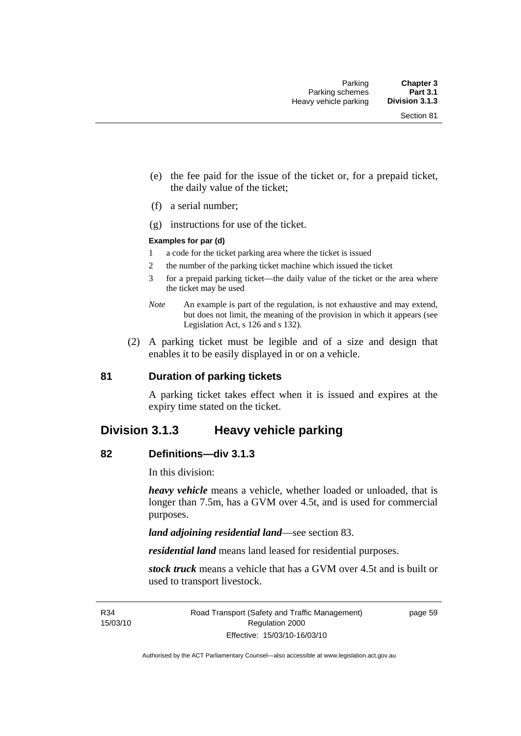- (e) the fee paid for the issue of the ticket or, for a prepaid ticket, the daily value of the ticket;
- (f) a serial number;
- (g) instructions for use of the ticket.

#### **Examples for par (d)**

- 1 a code for the ticket parking area where the ticket is issued
- 2 the number of the parking ticket machine which issued the ticket
- 3 for a prepaid parking ticket—the daily value of the ticket or the area where the ticket may be used
- *Note* An example is part of the regulation, is not exhaustive and may extend, but does not limit, the meaning of the provision in which it appears (see Legislation Act, s 126 and s 132).
- (2) A parking ticket must be legible and of a size and design that enables it to be easily displayed in or on a vehicle.

#### **81 Duration of parking tickets**

A parking ticket takes effect when it is issued and expires at the expiry time stated on the ticket.

# **Division 3.1.3 Heavy vehicle parking**

#### **82 Definitions—div 3.1.3**

In this division:

*heavy vehicle* means a vehicle, whether loaded or unloaded, that is longer than 7.5m, has a GVM over 4.5t, and is used for commercial purposes.

*land adjoining residential land*—see section 83.

*residential land* means land leased for residential purposes.

*stock truck* means a vehicle that has a GVM over 4.5t and is built or used to transport livestock.

R34 15/03/10 page 59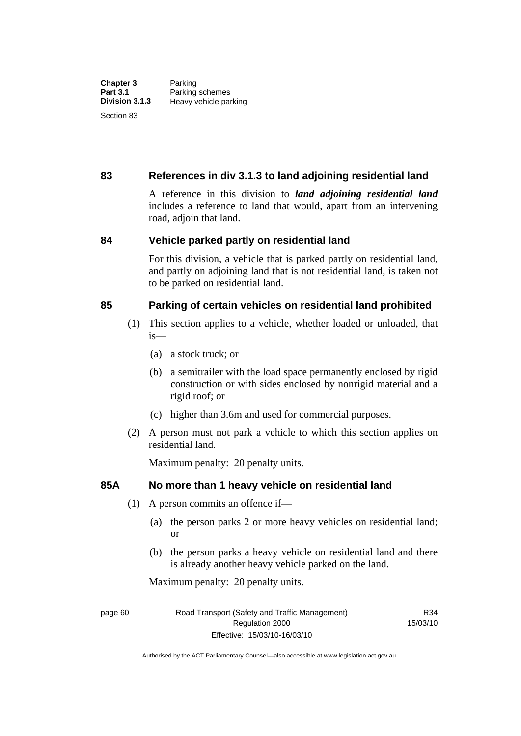# **83 References in div 3.1.3 to land adjoining residential land**

A reference in this division to *land adjoining residential land* includes a reference to land that would, apart from an intervening road, adjoin that land.

#### **84 Vehicle parked partly on residential land**

For this division, a vehicle that is parked partly on residential land, and partly on adjoining land that is not residential land, is taken not to be parked on residential land.

# **85 Parking of certain vehicles on residential land prohibited**

- (1) This section applies to a vehicle, whether loaded or unloaded, that is—
	- (a) a stock truck; or
	- (b) a semitrailer with the load space permanently enclosed by rigid construction or with sides enclosed by nonrigid material and a rigid roof; or
	- (c) higher than 3.6m and used for commercial purposes.
- (2) A person must not park a vehicle to which this section applies on residential land.

Maximum penalty: 20 penalty units.

# **85A No more than 1 heavy vehicle on residential land**

- (1) A person commits an offence if—
	- (a) the person parks 2 or more heavy vehicles on residential land; or
	- (b) the person parks a heavy vehicle on residential land and there is already another heavy vehicle parked on the land.

Maximum penalty: 20 penalty units.

R34 15/03/10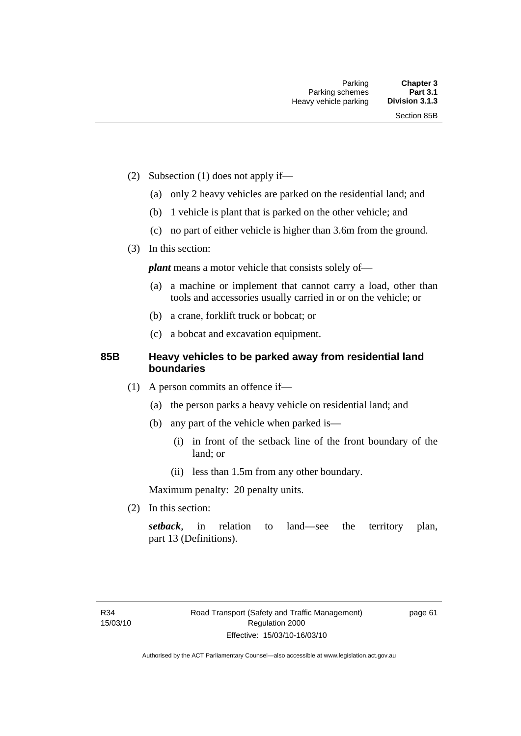- (2) Subsection (1) does not apply if—
	- (a) only 2 heavy vehicles are parked on the residential land; and
	- (b) 1 vehicle is plant that is parked on the other vehicle; and
	- (c) no part of either vehicle is higher than 3.6m from the ground.
- (3) In this section:

*plant* means a motor vehicle that consists solely of-

- (a) a machine or implement that cannot carry a load, other than tools and accessories usually carried in or on the vehicle; or
- (b) a crane, forklift truck or bobcat; or
- (c) a bobcat and excavation equipment.

# **85B Heavy vehicles to be parked away from residential land boundaries**

- (1) A person commits an offence if—
	- (a) the person parks a heavy vehicle on residential land; and
	- (b) any part of the vehicle when parked is—
		- (i) in front of the setback line of the front boundary of the land; or
		- (ii) less than 1.5m from any other boundary.

Maximum penalty: 20 penalty units.

(2) In this section:

*setback*, in relation to land—see the territory plan, part 13 (Definitions).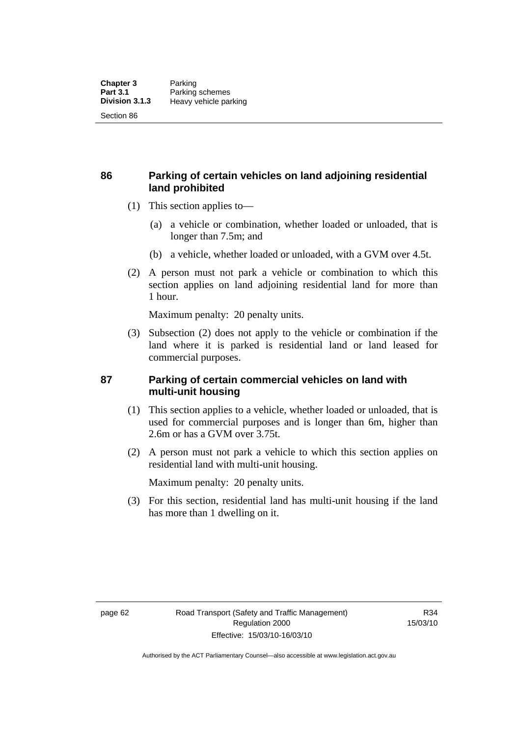# **86 Parking of certain vehicles on land adjoining residential land prohibited**

- (1) This section applies to—
	- (a) a vehicle or combination, whether loaded or unloaded, that is longer than 7.5m; and
	- (b) a vehicle, whether loaded or unloaded, with a GVM over 4.5t.
- (2) A person must not park a vehicle or combination to which this section applies on land adjoining residential land for more than 1 hour.

Maximum penalty: 20 penalty units.

 (3) Subsection (2) does not apply to the vehicle or combination if the land where it is parked is residential land or land leased for commercial purposes.

### **87 Parking of certain commercial vehicles on land with multi-unit housing**

- (1) This section applies to a vehicle, whether loaded or unloaded, that is used for commercial purposes and is longer than 6m, higher than 2.6m or has a GVM over 3.75t.
- (2) A person must not park a vehicle to which this section applies on residential land with multi-unit housing.

Maximum penalty: 20 penalty units.

 (3) For this section, residential land has multi-unit housing if the land has more than 1 dwelling on it.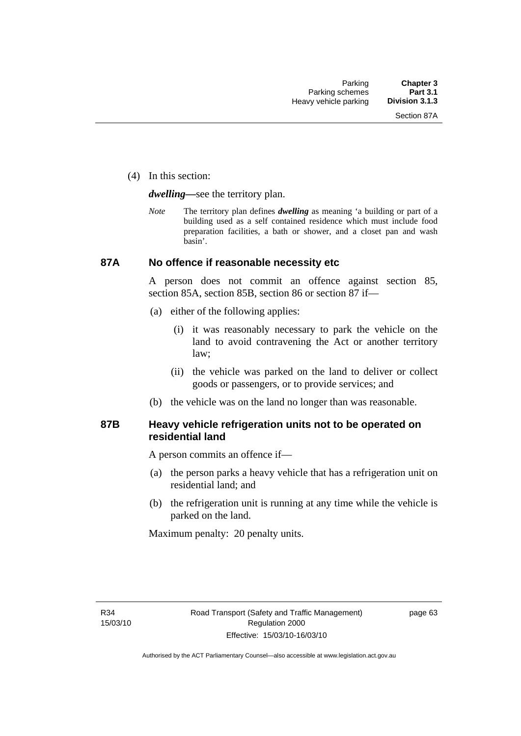(4) In this section:

*dwelling—*see the territory plan.

*Note* The territory plan defines *dwelling* as meaning 'a building or part of a building used as a self contained residence which must include food preparation facilities, a bath or shower, and a closet pan and wash basin'.

#### **87A No offence if reasonable necessity etc**

A person does not commit an offence against section 85, section 85A, section 85B, section 86 or section 87 if—

- (a) either of the following applies:
	- (i) it was reasonably necessary to park the vehicle on the land to avoid contravening the Act or another territory law;
	- (ii) the vehicle was parked on the land to deliver or collect goods or passengers, or to provide services; and
- (b) the vehicle was on the land no longer than was reasonable.

### **87B Heavy vehicle refrigeration units not to be operated on residential land**

A person commits an offence if—

- (a) the person parks a heavy vehicle that has a refrigeration unit on residential land; and
- (b) the refrigeration unit is running at any time while the vehicle is parked on the land.

Maximum penalty: 20 penalty units.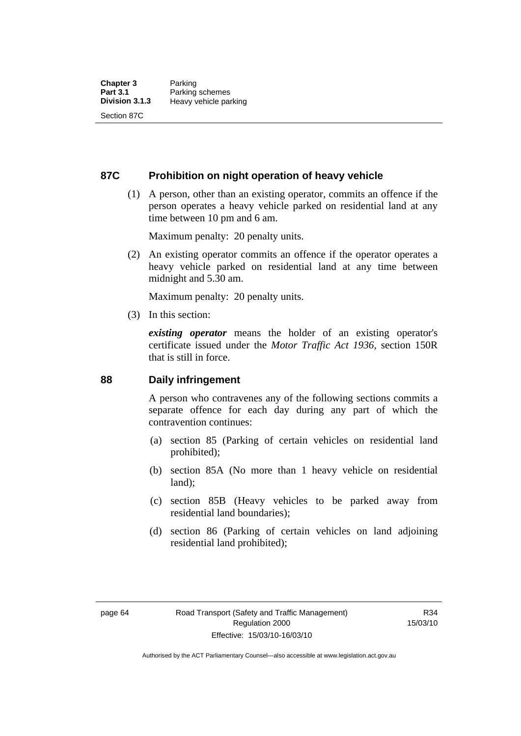### **87C Prohibition on night operation of heavy vehicle**

 (1) A person, other than an existing operator, commits an offence if the person operates a heavy vehicle parked on residential land at any time between 10 pm and 6 am.

Maximum penalty: 20 penalty units.

 (2) An existing operator commits an offence if the operator operates a heavy vehicle parked on residential land at any time between midnight and 5.30 am.

Maximum penalty: 20 penalty units.

(3) In this section:

*existing operator* means the holder of an existing operator's certificate issued under the *Motor Traffic Act 1936*, section 150R that is still in force.

### **88 Daily infringement**

A person who contravenes any of the following sections commits a separate offence for each day during any part of which the contravention continues:

- (a) section 85 (Parking of certain vehicles on residential land prohibited);
- (b) section 85A (No more than 1 heavy vehicle on residential land);
- (c) section 85B (Heavy vehicles to be parked away from residential land boundaries);
- (d) section 86 (Parking of certain vehicles on land adjoining residential land prohibited);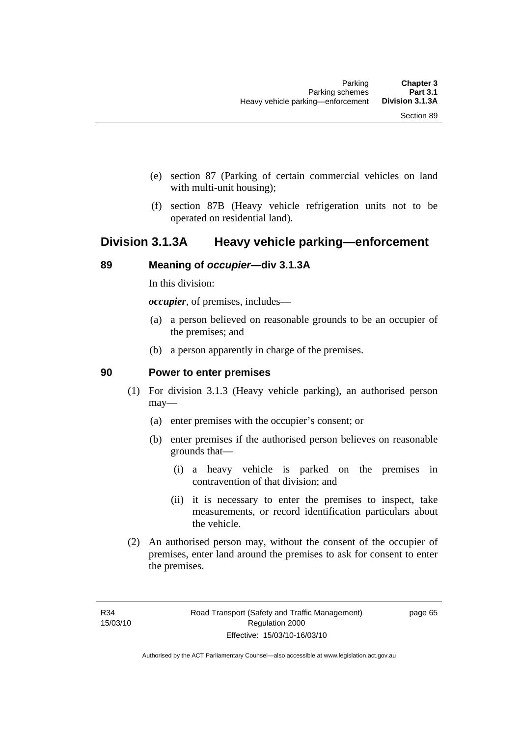- (e) section 87 (Parking of certain commercial vehicles on land with multi-unit housing);
- (f) section 87B (Heavy vehicle refrigeration units not to be operated on residential land).

## **Division 3.1.3A Heavy vehicle parking—enforcement**

#### **89 Meaning of** *occupier***—div 3.1.3A**

In this division:

*occupier*, of premises, includes—

- (a) a person believed on reasonable grounds to be an occupier of the premises; and
- (b) a person apparently in charge of the premises.

#### **90 Power to enter premises**

- (1) For division 3.1.3 (Heavy vehicle parking), an authorised person may—
	- (a) enter premises with the occupier's consent; or
	- (b) enter premises if the authorised person believes on reasonable grounds that—
		- (i) a heavy vehicle is parked on the premises in contravention of that division; and
		- (ii) it is necessary to enter the premises to inspect, take measurements, or record identification particulars about the vehicle.
- (2) An authorised person may, without the consent of the occupier of premises, enter land around the premises to ask for consent to enter the premises.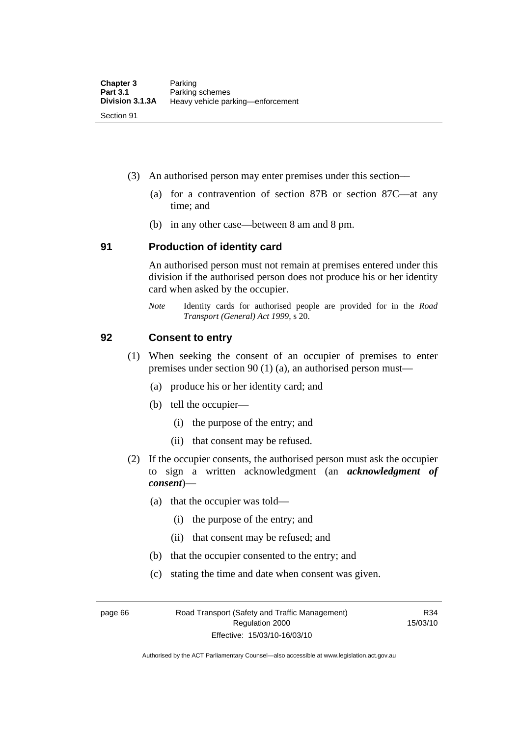- (3) An authorised person may enter premises under this section––
	- (a) for a contravention of section 87B or section 87C––at any time; and
	- (b) in any other case––between 8 am and 8 pm.

#### **91 Production of identity card**

An authorised person must not remain at premises entered under this division if the authorised person does not produce his or her identity card when asked by the occupier.

*Note* Identity cards for authorised people are provided for in the *Road Transport (General) Act 1999*, s 20.

#### **92 Consent to entry**

- (1) When seeking the consent of an occupier of premises to enter premises under section 90 (1) (a), an authorised person must—
	- (a) produce his or her identity card; and
	- (b) tell the occupier—
		- (i) the purpose of the entry; and
		- (ii) that consent may be refused.
- (2) If the occupier consents, the authorised person must ask the occupier to sign a written acknowledgment (an *acknowledgment of consent*)—
	- (a) that the occupier was told—
		- (i) the purpose of the entry; and
		- (ii) that consent may be refused; and
	- (b) that the occupier consented to the entry; and
	- (c) stating the time and date when consent was given.

page 66 Road Transport (Safety and Traffic Management) Regulation 2000 Effective: 15/03/10-16/03/10

R34 15/03/10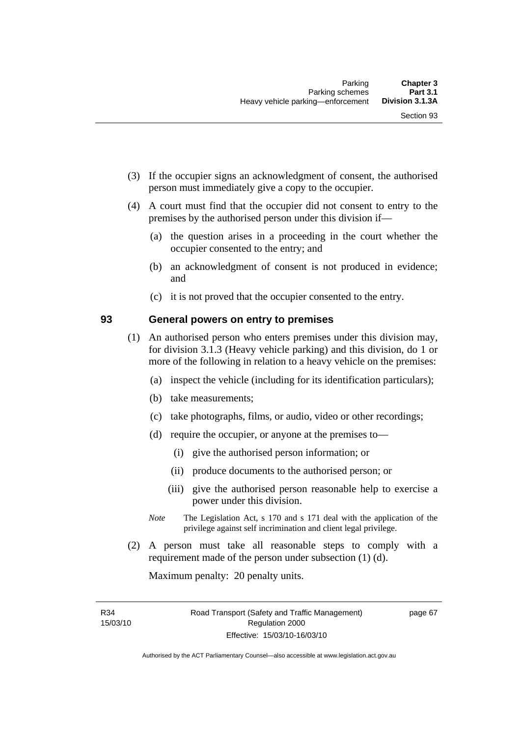- (3) If the occupier signs an acknowledgment of consent, the authorised person must immediately give a copy to the occupier.
- (4) A court must find that the occupier did not consent to entry to the premises by the authorised person under this division if—
	- (a) the question arises in a proceeding in the court whether the occupier consented to the entry; and
	- (b) an acknowledgment of consent is not produced in evidence; and
	- (c) it is not proved that the occupier consented to the entry.

#### **93 General powers on entry to premises**

- (1) An authorised person who enters premises under this division may, for division 3.1.3 (Heavy vehicle parking) and this division, do 1 or more of the following in relation to a heavy vehicle on the premises:
	- (a) inspect the vehicle (including for its identification particulars);
	- (b) take measurements;
	- (c) take photographs, films, or audio, video or other recordings;
	- (d) require the occupier, or anyone at the premises to—
		- (i) give the authorised person information; or
		- (ii) produce documents to the authorised person; or
		- (iii) give the authorised person reasonable help to exercise a power under this division.
	- *Note* The Legislation Act, s 170 and s 171 deal with the application of the privilege against self incrimination and client legal privilege.
- (2) A person must take all reasonable steps to comply with a requirement made of the person under subsection (1) (d).

Maximum penalty: 20 penalty units.

R34 15/03/10 page 67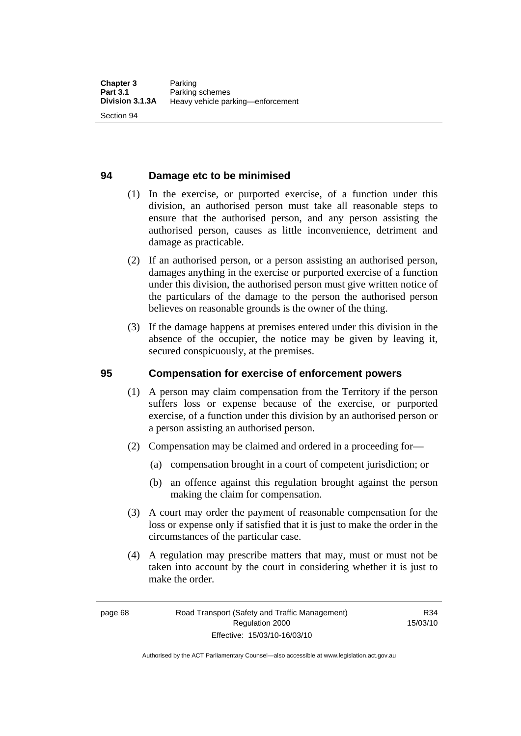### **94 Damage etc to be minimised**

- (1) In the exercise, or purported exercise, of a function under this division, an authorised person must take all reasonable steps to ensure that the authorised person, and any person assisting the authorised person, causes as little inconvenience, detriment and damage as practicable.
- (2) If an authorised person, or a person assisting an authorised person, damages anything in the exercise or purported exercise of a function under this division, the authorised person must give written notice of the particulars of the damage to the person the authorised person believes on reasonable grounds is the owner of the thing.
- (3) If the damage happens at premises entered under this division in the absence of the occupier, the notice may be given by leaving it, secured conspicuously, at the premises.

#### **95 Compensation for exercise of enforcement powers**

- (1) A person may claim compensation from the Territory if the person suffers loss or expense because of the exercise, or purported exercise, of a function under this division by an authorised person or a person assisting an authorised person.
- (2) Compensation may be claimed and ordered in a proceeding for—
	- (a) compensation brought in a court of competent jurisdiction; or
	- (b) an offence against this regulation brought against the person making the claim for compensation.
- (3) A court may order the payment of reasonable compensation for the loss or expense only if satisfied that it is just to make the order in the circumstances of the particular case.
- (4) A regulation may prescribe matters that may, must or must not be taken into account by the court in considering whether it is just to make the order.

Authorised by the ACT Parliamentary Counsel—also accessible at www.legislation.act.gov.au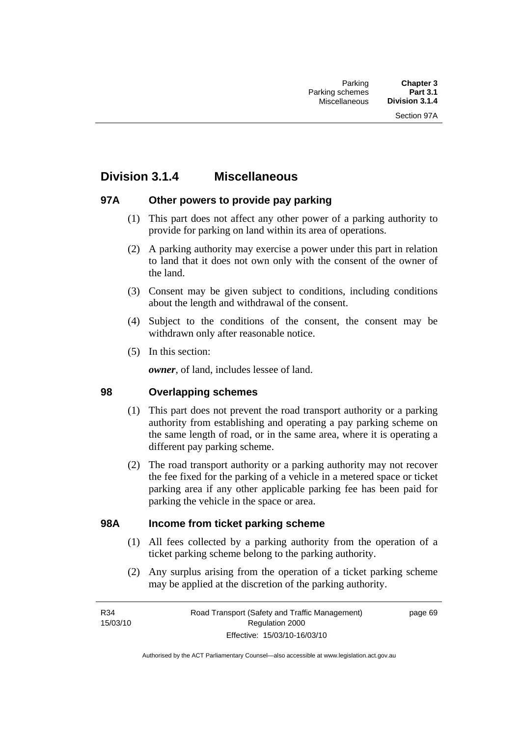## **Division 3.1.4 Miscellaneous**

## **97A Other powers to provide pay parking**

- (1) This part does not affect any other power of a parking authority to provide for parking on land within its area of operations.
- (2) A parking authority may exercise a power under this part in relation to land that it does not own only with the consent of the owner of the land.
- (3) Consent may be given subject to conditions, including conditions about the length and withdrawal of the consent.
- (4) Subject to the conditions of the consent, the consent may be withdrawn only after reasonable notice.
- (5) In this section:

*owner*, of land, includes lessee of land.

## **98 Overlapping schemes**

- (1) This part does not prevent the road transport authority or a parking authority from establishing and operating a pay parking scheme on the same length of road, or in the same area, where it is operating a different pay parking scheme.
- (2) The road transport authority or a parking authority may not recover the fee fixed for the parking of a vehicle in a metered space or ticket parking area if any other applicable parking fee has been paid for parking the vehicle in the space or area.

### **98A Income from ticket parking scheme**

- (1) All fees collected by a parking authority from the operation of a ticket parking scheme belong to the parking authority.
- (2) Any surplus arising from the operation of a ticket parking scheme may be applied at the discretion of the parking authority.

page 69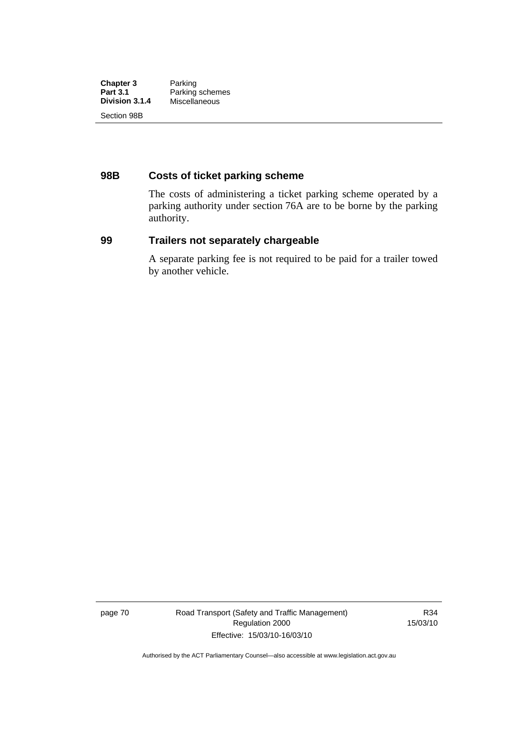| <b>Chapter 3</b> | Parking         |
|------------------|-----------------|
| <b>Part 3.1</b>  | Parking schemes |
| Division 3.1.4   | Miscellaneous   |
| Section 98B      |                 |

## **98B Costs of ticket parking scheme**

The costs of administering a ticket parking scheme operated by a parking authority under section 76A are to be borne by the parking authority.

#### **99 Trailers not separately chargeable**

A separate parking fee is not required to be paid for a trailer towed by another vehicle.

page 70 Road Transport (Safety and Traffic Management) Regulation 2000 Effective: 15/03/10-16/03/10

R34 15/03/10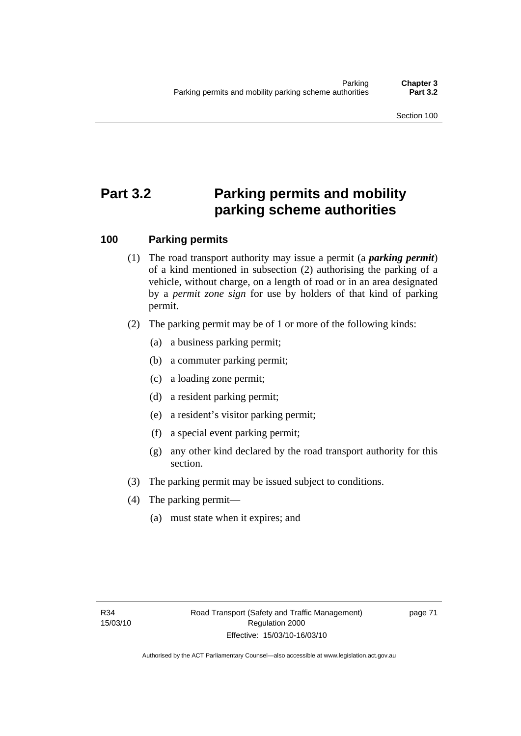# **Part 3.2 Parking permits and mobility parking scheme authorities**

## **100 Parking permits**

- (1) The road transport authority may issue a permit (a *parking permit*) of a kind mentioned in subsection (2) authorising the parking of a vehicle, without charge, on a length of road or in an area designated by a *permit zone sign* for use by holders of that kind of parking permit.
- (2) The parking permit may be of 1 or more of the following kinds:
	- (a) a business parking permit;
	- (b) a commuter parking permit;
	- (c) a loading zone permit;
	- (d) a resident parking permit;
	- (e) a resident's visitor parking permit;
	- (f) a special event parking permit;
	- (g) any other kind declared by the road transport authority for this section.
- (3) The parking permit may be issued subject to conditions.
- (4) The parking permit—
	- (a) must state when it expires; and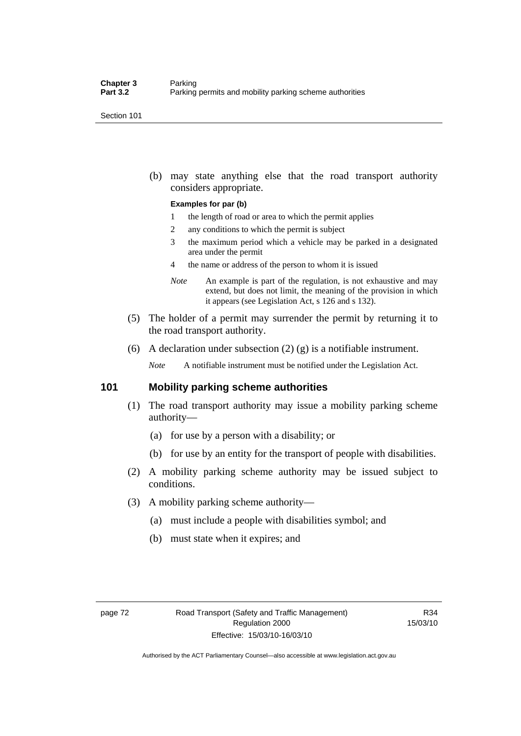Section 101

 (b) may state anything else that the road transport authority considers appropriate.

#### **Examples for par (b)**

- 1 the length of road or area to which the permit applies
- 2 any conditions to which the permit is subject
- 3 the maximum period which a vehicle may be parked in a designated area under the permit
- 4 the name or address of the person to whom it is issued
- *Note* An example is part of the regulation, is not exhaustive and may extend, but does not limit, the meaning of the provision in which it appears (see Legislation Act, s 126 and s 132).
- (5) The holder of a permit may surrender the permit by returning it to the road transport authority.
- (6) A declaration under subsection  $(2)$   $(g)$  is a notifiable instrument.

*Note* A notifiable instrument must be notified under the Legislation Act.

#### **101 Mobility parking scheme authorities**

- (1) The road transport authority may issue a mobility parking scheme authority—
	- (a) for use by a person with a disability; or
	- (b) for use by an entity for the transport of people with disabilities.
- (2) A mobility parking scheme authority may be issued subject to conditions.
- (3) A mobility parking scheme authority—
	- (a) must include a people with disabilities symbol; and
	- (b) must state when it expires; and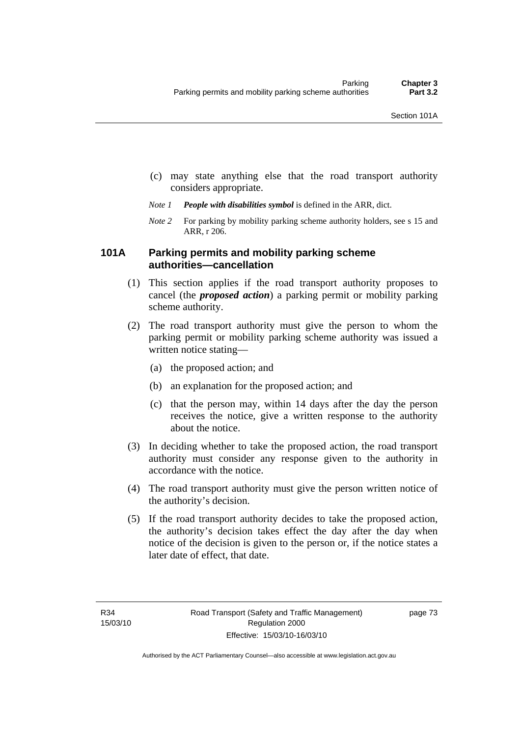- (c) may state anything else that the road transport authority considers appropriate.
- *Note 1 People with disabilities symbol* is defined in the ARR, dict.
- *Note 2* For parking by mobility parking scheme authority holders, see s 15 and ARR, r 206.

## **101A Parking permits and mobility parking scheme authorities—cancellation**

- (1) This section applies if the road transport authority proposes to cancel (the *proposed action*) a parking permit or mobility parking scheme authority.
- (2) The road transport authority must give the person to whom the parking permit or mobility parking scheme authority was issued a written notice stating—
	- (a) the proposed action; and
	- (b) an explanation for the proposed action; and
	- (c) that the person may, within 14 days after the day the person receives the notice, give a written response to the authority about the notice.
- (3) In deciding whether to take the proposed action, the road transport authority must consider any response given to the authority in accordance with the notice.
- (4) The road transport authority must give the person written notice of the authority's decision.
- (5) If the road transport authority decides to take the proposed action, the authority's decision takes effect the day after the day when notice of the decision is given to the person or, if the notice states a later date of effect, that date.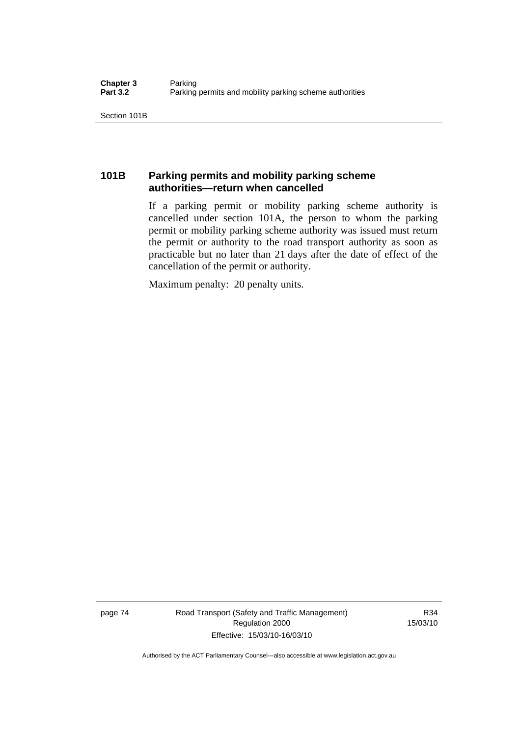Section 101B

## **101B Parking permits and mobility parking scheme authorities—return when cancelled**

If a parking permit or mobility parking scheme authority is cancelled under section 101A, the person to whom the parking permit or mobility parking scheme authority was issued must return the permit or authority to the road transport authority as soon as practicable but no later than 21 days after the date of effect of the cancellation of the permit or authority.

Maximum penalty: 20 penalty units.

page 74 Road Transport (Safety and Traffic Management) Regulation 2000 Effective: 15/03/10-16/03/10

R34 15/03/10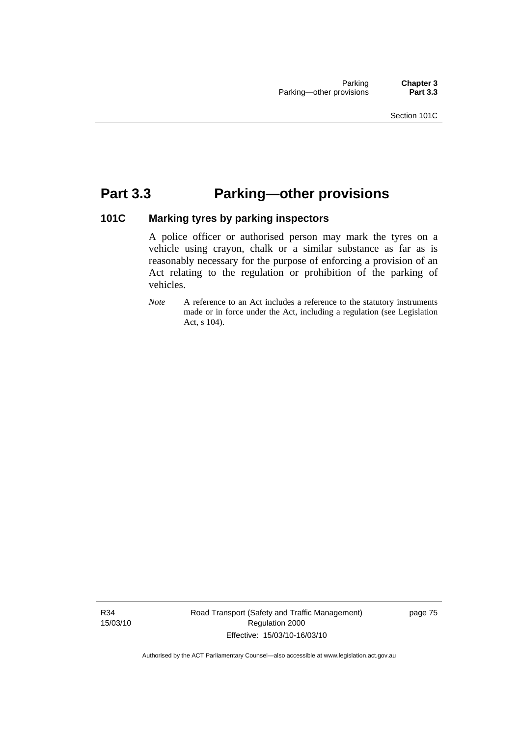## **Part 3.3 Parking—other provisions**

## **101C Marking tyres by parking inspectors**

A police officer or authorised person may mark the tyres on a vehicle using crayon, chalk or a similar substance as far as is reasonably necessary for the purpose of enforcing a provision of an Act relating to the regulation or prohibition of the parking of vehicles.

*Note* A reference to an Act includes a reference to the statutory instruments made or in force under the Act, including a regulation (see Legislation Act, s 104).

R34 15/03/10 Road Transport (Safety and Traffic Management) Regulation 2000 Effective: 15/03/10-16/03/10

page 75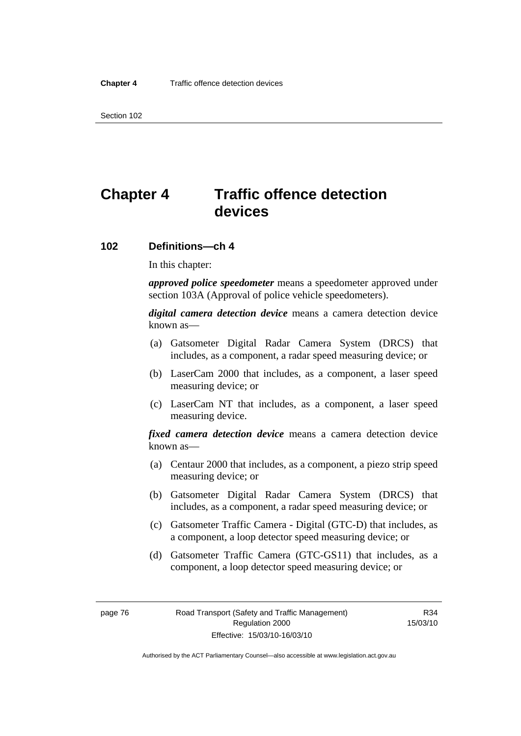Section 102

# **Chapter 4 Traffic offence detection devices**

#### **102 Definitions—ch 4**

In this chapter:

*approved police speedometer* means a speedometer approved under section 103A (Approval of police vehicle speedometers).

*digital camera detection device* means a camera detection device known as—

- (a) Gatsometer Digital Radar Camera System (DRCS) that includes, as a component, a radar speed measuring device; or
- (b) LaserCam 2000 that includes, as a component, a laser speed measuring device; or
- (c) LaserCam NT that includes, as a component, a laser speed measuring device.

*fixed camera detection device* means a camera detection device known as—

- (a) Centaur 2000 that includes, as a component, a piezo strip speed measuring device; or
- (b) Gatsometer Digital Radar Camera System (DRCS) that includes, as a component, a radar speed measuring device; or
- (c) Gatsometer Traffic Camera Digital (GTC-D) that includes, as a component, a loop detector speed measuring device; or
- (d) Gatsometer Traffic Camera (GTC-GS11) that includes, as a component, a loop detector speed measuring device; or

Authorised by the ACT Parliamentary Counsel—also accessible at www.legislation.act.gov.au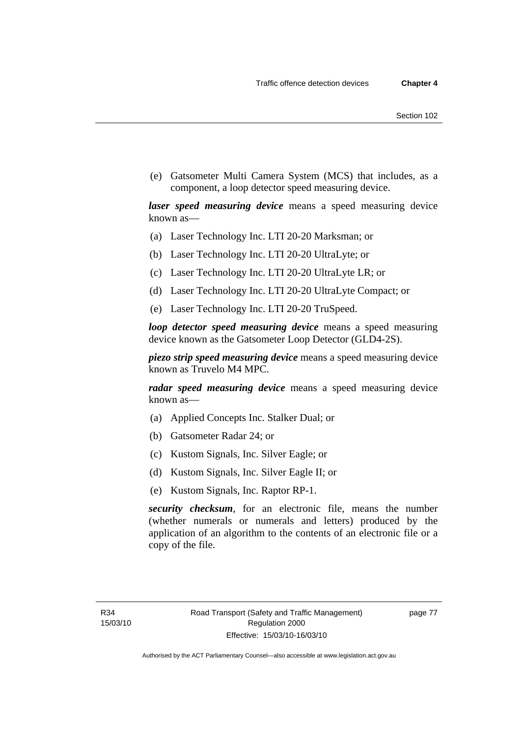(e) Gatsometer Multi Camera System (MCS) that includes, as a component, a loop detector speed measuring device.

*laser speed measuring device* means a speed measuring device known as—

- (a) Laser Technology Inc. LTI 20-20 Marksman; or
- (b) Laser Technology Inc. LTI 20-20 UltraLyte; or
- (c) Laser Technology Inc. LTI 20-20 UltraLyte LR; or
- (d) Laser Technology Inc. LTI 20-20 UltraLyte Compact; or
- (e) Laser Technology Inc. LTI 20-20 TruSpeed.

*loop detector speed measuring device* means a speed measuring device known as the Gatsometer Loop Detector (GLD4-2S).

*piezo strip speed measuring device* means a speed measuring device known as Truvelo M4 MPC.

*radar speed measuring device* means a speed measuring device known as—

- (a) Applied Concepts Inc. Stalker Dual; or
- (b) Gatsometer Radar 24; or
- (c) Kustom Signals, Inc. Silver Eagle; or
- (d) Kustom Signals, Inc. Silver Eagle II; or
- (e) Kustom Signals, Inc. Raptor RP-1.

*security checksum*, for an electronic file, means the number (whether numerals or numerals and letters) produced by the application of an algorithm to the contents of an electronic file or a copy of the file.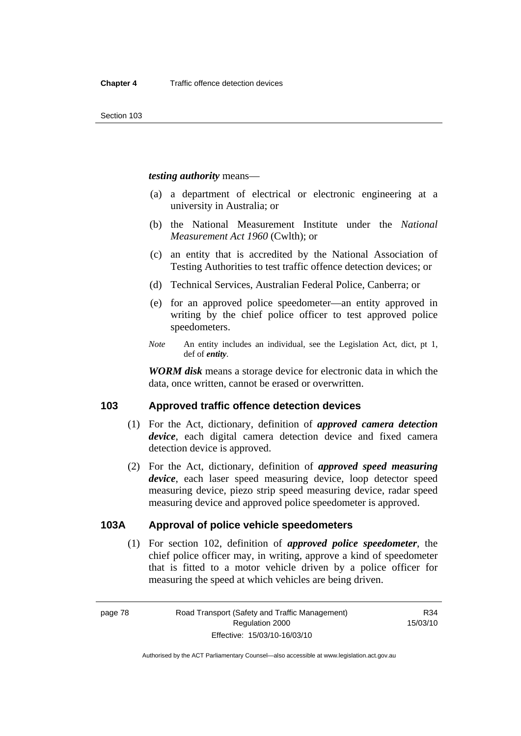*testing authority* means—

- (a) a department of electrical or electronic engineering at a university in Australia; or
- (b) the National Measurement Institute under the *National Measurement Act 1960* (Cwlth); or
- (c) an entity that is accredited by the National Association of Testing Authorities to test traffic offence detection devices; or
- (d) Technical Services, Australian Federal Police, Canberra; or
- (e) for an approved police speedometer—an entity approved in writing by the chief police officer to test approved police speedometers.
- *Note* An entity includes an individual, see the Legislation Act, dict, pt 1, def of *entity*.

*WORM disk* means a storage device for electronic data in which the data, once written, cannot be erased or overwritten.

### **103 Approved traffic offence detection devices**

- (1) For the Act, dictionary, definition of *approved camera detection device*, each digital camera detection device and fixed camera detection device is approved.
- (2) For the Act, dictionary, definition of *approved speed measuring device*, each laser speed measuring device, loop detector speed measuring device, piezo strip speed measuring device, radar speed measuring device and approved police speedometer is approved.

## **103A Approval of police vehicle speedometers**

 (1) For section 102, definition of *approved police speedometer*, the chief police officer may, in writing, approve a kind of speedometer that is fitted to a motor vehicle driven by a police officer for measuring the speed at which vehicles are being driven.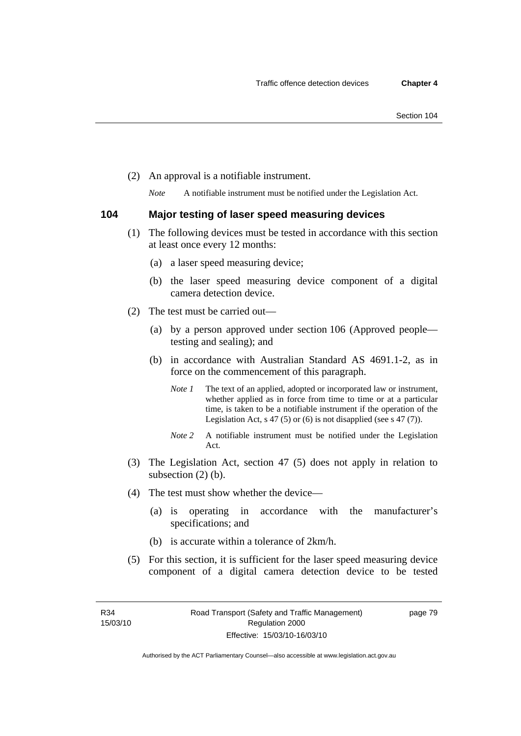(2) An approval is a notifiable instrument.

*Note* A notifiable instrument must be notified under the Legislation Act.

#### **104 Major testing of laser speed measuring devices**

- (1) The following devices must be tested in accordance with this section at least once every 12 months:
	- (a) a laser speed measuring device;
	- (b) the laser speed measuring device component of a digital camera detection device.
- (2) The test must be carried out—
	- (a) by a person approved under section 106 (Approved people testing and sealing); and
	- (b) in accordance with Australian Standard AS 4691.1-2, as in force on the commencement of this paragraph.
		- *Note 1* The text of an applied, adopted or incorporated law or instrument, whether applied as in force from time to time or at a particular time, is taken to be a notifiable instrument if the operation of the Legislation Act,  $s$  47 (5) or (6) is not disapplied (see s 47 (7)).
		- *Note 2* A notifiable instrument must be notified under the Legislation Act.
- (3) The Legislation Act, section 47 (5) does not apply in relation to subsection (2) (b).
- (4) The test must show whether the device—
	- (a) is operating in accordance with the manufacturer's specifications; and
	- (b) is accurate within a tolerance of 2km/h.
- (5) For this section, it is sufficient for the laser speed measuring device component of a digital camera detection device to be tested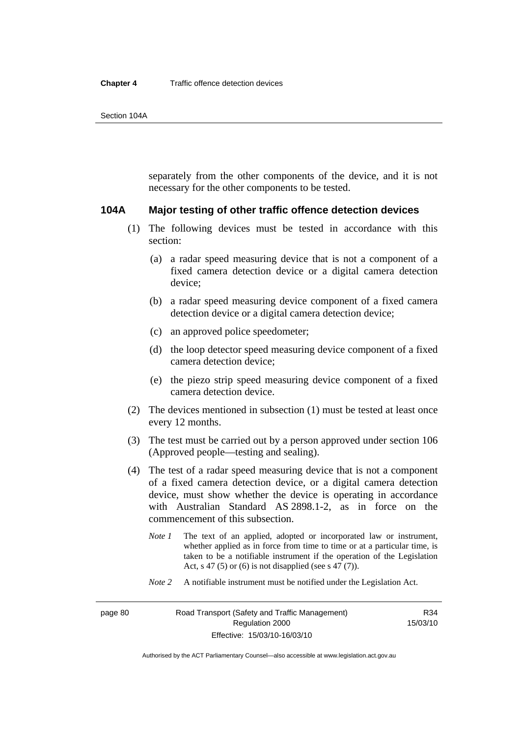separately from the other components of the device, and it is not necessary for the other components to be tested.

#### **104A Major testing of other traffic offence detection devices**

- (1) The following devices must be tested in accordance with this section:
	- (a) a radar speed measuring device that is not a component of a fixed camera detection device or a digital camera detection device;
	- (b) a radar speed measuring device component of a fixed camera detection device or a digital camera detection device;
	- (c) an approved police speedometer;
	- (d) the loop detector speed measuring device component of a fixed camera detection device;
	- (e) the piezo strip speed measuring device component of a fixed camera detection device.
- (2) The devices mentioned in subsection (1) must be tested at least once every 12 months.
- (3) The test must be carried out by a person approved under section 106 (Approved people—testing and sealing).
- (4) The test of a radar speed measuring device that is not a component of a fixed camera detection device, or a digital camera detection device, must show whether the device is operating in accordance with Australian Standard AS 2898.1-2, as in force on the commencement of this subsection.
	- *Note 1* The text of an applied, adopted or incorporated law or instrument, whether applied as in force from time to time or at a particular time, is taken to be a notifiable instrument if the operation of the Legislation Act, s 47 (5) or (6) is not disapplied (see s 47 (7)).
	- *Note 2* A notifiable instrument must be notified under the Legislation Act.

R34 15/03/10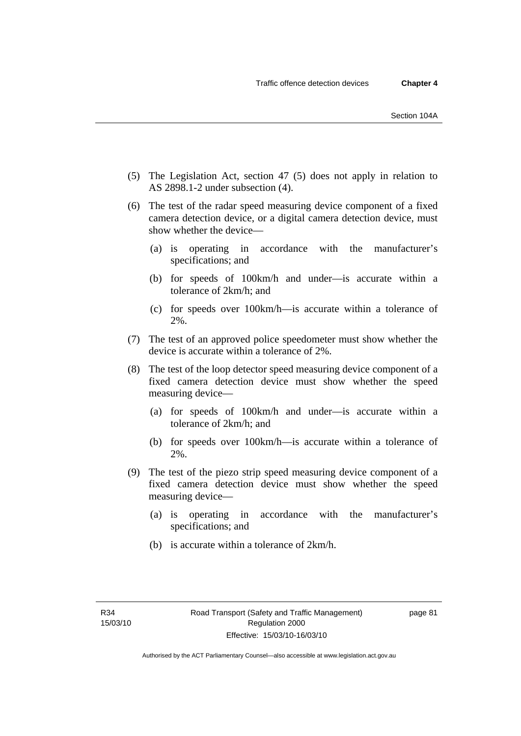- (5) The Legislation Act, section 47 (5) does not apply in relation to AS 2898.1-2 under subsection (4).
- (6) The test of the radar speed measuring device component of a fixed camera detection device, or a digital camera detection device, must show whether the device—
	- (a) is operating in accordance with the manufacturer's specifications; and
	- (b) for speeds of 100km/h and under—is accurate within a tolerance of 2km/h; and
	- (c) for speeds over 100km/h—is accurate within a tolerance of 2%.
- (7) The test of an approved police speedometer must show whether the device is accurate within a tolerance of 2%.
- (8) The test of the loop detector speed measuring device component of a fixed camera detection device must show whether the speed measuring device—
	- (a) for speeds of 100km/h and under—is accurate within a tolerance of 2km/h; and
	- (b) for speeds over 100km/h—is accurate within a tolerance of 2%.
- (9) The test of the piezo strip speed measuring device component of a fixed camera detection device must show whether the speed measuring device—
	- (a) is operating in accordance with the manufacturer's specifications; and
	- (b) is accurate within a tolerance of 2km/h.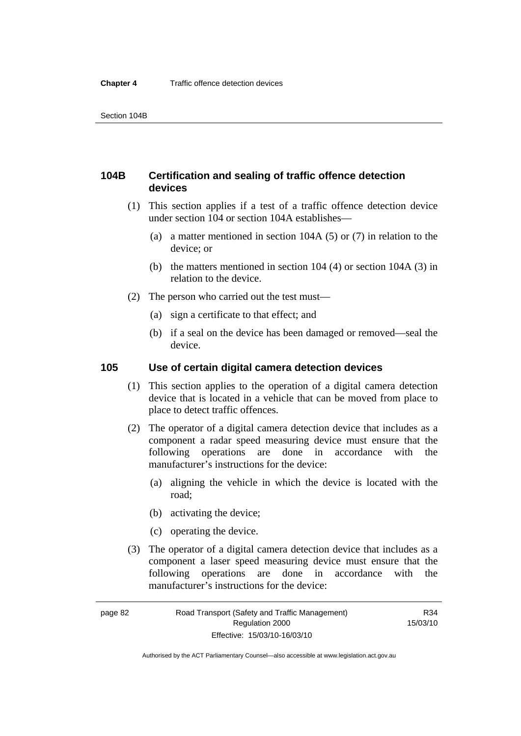## **104B Certification and sealing of traffic offence detection devices**

- (1) This section applies if a test of a traffic offence detection device under section 104 or section 104A establishes—
	- (a) a matter mentioned in section 104A (5) or (7) in relation to the device; or
	- (b) the matters mentioned in section 104 (4) or section 104A (3) in relation to the device.
- (2) The person who carried out the test must—
	- (a) sign a certificate to that effect; and
	- (b) if a seal on the device has been damaged or removed—seal the device.

### **105 Use of certain digital camera detection devices**

- (1) This section applies to the operation of a digital camera detection device that is located in a vehicle that can be moved from place to place to detect traffic offences.
- (2) The operator of a digital camera detection device that includes as a component a radar speed measuring device must ensure that the following operations are done in accordance with the manufacturer's instructions for the device:
	- (a) aligning the vehicle in which the device is located with the road;
	- (b) activating the device;
	- (c) operating the device.
- (3) The operator of a digital camera detection device that includes as a component a laser speed measuring device must ensure that the following operations are done in accordance with the manufacturer's instructions for the device:

Authorised by the ACT Parliamentary Counsel—also accessible at www.legislation.act.gov.au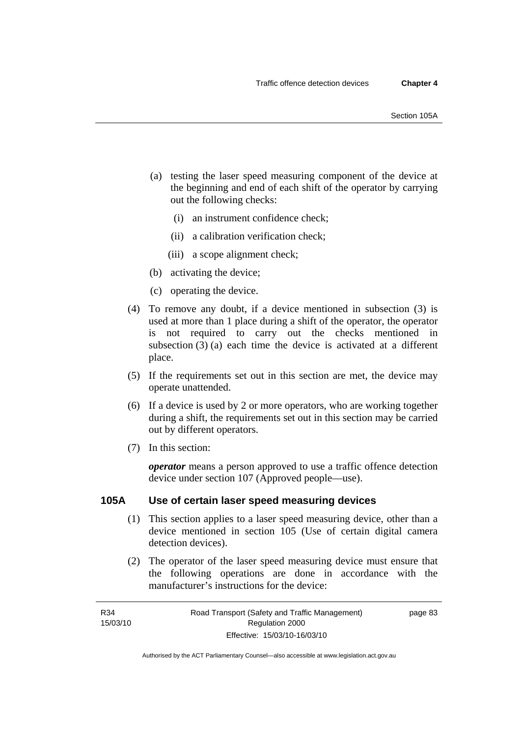- (a) testing the laser speed measuring component of the device at the beginning and end of each shift of the operator by carrying out the following checks:
	- (i) an instrument confidence check;
	- (ii) a calibration verification check;
	- (iii) a scope alignment check;
- (b) activating the device;
- (c) operating the device.
- (4) To remove any doubt, if a device mentioned in subsection (3) is used at more than 1 place during a shift of the operator, the operator is not required to carry out the checks mentioned in subsection (3) (a) each time the device is activated at a different place.
- (5) If the requirements set out in this section are met, the device may operate unattended.
- (6) If a device is used by 2 or more operators, who are working together during a shift, the requirements set out in this section may be carried out by different operators.
- (7) In this section:

*operator* means a person approved to use a traffic offence detection device under section 107 (Approved people—use).

#### **105A Use of certain laser speed measuring devices**

- (1) This section applies to a laser speed measuring device, other than a device mentioned in section 105 (Use of certain digital camera detection devices).
- (2) The operator of the laser speed measuring device must ensure that the following operations are done in accordance with the manufacturer's instructions for the device:

page 83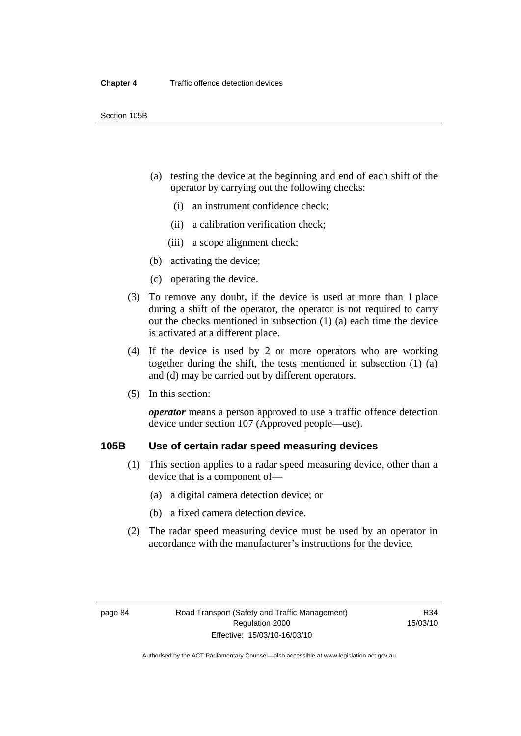- (a) testing the device at the beginning and end of each shift of the operator by carrying out the following checks:
	- (i) an instrument confidence check;
	- (ii) a calibration verification check;
	- (iii) a scope alignment check;
- (b) activating the device;
- (c) operating the device.
- (3) To remove any doubt, if the device is used at more than 1 place during a shift of the operator, the operator is not required to carry out the checks mentioned in subsection (1) (a) each time the device is activated at a different place.
- (4) If the device is used by 2 or more operators who are working together during the shift, the tests mentioned in subsection (1) (a) and (d) may be carried out by different operators.
- (5) In this section:

*operator* means a person approved to use a traffic offence detection device under section 107 (Approved people—use).

## **105B Use of certain radar speed measuring devices**

- (1) This section applies to a radar speed measuring device, other than a device that is a component of—
	- (a) a digital camera detection device; or
	- (b) a fixed camera detection device.
- (2) The radar speed measuring device must be used by an operator in accordance with the manufacturer's instructions for the device.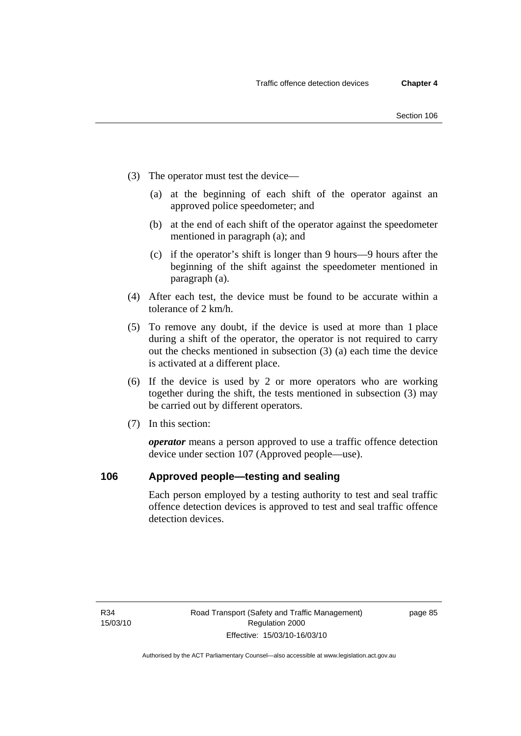- (3) The operator must test the device—
	- (a) at the beginning of each shift of the operator against an approved police speedometer; and
	- (b) at the end of each shift of the operator against the speedometer mentioned in paragraph (a); and
	- (c) if the operator's shift is longer than 9 hours—9 hours after the beginning of the shift against the speedometer mentioned in paragraph (a).
- (4) After each test, the device must be found to be accurate within a tolerance of 2 km/h.
- (5) To remove any doubt, if the device is used at more than 1 place during a shift of the operator, the operator is not required to carry out the checks mentioned in subsection (3) (a) each time the device is activated at a different place.
- (6) If the device is used by 2 or more operators who are working together during the shift, the tests mentioned in subsection (3) may be carried out by different operators.
- (7) In this section:

*operator* means a person approved to use a traffic offence detection device under section 107 (Approved people—use).

### **106 Approved people—testing and sealing**

Each person employed by a testing authority to test and seal traffic offence detection devices is approved to test and seal traffic offence detection devices.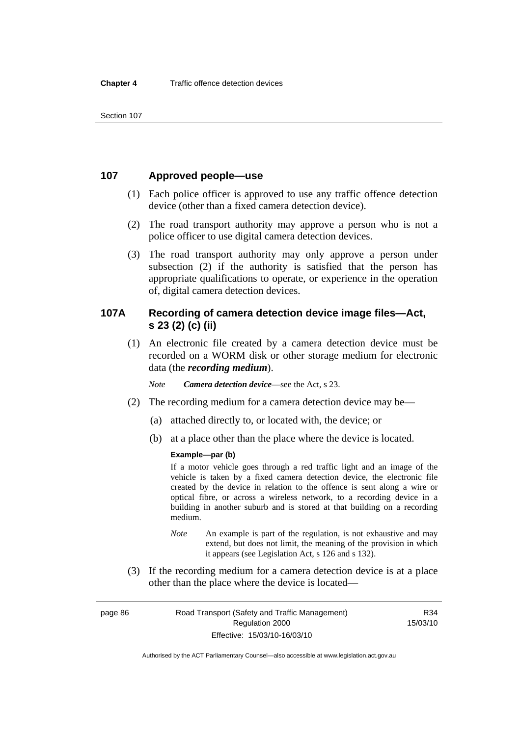## **107 Approved people—use**

- (1) Each police officer is approved to use any traffic offence detection device (other than a fixed camera detection device).
- (2) The road transport authority may approve a person who is not a police officer to use digital camera detection devices.
- (3) The road transport authority may only approve a person under subsection (2) if the authority is satisfied that the person has appropriate qualifications to operate, or experience in the operation of, digital camera detection devices.

## **107A Recording of camera detection device image files—Act, s 23 (2) (c) (ii)**

 (1) An electronic file created by a camera detection device must be recorded on a WORM disk or other storage medium for electronic data (the *recording medium*).

*Note Camera detection device*—see the Act, s 23.

- (2) The recording medium for a camera detection device may be—
	- (a) attached directly to, or located with, the device; or
	- (b) at a place other than the place where the device is located.

#### **Example—par (b)**

If a motor vehicle goes through a red traffic light and an image of the vehicle is taken by a fixed camera detection device, the electronic file created by the device in relation to the offence is sent along a wire or optical fibre, or across a wireless network, to a recording device in a building in another suburb and is stored at that building on a recording medium.

- *Note* An example is part of the regulation, is not exhaustive and may extend, but does not limit, the meaning of the provision in which it appears (see Legislation Act, s 126 and s 132).
- (3) If the recording medium for a camera detection device is at a place other than the place where the device is located—

page 86 Road Transport (Safety and Traffic Management) Regulation 2000 Effective: 15/03/10-16/03/10

R34 15/03/10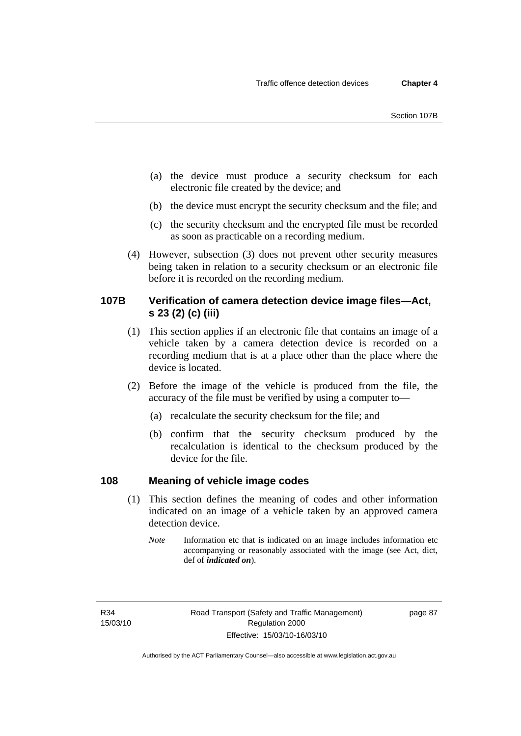- (a) the device must produce a security checksum for each electronic file created by the device; and
- (b) the device must encrypt the security checksum and the file; and
- (c) the security checksum and the encrypted file must be recorded as soon as practicable on a recording medium.
- (4) However, subsection (3) does not prevent other security measures being taken in relation to a security checksum or an electronic file before it is recorded on the recording medium.

### **107B Verification of camera detection device image files—Act, s 23 (2) (c) (iii)**

- (1) This section applies if an electronic file that contains an image of a vehicle taken by a camera detection device is recorded on a recording medium that is at a place other than the place where the device is located.
- (2) Before the image of the vehicle is produced from the file, the accuracy of the file must be verified by using a computer to—
	- (a) recalculate the security checksum for the file; and
	- (b) confirm that the security checksum produced by the recalculation is identical to the checksum produced by the device for the file.

### **108 Meaning of vehicle image codes**

- (1) This section defines the meaning of codes and other information indicated on an image of a vehicle taken by an approved camera detection device.
	- *Note* Information etc that is indicated on an image includes information etc accompanying or reasonably associated with the image (see Act, dict, def of *indicated on*).

R34 15/03/10

Authorised by the ACT Parliamentary Counsel—also accessible at www.legislation.act.gov.au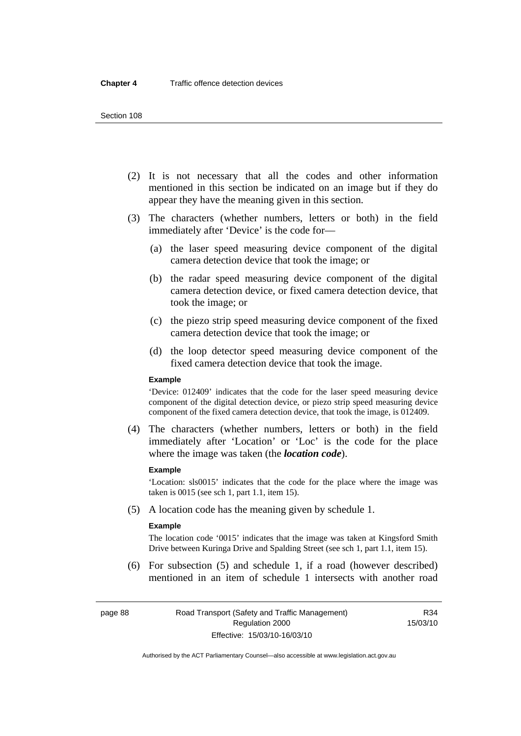#### Section 108

- (2) It is not necessary that all the codes and other information mentioned in this section be indicated on an image but if they do appear they have the meaning given in this section.
- (3) The characters (whether numbers, letters or both) in the field immediately after 'Device' is the code for—
	- (a) the laser speed measuring device component of the digital camera detection device that took the image; or
	- (b) the radar speed measuring device component of the digital camera detection device, or fixed camera detection device, that took the image; or
	- (c) the piezo strip speed measuring device component of the fixed camera detection device that took the image; or
	- (d) the loop detector speed measuring device component of the fixed camera detection device that took the image.

#### **Example**

'Device: 012409' indicates that the code for the laser speed measuring device component of the digital detection device, or piezo strip speed measuring device component of the fixed camera detection device, that took the image, is 012409.

 (4) The characters (whether numbers, letters or both) in the field immediately after 'Location' or 'Loc' is the code for the place where the image was taken (the *location code*).

#### **Example**

'Location: sls0015' indicates that the code for the place where the image was taken is 0015 (see sch 1, part 1.1, item 15).

(5) A location code has the meaning given by schedule 1.

#### **Example**

The location code '0015' indicates that the image was taken at Kingsford Smith Drive between Kuringa Drive and Spalding Street (see sch 1, part 1.1, item 15).

 (6) For subsection (5) and schedule 1, if a road (however described) mentioned in an item of schedule 1 intersects with another road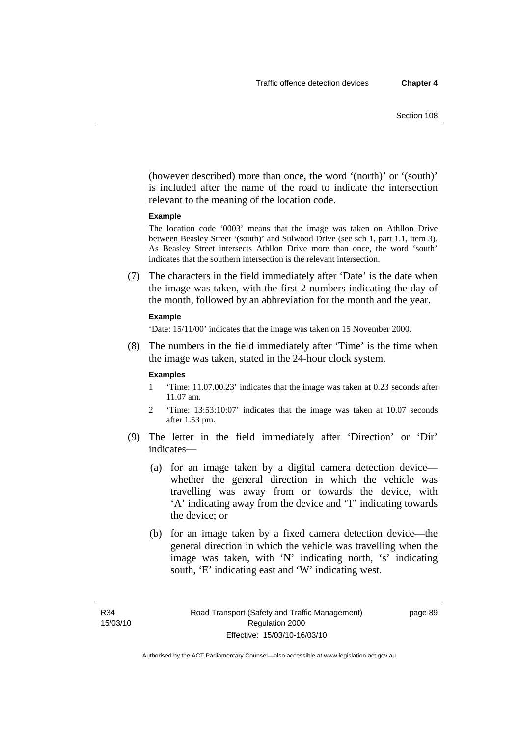(however described) more than once, the word '(north)' or '(south)' is included after the name of the road to indicate the intersection relevant to the meaning of the location code.

#### **Example**

The location code '0003' means that the image was taken on Athllon Drive between Beasley Street '(south)' and Sulwood Drive (see sch 1, part 1.1, item 3). As Beasley Street intersects Athllon Drive more than once, the word 'south' indicates that the southern intersection is the relevant intersection.

 (7) The characters in the field immediately after 'Date' is the date when the image was taken, with the first 2 numbers indicating the day of the month, followed by an abbreviation for the month and the year.

#### **Example**

'Date: 15/11/00' indicates that the image was taken on 15 November 2000.

 (8) The numbers in the field immediately after 'Time' is the time when the image was taken, stated in the 24-hour clock system.

#### **Examples**

- 1 'Time: 11.07.00.23' indicates that the image was taken at 0.23 seconds after 11.07 am.
- 2 'Time: 13:53:10:07' indicates that the image was taken at 10.07 seconds after 1.53 pm.
- (9) The letter in the field immediately after 'Direction' or 'Dir' indicates—
	- (a) for an image taken by a digital camera detection device whether the general direction in which the vehicle was travelling was away from or towards the device, with 'A' indicating away from the device and 'T' indicating towards the device; or
	- (b) for an image taken by a fixed camera detection device—the general direction in which the vehicle was travelling when the image was taken, with 'N' indicating north, 's' indicating south, 'E' indicating east and 'W' indicating west.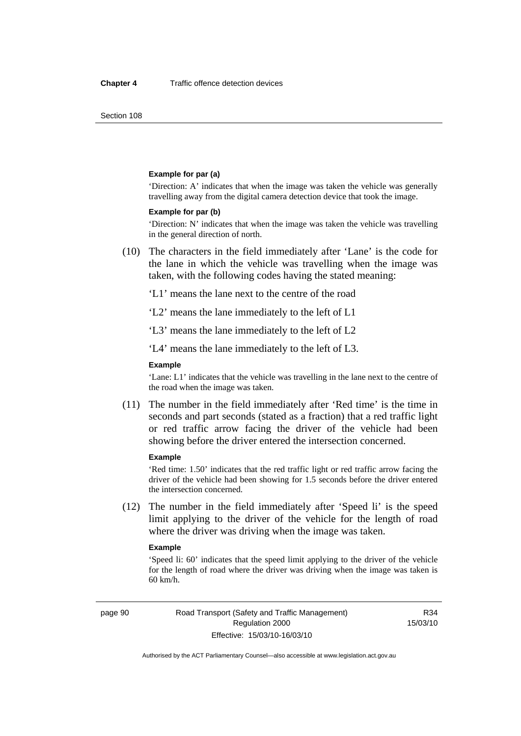Section 108

#### **Example for par (a)**

'Direction: A' indicates that when the image was taken the vehicle was generally travelling away from the digital camera detection device that took the image.

#### **Example for par (b)**

'Direction: N' indicates that when the image was taken the vehicle was travelling in the general direction of north.

 (10) The characters in the field immediately after 'Lane' is the code for the lane in which the vehicle was travelling when the image was taken, with the following codes having the stated meaning:

'L1' means the lane next to the centre of the road

'L2' means the lane immediately to the left of L1

'L3' means the lane immediately to the left of L2

'L4' means the lane immediately to the left of L3.

#### **Example**

'Lane: L1' indicates that the vehicle was travelling in the lane next to the centre of the road when the image was taken.

 (11) The number in the field immediately after 'Red time' is the time in seconds and part seconds (stated as a fraction) that a red traffic light or red traffic arrow facing the driver of the vehicle had been showing before the driver entered the intersection concerned.

#### **Example**

'Red time: 1.50' indicates that the red traffic light or red traffic arrow facing the driver of the vehicle had been showing for 1.5 seconds before the driver entered the intersection concerned.

 (12) The number in the field immediately after 'Speed li' is the speed limit applying to the driver of the vehicle for the length of road where the driver was driving when the image was taken.

#### **Example**

'Speed li: 60' indicates that the speed limit applying to the driver of the vehicle for the length of road where the driver was driving when the image was taken is 60 km/h.

R34 15/03/10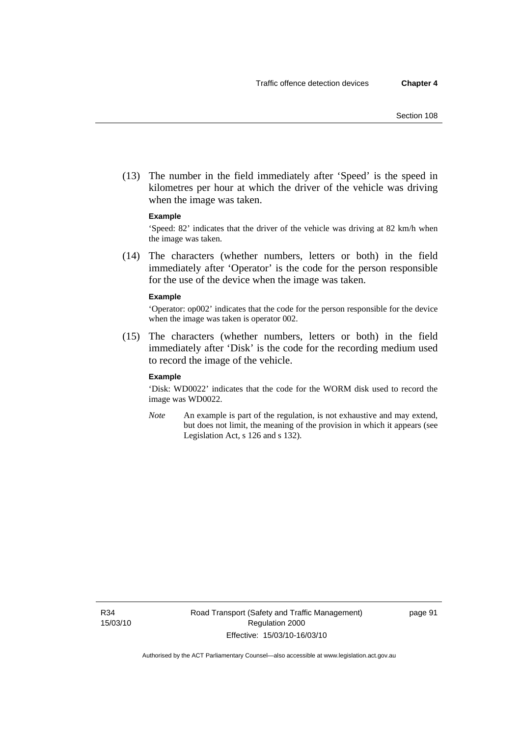(13) The number in the field immediately after 'Speed' is the speed in kilometres per hour at which the driver of the vehicle was driving when the image was taken.

#### **Example**

'Speed: 82' indicates that the driver of the vehicle was driving at 82 km/h when the image was taken.

 (14) The characters (whether numbers, letters or both) in the field immediately after 'Operator' is the code for the person responsible for the use of the device when the image was taken.

#### **Example**

'Operator: op002' indicates that the code for the person responsible for the device when the image was taken is operator 002.

 (15) The characters (whether numbers, letters or both) in the field immediately after 'Disk' is the code for the recording medium used to record the image of the vehicle.

#### **Example**

'Disk: WD0022' indicates that the code for the WORM disk used to record the image was WD0022.

*Note* An example is part of the regulation, is not exhaustive and may extend, but does not limit, the meaning of the provision in which it appears (see Legislation Act, s 126 and s 132).

R34 15/03/10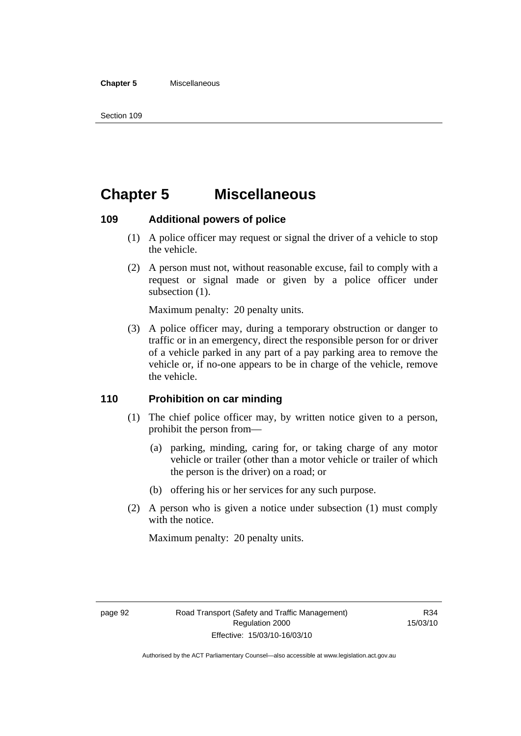#### **Chapter 5** Miscellaneous

## **Chapter 5 Miscellaneous**

### **109 Additional powers of police**

- (1) A police officer may request or signal the driver of a vehicle to stop the vehicle.
- (2) A person must not, without reasonable excuse, fail to comply with a request or signal made or given by a police officer under subsection  $(1)$ .

Maximum penalty: 20 penalty units.

 (3) A police officer may, during a temporary obstruction or danger to traffic or in an emergency, direct the responsible person for or driver of a vehicle parked in any part of a pay parking area to remove the vehicle or, if no-one appears to be in charge of the vehicle, remove the vehicle.

## **110 Prohibition on car minding**

- (1) The chief police officer may, by written notice given to a person, prohibit the person from—
	- (a) parking, minding, caring for, or taking charge of any motor vehicle or trailer (other than a motor vehicle or trailer of which the person is the driver) on a road; or
	- (b) offering his or her services for any such purpose.
- (2) A person who is given a notice under subsection (1) must comply with the notice.

Maximum penalty: 20 penalty units.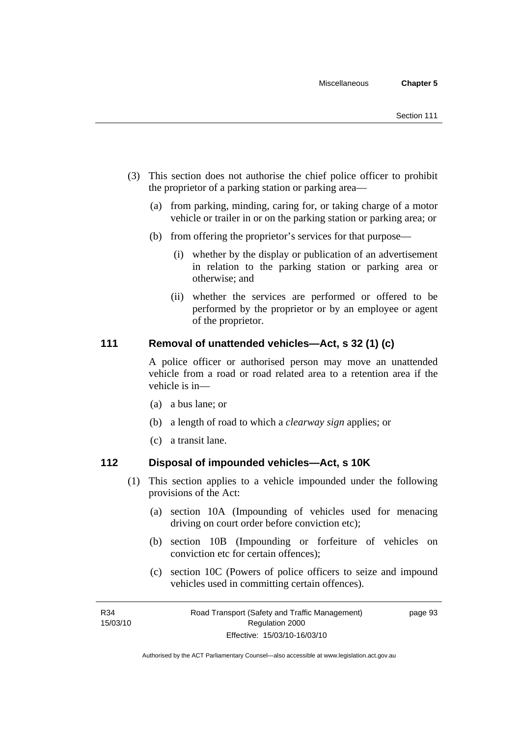- (3) This section does not authorise the chief police officer to prohibit the proprietor of a parking station or parking area—
	- (a) from parking, minding, caring for, or taking charge of a motor vehicle or trailer in or on the parking station or parking area; or
	- (b) from offering the proprietor's services for that purpose—
		- (i) whether by the display or publication of an advertisement in relation to the parking station or parking area or otherwise; and
		- (ii) whether the services are performed or offered to be performed by the proprietor or by an employee or agent of the proprietor.

## **111 Removal of unattended vehicles—Act, s 32 (1) (c)**

A police officer or authorised person may move an unattended vehicle from a road or road related area to a retention area if the vehicle is in—

- (a) a bus lane; or
- (b) a length of road to which a *clearway sign* applies; or
- (c) a transit lane.

### **112 Disposal of impounded vehicles—Act, s 10K**

- (1) This section applies to a vehicle impounded under the following provisions of the Act:
	- (a) section 10A (Impounding of vehicles used for menacing driving on court order before conviction etc);
	- (b) section 10B (Impounding or forfeiture of vehicles on conviction etc for certain offences);
	- (c) section 10C (Powers of police officers to seize and impound vehicles used in committing certain offences).

page 93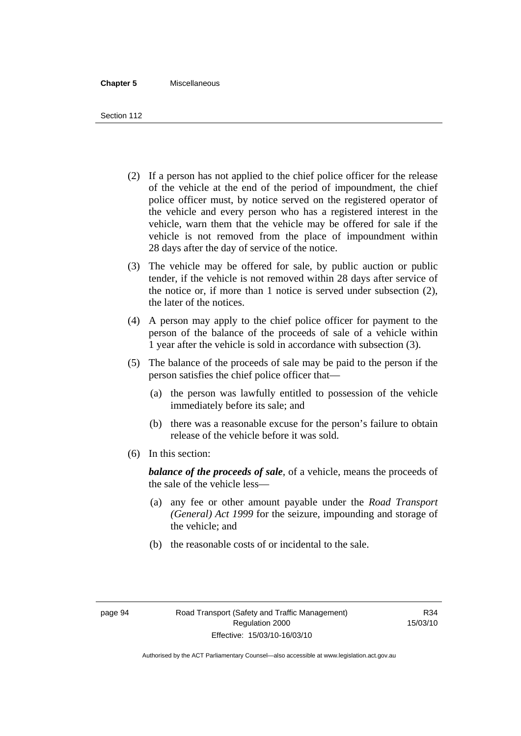#### **Chapter 5** Miscellaneous

Section 112

- (2) If a person has not applied to the chief police officer for the release of the vehicle at the end of the period of impoundment, the chief police officer must, by notice served on the registered operator of the vehicle and every person who has a registered interest in the vehicle, warn them that the vehicle may be offered for sale if the vehicle is not removed from the place of impoundment within 28 days after the day of service of the notice.
- (3) The vehicle may be offered for sale, by public auction or public tender, if the vehicle is not removed within 28 days after service of the notice or, if more than 1 notice is served under subsection (2), the later of the notices.
- (4) A person may apply to the chief police officer for payment to the person of the balance of the proceeds of sale of a vehicle within 1 year after the vehicle is sold in accordance with subsection (3).
- (5) The balance of the proceeds of sale may be paid to the person if the person satisfies the chief police officer that—
	- (a) the person was lawfully entitled to possession of the vehicle immediately before its sale; and
	- (b) there was a reasonable excuse for the person's failure to obtain release of the vehicle before it was sold.
- (6) In this section:

*balance of the proceeds of sale*, of a vehicle, means the proceeds of the sale of the vehicle less—

- (a) any fee or other amount payable under the *Road Transport (General) Act 1999* for the seizure, impounding and storage of the vehicle; and
- (b) the reasonable costs of or incidental to the sale.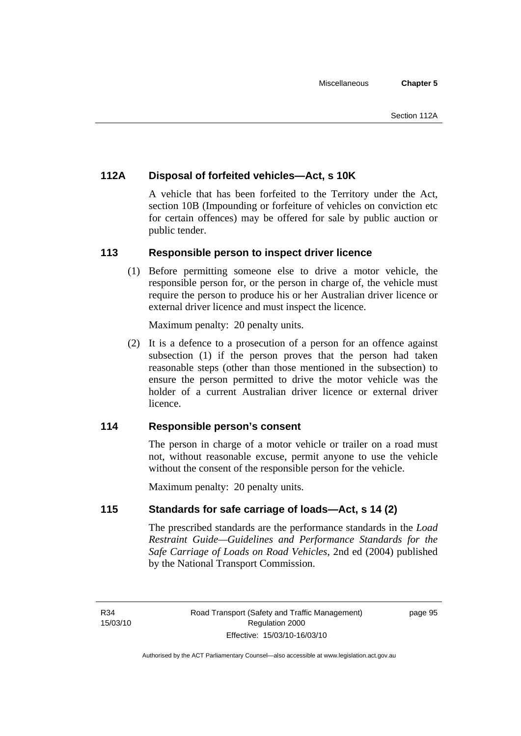## **112A Disposal of forfeited vehicles—Act, s 10K**

A vehicle that has been forfeited to the Territory under the Act, section 10B (Impounding or forfeiture of vehicles on conviction etc for certain offences) may be offered for sale by public auction or public tender.

## **113 Responsible person to inspect driver licence**

 (1) Before permitting someone else to drive a motor vehicle, the responsible person for, or the person in charge of, the vehicle must require the person to produce his or her Australian driver licence or external driver licence and must inspect the licence.

Maximum penalty: 20 penalty units.

 (2) It is a defence to a prosecution of a person for an offence against subsection (1) if the person proves that the person had taken reasonable steps (other than those mentioned in the subsection) to ensure the person permitted to drive the motor vehicle was the holder of a current Australian driver licence or external driver licence.

## **114 Responsible person's consent**

The person in charge of a motor vehicle or trailer on a road must not, without reasonable excuse, permit anyone to use the vehicle without the consent of the responsible person for the vehicle.

Maximum penalty: 20 penalty units.

## **115 Standards for safe carriage of loads—Act, s 14 (2)**

The prescribed standards are the performance standards in the *Load Restraint Guide—Guidelines and Performance Standards for the Safe Carriage of Loads on Road Vehicles*, 2nd ed (2004) published by the National Transport Commission.

R34 15/03/10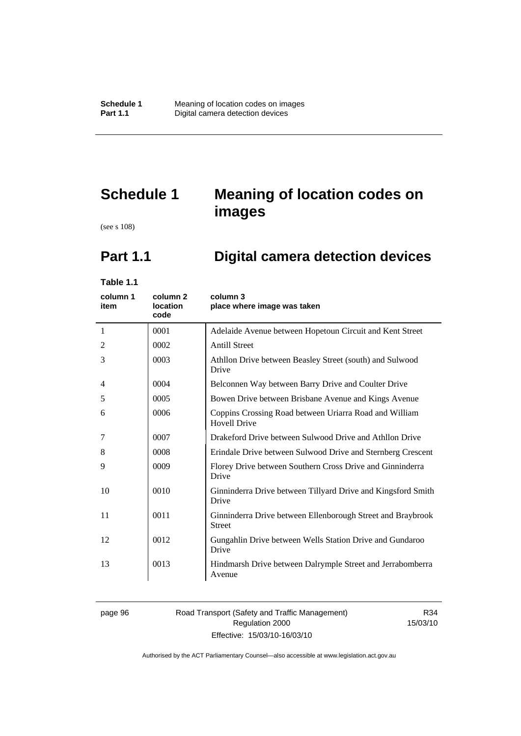# **Schedule 1 Meaning of location codes on images**

(see s 108)

# **Part 1.1 Digital camera detection devices**

**Table 1.1** 

| column 1<br>item | column 2<br><b>location</b><br>code | column 3<br>place where image was taken                                       |
|------------------|-------------------------------------|-------------------------------------------------------------------------------|
| 1                | 0001                                | Adelaide Avenue between Hopetoun Circuit and Kent Street                      |
| 2                | 0002                                | <b>Antill Street</b>                                                          |
| 3                | 0003                                | Athllon Drive between Beasley Street (south) and Sulwood<br>Drive             |
| 4                | 0004                                | Belconnen Way between Barry Drive and Coulter Drive                           |
| 5                | 0005                                | Bowen Drive between Brisbane Avenue and Kings Avenue                          |
| 6                | 0006                                | Coppins Crossing Road between Uriarra Road and William<br><b>Hovell Drive</b> |
| 7                | 0007                                | Drakeford Drive between Sulwood Drive and Athllon Drive                       |
| 8                | 0008                                | Erindale Drive between Sulwood Drive and Sternberg Crescent                   |
| 9                | 0009                                | Florey Drive between Southern Cross Drive and Ginninderra<br>Drive            |
| 10               | 0010                                | Ginninderra Drive between Tillyard Drive and Kingsford Smith<br>Drive         |
| 11               | 0011                                | Ginninderra Drive between Ellenborough Street and Braybrook<br><b>Street</b>  |
| 12               | 0012                                | Gungahlin Drive between Wells Station Drive and Gundaroo<br>Drive             |
| 13               | 0013                                | Hindmarsh Drive between Dalrymple Street and Jerrabomberra<br>Avenue          |

#### page 96 Road Transport (Safety and Traffic Management) Regulation 2000 Effective: 15/03/10-16/03/10

R34 15/03/10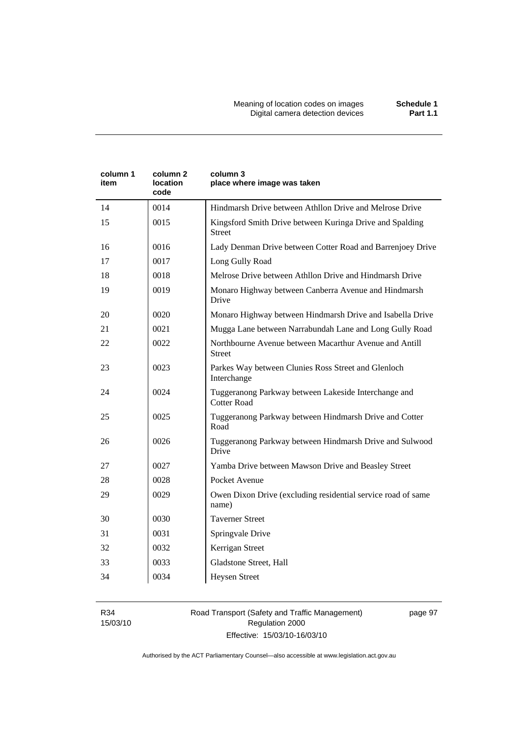| column 1<br>item | column 2<br><b>location</b><br>code | column 3<br>place where image was taken                                    |
|------------------|-------------------------------------|----------------------------------------------------------------------------|
| 14               | 0014                                | Hindmarsh Drive between Athllon Drive and Melrose Drive                    |
| 15               | 0015                                | Kingsford Smith Drive between Kuringa Drive and Spalding<br><b>Street</b>  |
| 16               | 0016                                | Lady Denman Drive between Cotter Road and Barrenjoey Drive                 |
| 17               | 0017                                | Long Gully Road                                                            |
| 18               | 0018                                | Melrose Drive between Athllon Drive and Hindmarsh Drive                    |
| 19               | 0019                                | Monaro Highway between Canberra Avenue and Hindmarsh<br>Drive              |
| 20               | 0020                                | Monaro Highway between Hindmarsh Drive and Isabella Drive                  |
| 21               | 0021                                | Mugga Lane between Narrabundah Lane and Long Gully Road                    |
| 22               | 0022                                | Northbourne Avenue between Macarthur Avenue and Antill<br><b>Street</b>    |
| 23               | 0023                                | Parkes Way between Clunies Ross Street and Glenloch<br>Interchange         |
| 24               | 0024                                | Tuggeranong Parkway between Lakeside Interchange and<br><b>Cotter Road</b> |
| 25               | 0025                                | Tuggeranong Parkway between Hindmarsh Drive and Cotter<br>Road             |
| 26               | 0026                                | Tuggeranong Parkway between Hindmarsh Drive and Sulwood<br>Drive           |
| 27               | 0027                                | Yamba Drive between Mawson Drive and Beasley Street                        |
| 28               | 0028                                | Pocket Avenue                                                              |
| 29               | 0029                                | Owen Dixon Drive (excluding residential service road of same<br>name)      |
| 30               | 0030                                | <b>Taverner Street</b>                                                     |
| 31               | 0031                                | Springvale Drive                                                           |
| 32               | 0032                                | Kerrigan Street                                                            |
| 33               | 0033                                | Gladstone Street, Hall                                                     |
| 34               | 0034                                | <b>Heysen Street</b>                                                       |

R34 15/03/10

#### Road Transport (Safety and Traffic Management) Regulation 2000 Effective: 15/03/10-16/03/10

page 97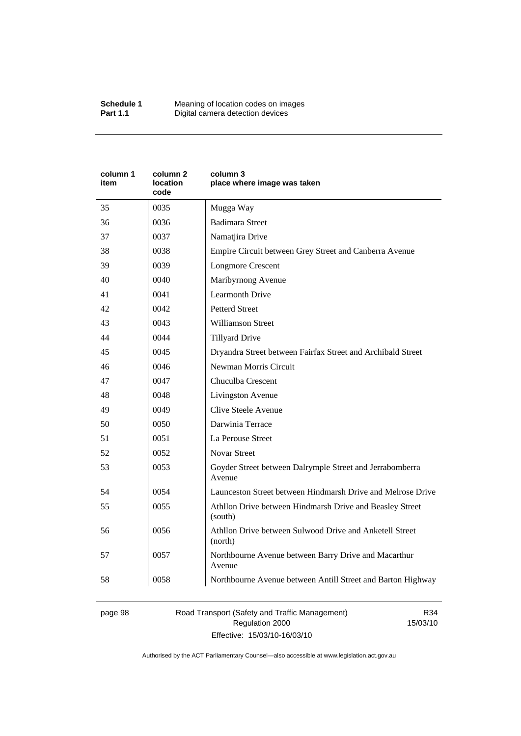| column 1<br>item | column <sub>2</sub><br><b>location</b><br>code | column 3<br>place where image was taken                             |
|------------------|------------------------------------------------|---------------------------------------------------------------------|
| 35               | 0035                                           | Mugga Way                                                           |
| 36               | 0036                                           | <b>Badimara Street</b>                                              |
| 37               | 0037                                           | Namatjira Drive                                                     |
| 38               | 0038                                           | Empire Circuit between Grey Street and Canberra Avenue              |
| 39               | 0039                                           | <b>Longmore Crescent</b>                                            |
| 40               | 0040                                           | Maribyrnong Avenue                                                  |
| 41               | 0041                                           | <b>Learmonth Drive</b>                                              |
| 42               | 0042                                           | <b>Petterd Street</b>                                               |
| 43               | 0043                                           | <b>Williamson Street</b>                                            |
| 44               | 0044                                           | <b>Tillyard Drive</b>                                               |
| 45               | 0045                                           | Dryandra Street between Fairfax Street and Archibald Street         |
| 46               | 0046                                           | Newman Morris Circuit                                               |
| 47               | 0047                                           | Chuculba Crescent                                                   |
| 48               | 0048                                           | Livingston Avenue                                                   |
| 49               | 0049                                           | Clive Steele Avenue                                                 |
| 50               | 0050                                           | Darwinia Terrace                                                    |
| 51               | 0051                                           | La Perouse Street                                                   |
| 52               | 0052                                           | <b>Novar Street</b>                                                 |
| 53               | 0053                                           | Goyder Street between Dalrymple Street and Jerrabomberra<br>Avenue  |
| 54               | 0054                                           | Launceston Street between Hindmarsh Drive and Melrose Drive         |
| 55               | 0055                                           | Athllon Drive between Hindmarsh Drive and Beasley Street<br>(south) |
| 56               | 0056                                           | Athllon Drive between Sulwood Drive and Anketell Street<br>(north)  |
| 57               | 0057                                           | Northbourne Avenue between Barry Drive and Macarthur<br>Avenue      |
| 58               | 0058                                           | Northbourne Avenue between Antill Street and Barton Highway         |

page 98 Road Transport (Safety and Traffic Management) Regulation 2000 Effective: 15/03/10-16/03/10

R34 15/03/10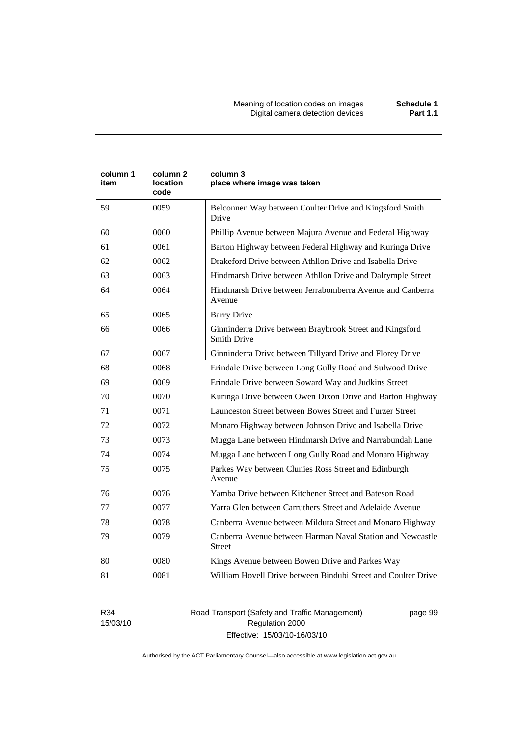| column 1<br>item | column <sub>2</sub><br>location<br>code | column 3<br>place where image was taken                                        |  |
|------------------|-----------------------------------------|--------------------------------------------------------------------------------|--|
| 59               | 0059                                    | Belconnen Way between Coulter Drive and Kingsford Smith<br>Drive               |  |
| 60               | 0060                                    | Phillip Avenue between Majura Avenue and Federal Highway                       |  |
| 61               | 0061                                    | Barton Highway between Federal Highway and Kuringa Drive                       |  |
| 62               | 0062                                    | Drakeford Drive between Athllon Drive and Isabella Drive                       |  |
| 63               | 0063                                    | Hindmarsh Drive between Athllon Drive and Dalrymple Street                     |  |
| 64               | 0064                                    | Hindmarsh Drive between Jerrabomberra Avenue and Canberra<br>Avenue            |  |
| 65               | 0065                                    | <b>Barry Drive</b>                                                             |  |
| 66               | 0066                                    | Ginninderra Drive between Braybrook Street and Kingsford<br><b>Smith Drive</b> |  |
| 67               | 0067                                    | Ginninderra Drive between Tillyard Drive and Florey Drive                      |  |
| 68               | 0068                                    | Erindale Drive between Long Gully Road and Sulwood Drive                       |  |
| 69               | 0069                                    | Erindale Drive between Soward Way and Judkins Street                           |  |
| 70               | 0070                                    | Kuringa Drive between Owen Dixon Drive and Barton Highway                      |  |
| 71               | 0071                                    | Launceston Street between Bowes Street and Furzer Street                       |  |
| 72               | 0072                                    | Monaro Highway between Johnson Drive and Isabella Drive                        |  |
| 73               | 0073                                    | Mugga Lane between Hindmarsh Drive and Narrabundah Lane                        |  |
| 74               | 0074                                    | Mugga Lane between Long Gully Road and Monaro Highway                          |  |
| 75               | 0075                                    | Parkes Way between Clunies Ross Street and Edinburgh<br>Avenue                 |  |
| 76               | 0076                                    | Yamba Drive between Kitchener Street and Bateson Road                          |  |
| 77               | 0077                                    | Yarra Glen between Carruthers Street and Adelaide Avenue                       |  |
| 78               | 0078                                    | Canberra Avenue between Mildura Street and Monaro Highway                      |  |
| 79               | 0079                                    | Canberra Avenue between Harman Naval Station and Newcastle<br>Street           |  |
| 80               | 0080                                    | Kings Avenue between Bowen Drive and Parkes Way                                |  |
| 81               | 0081                                    | William Hovell Drive between Bindubi Street and Coulter Drive                  |  |

R34 15/03/10 Road Transport (Safety and Traffic Management) Regulation 2000 Effective: 15/03/10-16/03/10

page 99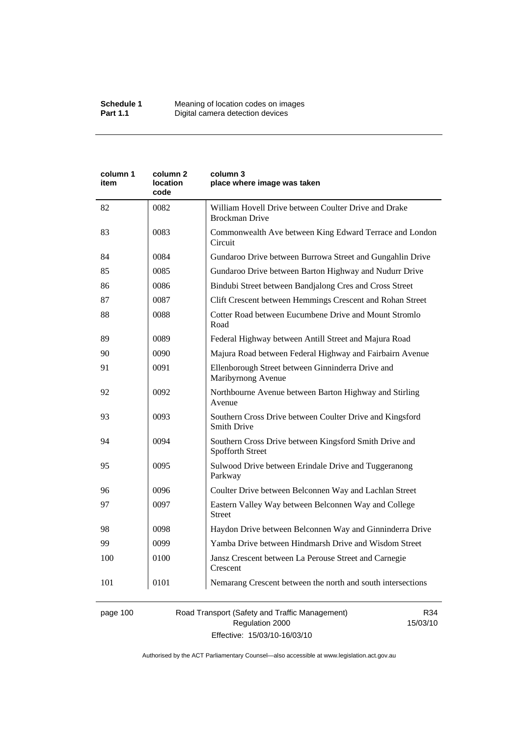| column 1<br>item | column 2<br>location<br>code | column 3<br>place where image was taken                                        |  |
|------------------|------------------------------|--------------------------------------------------------------------------------|--|
| 82               | 0082                         | William Hovell Drive between Coulter Drive and Drake<br><b>Brockman Drive</b>  |  |
| 83               | 0083                         | Commonwealth Ave between King Edward Terrace and London<br>Circuit             |  |
| 84               | 0084                         | Gundaroo Drive between Burrowa Street and Gungahlin Drive                      |  |
| 85               | 0085                         | Gundaroo Drive between Barton Highway and Nudurr Drive                         |  |
| 86               | 0086                         | Bindubi Street between Bandjalong Cres and Cross Street                        |  |
| 87               | 0087                         | Clift Crescent between Hemmings Crescent and Rohan Street                      |  |
| 88               | 0088                         | Cotter Road between Eucumbene Drive and Mount Stromlo<br>Road                  |  |
| 89               | 0089                         | Federal Highway between Antill Street and Majura Road                          |  |
| 90               | 0090                         | Majura Road between Federal Highway and Fairbairn Avenue                       |  |
| 91               | 0091                         | Ellenborough Street between Ginninderra Drive and<br>Maribyrnong Avenue        |  |
| 92               | 0092                         | Northbourne Avenue between Barton Highway and Stirling<br>Avenue               |  |
| 93               | 0093                         | Southern Cross Drive between Coulter Drive and Kingsford<br><b>Smith Drive</b> |  |
| 94               | 0094                         | Southern Cross Drive between Kingsford Smith Drive and<br>Spofforth Street     |  |
| 95               | 0095                         | Sulwood Drive between Erindale Drive and Tuggeranong<br>Parkway                |  |
| 96               | 0096                         | Coulter Drive between Belconnen Way and Lachlan Street                         |  |
| 97               | 0097                         | Eastern Valley Way between Belconnen Way and College<br><b>Street</b>          |  |
| 98               | 0098                         | Haydon Drive between Belconnen Way and Ginninderra Drive                       |  |
| 99               | 0099                         | Yamba Drive between Hindmarsh Drive and Wisdom Street                          |  |
| 100              | 0100                         | Jansz Crescent between La Perouse Street and Carnegie<br>Crescent              |  |
| 101              | 0101                         | Nemarang Crescent between the north and south intersections                    |  |

### page 100 Road Transport (Safety and Traffic Management) Regulation 2000 Effective: 15/03/10-16/03/10

R34 15/03/10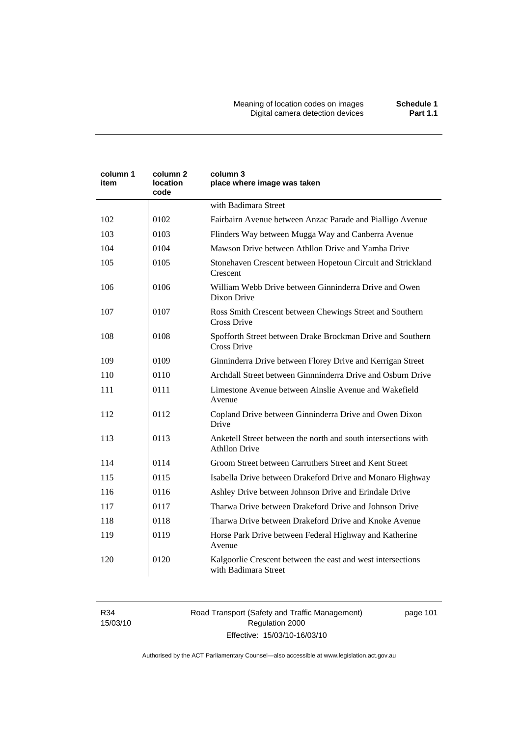Meaning of location codes on images **Schedule 1**  Digital camera detection devices **Part 1.1** 

| column 1<br>item | column 2<br>location<br>code | column 3<br>place where image was taken                                                |  |
|------------------|------------------------------|----------------------------------------------------------------------------------------|--|
|                  |                              | with Badimara Street                                                                   |  |
| 102              | 0102                         | Fairbairn Avenue between Anzac Parade and Pialligo Avenue                              |  |
| 103              | 0103                         | Flinders Way between Mugga Way and Canberra Avenue                                     |  |
| 104              | 0104                         | Mawson Drive between Athllon Drive and Yamba Drive                                     |  |
| 105              | 0105                         | Stonehaven Crescent between Hopetoun Circuit and Strickland<br>Crescent                |  |
| 106              | 0106                         | William Webb Drive between Ginninderra Drive and Owen<br>Dixon Drive                   |  |
| 107              | 0107                         | Ross Smith Crescent between Chewings Street and Southern<br><b>Cross Drive</b>         |  |
| 108              | 0108                         | Spofforth Street between Drake Brockman Drive and Southern<br><b>Cross Drive</b>       |  |
| 109              | 0109                         | Ginninderra Drive between Florey Drive and Kerrigan Street                             |  |
| 110              | 0110                         | Archdall Street between Ginnninderra Drive and Osburn Drive                            |  |
| 111              | 0111                         | Limestone Avenue between Ainslie Avenue and Wakefield<br>Avenue                        |  |
| 112              | 0112                         | Copland Drive between Ginninderra Drive and Owen Dixon<br>Drive                        |  |
| 113              | 0113                         | Anketell Street between the north and south intersections with<br><b>Athllon Drive</b> |  |
| 114              | 0114                         | Groom Street between Carruthers Street and Kent Street                                 |  |
| 115              | 0115                         | Isabella Drive between Drakeford Drive and Monaro Highway                              |  |
| 116              | 0116                         | Ashley Drive between Johnson Drive and Erindale Drive                                  |  |
| 117              | 0117                         | Tharwa Drive between Drakeford Drive and Johnson Drive                                 |  |
| 118              | 0118                         | Tharwa Drive between Drakeford Drive and Knoke Avenue                                  |  |
| 119              | 0119                         | Horse Park Drive between Federal Highway and Katherine<br>Avenue                       |  |
| 120              | 0120                         | Kalgoorlie Crescent between the east and west intersections<br>with Badimara Street    |  |

R34 15/03/10 Road Transport (Safety and Traffic Management) Regulation 2000 Effective: 15/03/10-16/03/10

page 101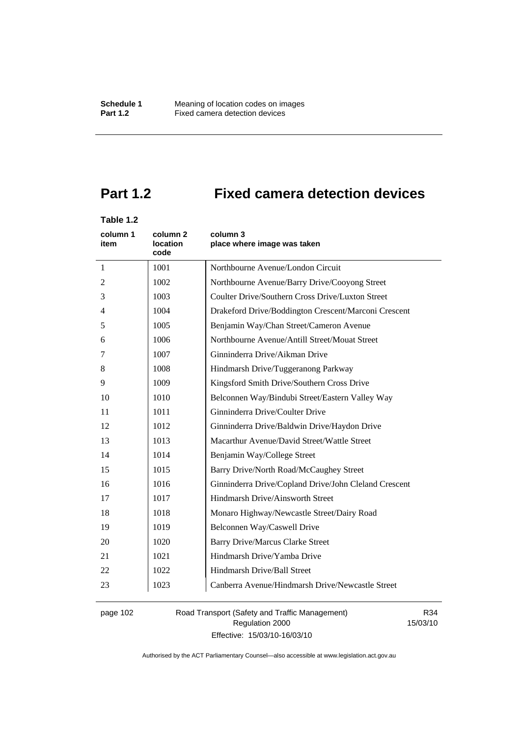# **Part 1.2 Fixed camera detection devices**

### **Table 1.2**

| column 1<br>item | column 2<br><b>location</b><br>code | column 3<br>place where image was taken               |
|------------------|-------------------------------------|-------------------------------------------------------|
| 1                | 1001                                | Northbourne Avenue/London Circuit                     |
| 2                | 1002                                | Northbourne Avenue/Barry Drive/Cooyong Street         |
| 3                | 1003                                | Coulter Drive/Southern Cross Drive/Luxton Street      |
| $\overline{4}$   | 1004                                | Drakeford Drive/Boddington Crescent/Marconi Crescent  |
| 5                | 1005                                | Benjamin Way/Chan Street/Cameron Avenue               |
| 6                | 1006                                | Northbourne Avenue/Antill Street/Mouat Street         |
| 7                | 1007                                | Ginninderra Drive/Aikman Drive                        |
| 8                | 1008                                | Hindmarsh Drive/Tuggeranong Parkway                   |
| 9                | 1009                                | Kingsford Smith Drive/Southern Cross Drive            |
| 10               | 1010                                | Belconnen Way/Bindubi Street/Eastern Valley Way       |
| 11               | 1011                                | Ginninderra Drive/Coulter Drive                       |
| 12               | 1012                                | Ginninderra Drive/Baldwin Drive/Haydon Drive          |
| 13               | 1013                                | Macarthur Avenue/David Street/Wattle Street           |
| 14               | 1014                                | Benjamin Way/College Street                           |
| 15               | 1015                                | Barry Drive/North Road/McCaughey Street               |
| 16               | 1016                                | Ginninderra Drive/Copland Drive/John Cleland Crescent |
| 17               | 1017                                | Hindmarsh Drive/Ainsworth Street                      |
| 18               | 1018                                | Monaro Highway/Newcastle Street/Dairy Road            |
| 19               | 1019                                | Belconnen Way/Caswell Drive                           |
| 20               | 1020                                | <b>Barry Drive/Marcus Clarke Street</b>               |
| 21               | 1021                                | Hindmarsh Drive/Yamba Drive                           |
| 22               | 1022                                | Hindmarsh Drive/Ball Street                           |
| 23               | 1023                                | Canberra Avenue/Hindmarsh Drive/Newcastle Street      |

page 102 Road Transport (Safety and Traffic Management) Regulation 2000 Effective: 15/03/10-16/03/10

R34 15/03/10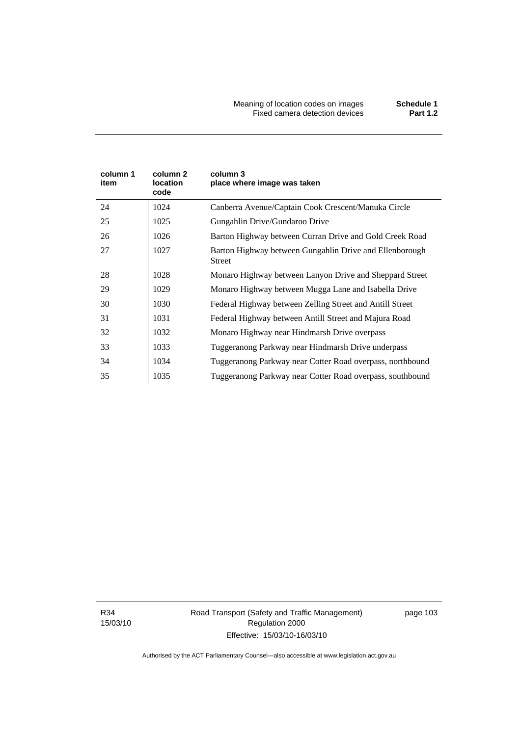| column 1<br>item | column 2<br>location<br>code | column 3<br>place where image was taken                                  |
|------------------|------------------------------|--------------------------------------------------------------------------|
| 24               | 1024                         | Canberra Avenue/Captain Cook Crescent/Manuka Circle                      |
| 25               | 1025                         | Gungahlin Drive/Gundaroo Drive                                           |
| 26               | 1026                         | Barton Highway between Curran Drive and Gold Creek Road                  |
| 27               | 1027                         | Barton Highway between Gungahlin Drive and Ellenborough<br><b>Street</b> |
| 28               | 1028                         | Monaro Highway between Lanyon Drive and Sheppard Street                  |
| 29               | 1029                         | Monaro Highway between Mugga Lane and Isabella Drive                     |
| 30               | 1030                         | Federal Highway between Zelling Street and Antill Street                 |
| 31               | 1031                         | Federal Highway between Antill Street and Majura Road                    |
| 32               | 1032                         | Monaro Highway near Hindmarsh Drive overpass                             |
| 33               | 1033                         | Tuggeranong Parkway near Hindmarsh Drive underpass                       |
| 34               | 1034                         | Tuggeranong Parkway near Cotter Road overpass, northbound                |
| 35               | 1035                         | Tuggeranong Parkway near Cotter Road overpass, southbound                |

R34 15/03/10 Road Transport (Safety and Traffic Management) Regulation 2000 Effective: 15/03/10-16/03/10

page 103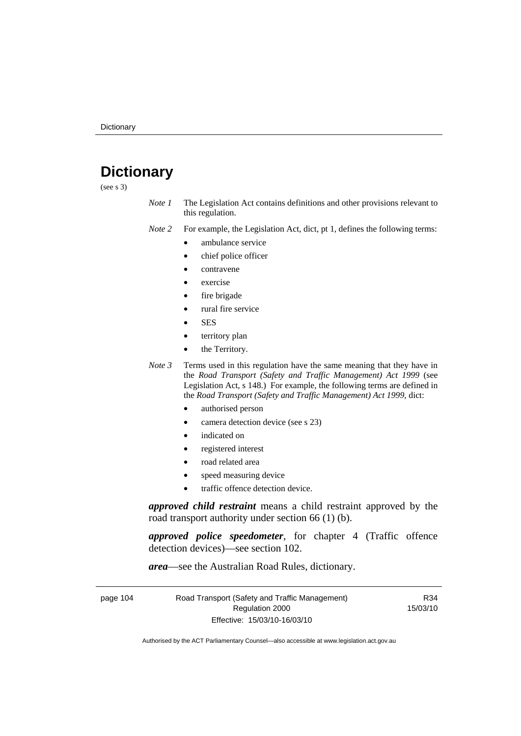# **Dictionary**

(see s 3)

*Note 1* The Legislation Act contains definitions and other provisions relevant to this regulation.

*Note 2* For example, the Legislation Act, dict, pt 1, defines the following terms:

- ambulance service
	- chief police officer
- contravene
- exercise
- fire brigade
- rural fire service
- SES
- territory plan
- the Territory.
- *Note 3* Terms used in this regulation have the same meaning that they have in the *Road Transport (Safety and Traffic Management) Act 1999* (see Legislation Act, s 148.) For example, the following terms are defined in the *Road Transport (Safety and Traffic Management) Act 1999*, dict:
	- authorised person
	- camera detection device (see s 23)
	- indicated on
	- registered interest
	- road related area
	- speed measuring device
	- traffic offence detection device.

*approved child restraint* means a child restraint approved by the road transport authority under section 66 (1) (b).

*approved police speedometer*, for chapter 4 (Traffic offence detection devices)—see section 102.

*area*—see the Australian Road Rules, dictionary.

| page 104 | Road Transport (Safety and Traffic Management) | R34      |
|----------|------------------------------------------------|----------|
|          | Regulation 2000                                | 15/03/10 |
|          | Effective: 15/03/10-16/03/10                   |          |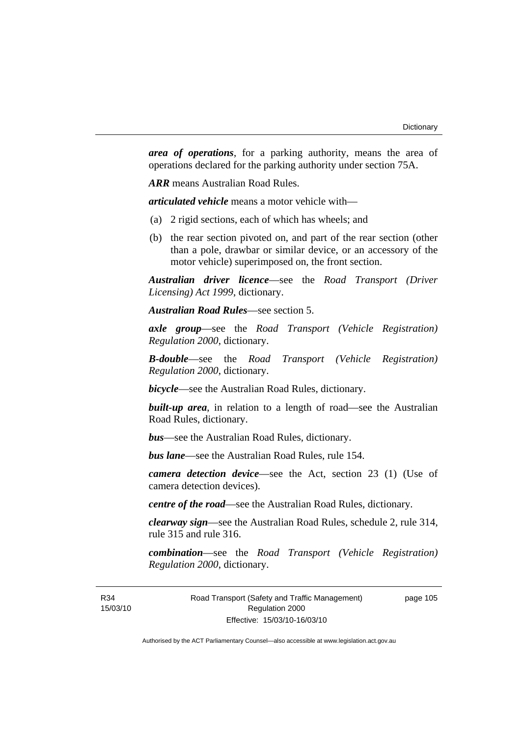*area of operations*, for a parking authority, means the area of operations declared for the parking authority under section 75A.

*ARR* means Australian Road Rules.

*articulated vehicle* means a motor vehicle with—

- (a) 2 rigid sections, each of which has wheels; and
- (b) the rear section pivoted on, and part of the rear section (other than a pole, drawbar or similar device, or an accessory of the motor vehicle) superimposed on, the front section.

*Australian driver licence*—see the *Road Transport (Driver Licensing) Act 1999*, dictionary.

*Australian Road Rules*—see section 5.

*axle group*—see the *Road Transport (Vehicle Registration) Regulation 2000*, dictionary.

*B-double*—see the *Road Transport (Vehicle Registration) Regulation 2000*, dictionary.

*bicycle*—see the Australian Road Rules, dictionary.

**built-up area**, in relation to a length of road—see the Australian Road Rules, dictionary.

*bus*—see the Australian Road Rules, dictionary.

*bus lane*—see the Australian Road Rules, rule 154.

*camera detection device*—see the Act, section 23 (1) (Use of camera detection devices).

*centre of the road*—see the Australian Road Rules, dictionary.

*clearway sign*—see the Australian Road Rules, schedule 2, rule 314, rule 315 and rule 316.

*combination*—see the *Road Transport (Vehicle Registration) Regulation 2000*, dictionary.

Road Transport (Safety and Traffic Management) Regulation 2000 Effective: 15/03/10-16/03/10

page 105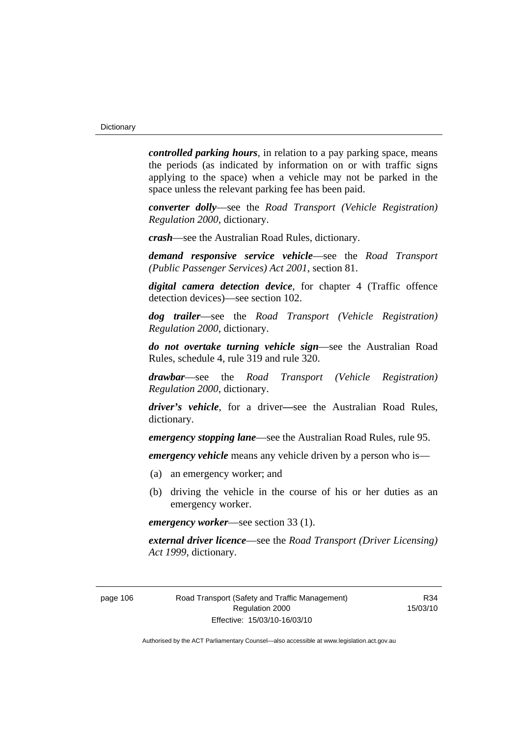*controlled parking hours*, in relation to a pay parking space, means the periods (as indicated by information on or with traffic signs applying to the space) when a vehicle may not be parked in the space unless the relevant parking fee has been paid.

*converter dolly*—see the *Road Transport (Vehicle Registration) Regulation 2000*, dictionary.

*crash*—see the Australian Road Rules, dictionary.

*demand responsive service vehicle*—see the *Road Transport (Public Passenger Services) Act 2001*, section 81.

*digital camera detection device*, for chapter 4 (Traffic offence detection devices)—see section 102.

*dog trailer*—see the *Road Transport (Vehicle Registration) Regulation 2000*, dictionary.

*do not overtake turning vehicle sign*—see the Australian Road Rules, schedule 4, rule 319 and rule 320.

*drawbar*—see the *Road Transport (Vehicle Registration) Regulation 2000*, dictionary.

*driver's vehicle*, for a driver*—*see the Australian Road Rules, dictionary.

*emergency stopping lane*—see the Australian Road Rules, rule 95.

*emergency vehicle* means any vehicle driven by a person who is—

- (a) an emergency worker; and
- (b) driving the vehicle in the course of his or her duties as an emergency worker.

*emergency worker*—see section 33 (1).

*external driver licence*—see the *Road Transport (Driver Licensing) Act 1999*, dictionary.

page 106 Road Transport (Safety and Traffic Management) Regulation 2000 Effective: 15/03/10-16/03/10

R34 15/03/10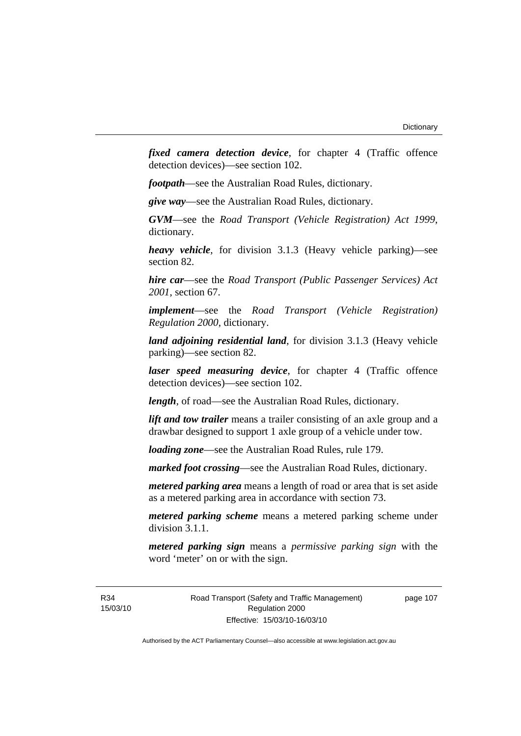*fixed camera detection device*, for chapter 4 (Traffic offence detection devices)—see section 102.

*footpath*—see the Australian Road Rules, dictionary.

*give way*—see the Australian Road Rules, dictionary.

*GVM*—see the *Road Transport (Vehicle Registration) Act 1999*, dictionary.

*heavy vehicle*, for division 3.1.3 (Heavy vehicle parking)—see section 82.

*hire car*—see the *Road Transport (Public Passenger Services) Act 2001*, section 67.

*implement*—see the *Road Transport (Vehicle Registration) Regulation 2000*, dictionary.

*land adjoining residential land*, for division 3.1.3 (Heavy vehicle parking)—see section 82.

*laser speed measuring device*, for chapter 4 (Traffic offence detection devices)—see section 102.

*length*, of road—see the Australian Road Rules, dictionary.

*lift and tow trailer* means a trailer consisting of an axle group and a drawbar designed to support 1 axle group of a vehicle under tow.

*loading zone*—see the Australian Road Rules, rule 179.

*marked foot crossing*—see the Australian Road Rules, dictionary.

*metered parking area* means a length of road or area that is set aside as a metered parking area in accordance with section 73.

*metered parking scheme* means a metered parking scheme under division 3.1.1.

*metered parking sign* means a *permissive parking sign* with the word 'meter' on or with the sign.

R34 15/03/10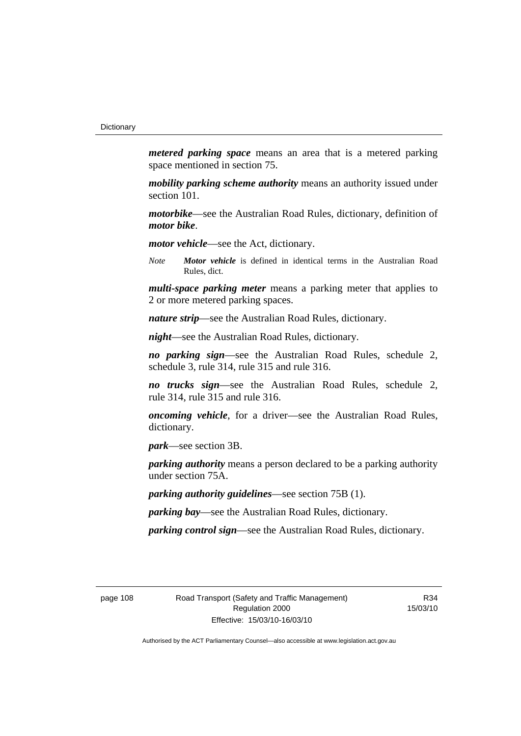*metered parking space* means an area that is a metered parking space mentioned in section 75.

*mobility parking scheme authority* means an authority issued under section 101.

*motorbike*—see the Australian Road Rules, dictionary, definition of *motor bike*.

*motor vehicle*—see the Act, dictionary.

*Note Motor vehicle* is defined in identical terms in the Australian Road Rules, dict.

*multi-space parking meter* means a parking meter that applies to 2 or more metered parking spaces.

*nature strip*—see the Australian Road Rules, dictionary.

*night*—see the Australian Road Rules, dictionary.

*no parking sign*—see the Australian Road Rules, schedule 2, schedule 3, rule 314, rule 315 and rule 316.

*no trucks sign*—see the Australian Road Rules, schedule 2, rule 314, rule 315 and rule 316.

*oncoming vehicle*, for a driver—see the Australian Road Rules, dictionary.

*park*—see section 3B.

*parking authority* means a person declared to be a parking authority under section 75A.

*parking authority guidelines*—see section 75B (1).

*parking bay*—see the Australian Road Rules, dictionary.

*parking control sign*—see the Australian Road Rules, dictionary.

page 108 Road Transport (Safety and Traffic Management) Regulation 2000 Effective: 15/03/10-16/03/10

R34 15/03/10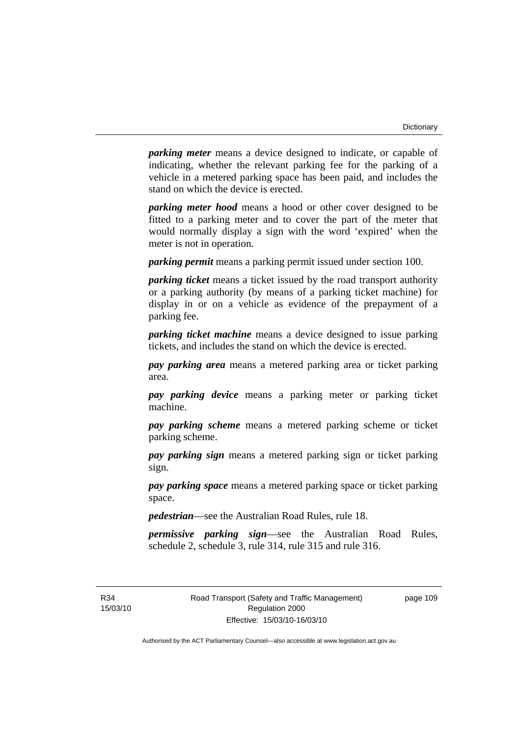*parking meter* means a device designed to indicate, or capable of indicating, whether the relevant parking fee for the parking of a vehicle in a metered parking space has been paid, and includes the stand on which the device is erected.

*parking meter hood* means a hood or other cover designed to be fitted to a parking meter and to cover the part of the meter that would normally display a sign with the word 'expired' when the meter is not in operation.

*parking permit* means a parking permit issued under section 100.

*parking ticket* means a ticket issued by the road transport authority or a parking authority (by means of a parking ticket machine) for display in or on a vehicle as evidence of the prepayment of a parking fee.

*parking ticket machine* means a device designed to issue parking tickets, and includes the stand on which the device is erected.

*pay parking area* means a metered parking area or ticket parking area.

*pay parking device* means a parking meter or parking ticket machine.

*pay parking scheme* means a metered parking scheme or ticket parking scheme.

*pay parking sign* means a metered parking sign or ticket parking sign.

*pay parking space* means a metered parking space or ticket parking space.

*pedestrian*—see the Australian Road Rules, rule 18.

*permissive parking sign*—see the Australian Road Rules, schedule 2, schedule 3, rule 314, rule 315 and rule 316.

R34 15/03/10 page 109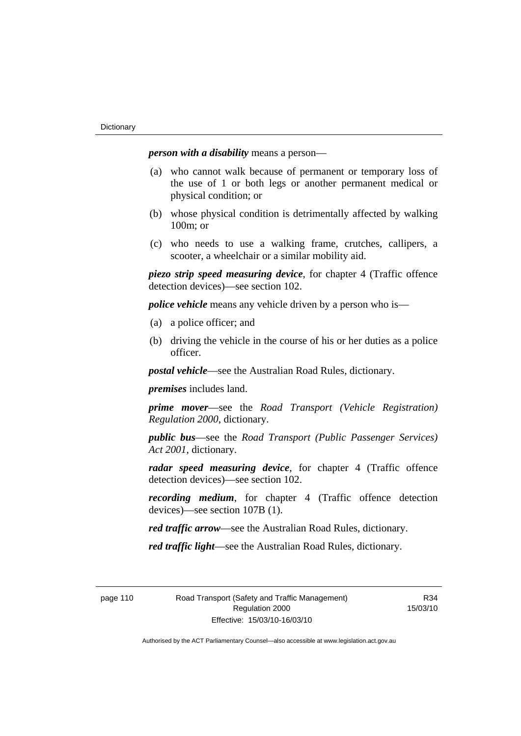*person with a disability* means a person—

- (a) who cannot walk because of permanent or temporary loss of the use of 1 or both legs or another permanent medical or physical condition; or
- (b) whose physical condition is detrimentally affected by walking 100m; or
- (c) who needs to use a walking frame, crutches, callipers, a scooter, a wheelchair or a similar mobility aid.

*piezo strip speed measuring device*, for chapter 4 (Traffic offence detection devices)—see section 102.

*police vehicle* means any vehicle driven by a person who is—

- (a) a police officer; and
- (b) driving the vehicle in the course of his or her duties as a police officer.

*postal vehicle*—see the Australian Road Rules, dictionary.

*premises* includes land.

*prime mover*—see the *Road Transport (Vehicle Registration) Regulation 2000*, dictionary.

*public bus*—see the *Road Transport (Public Passenger Services) Act 2001*, dictionary.

*radar speed measuring device*, for chapter 4 (Traffic offence detection devices)—see section 102.

*recording medium*, for chapter 4 (Traffic offence detection devices)—see section 107B (1).

*red traffic arrow*—see the Australian Road Rules, dictionary.

*red traffic light*—see the Australian Road Rules, dictionary.

page 110 Road Transport (Safety and Traffic Management) Regulation 2000 Effective: 15/03/10-16/03/10

R34 15/03/10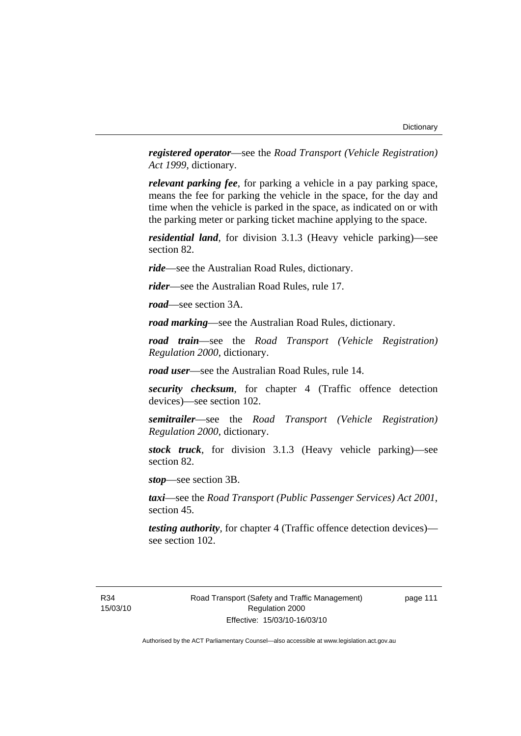*registered operator*—see the *Road Transport (Vehicle Registration) Act 1999*, dictionary.

*relevant parking fee*, for parking a vehicle in a pay parking space, means the fee for parking the vehicle in the space, for the day and time when the vehicle is parked in the space, as indicated on or with the parking meter or parking ticket machine applying to the space.

*residential land*, for division 3.1.3 (Heavy vehicle parking)—see section 82.

*ride*—see the Australian Road Rules, dictionary.

*rider*—see the Australian Road Rules, rule 17.

*road*—see section 3A.

*road marking*—see the Australian Road Rules, dictionary.

*road train*—see the *Road Transport (Vehicle Registration) Regulation 2000*, dictionary.

*road user*—see the Australian Road Rules, rule 14.

*security checksum*, for chapter 4 (Traffic offence detection devices)—see section 102.

*semitrailer*—see the *Road Transport (Vehicle Registration) Regulation 2000*, dictionary.

*stock truck*, for division 3.1.3 (Heavy vehicle parking)—see section 82.

*stop*—see section 3B.

*taxi*—see the *Road Transport (Public Passenger Services) Act 2001*, section 45.

*testing authority*, for chapter 4 (Traffic offence detection devices) see section 102.

R34 15/03/10 page 111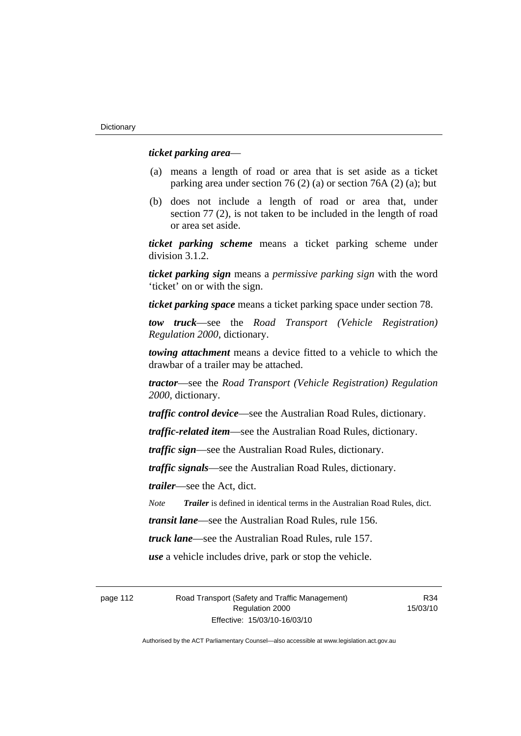### *ticket parking area*—

- (a) means a length of road or area that is set aside as a ticket parking area under section 76 (2) (a) or section 76A (2) (a); but
- (b) does not include a length of road or area that, under section 77 (2), is not taken to be included in the length of road or area set aside.

*ticket parking scheme* means a ticket parking scheme under division 3.1.2.

*ticket parking sign* means a *permissive parking sign* with the word 'ticket' on or with the sign.

*ticket parking space* means a ticket parking space under section 78.

*tow truck*—see the *Road Transport (Vehicle Registration) Regulation 2000*, dictionary.

*towing attachment* means a device fitted to a vehicle to which the drawbar of a trailer may be attached.

*tractor*—see the *Road Transport (Vehicle Registration) Regulation 2000*, dictionary.

*traffic control device*—see the Australian Road Rules, dictionary.

*traffic-related item*—see the Australian Road Rules, dictionary.

*traffic sign*—see the Australian Road Rules, dictionary.

*traffic signals*—see the Australian Road Rules, dictionary.

*trailer*—see the Act, dict.

*Note Trailer* is defined in identical terms in the Australian Road Rules, dict.

*transit lane*—see the Australian Road Rules, rule 156.

*truck lane*—see the Australian Road Rules, rule 157.

*use* a vehicle includes drive, park or stop the vehicle.

page 112 Road Transport (Safety and Traffic Management) Regulation 2000 Effective: 15/03/10-16/03/10

R34 15/03/10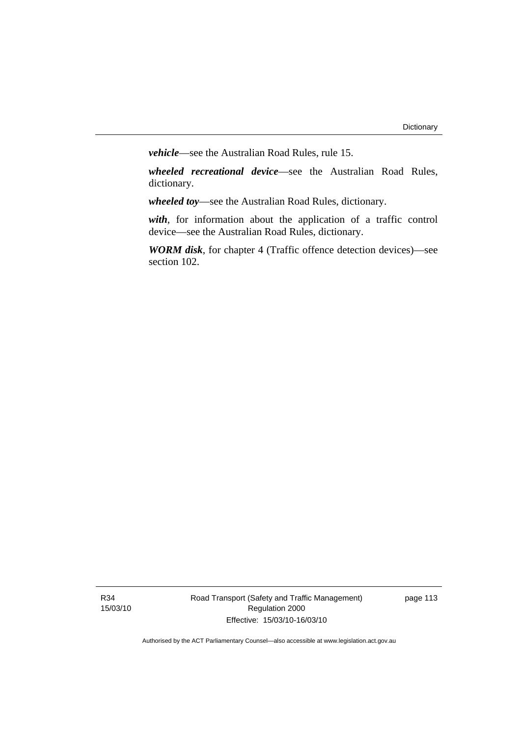*vehicle*—see the Australian Road Rules, rule 15.

*wheeled recreational device*—see the Australian Road Rules, dictionary.

*wheeled toy*—see the Australian Road Rules, dictionary.

*with*, for information about the application of a traffic control device—see the Australian Road Rules, dictionary.

*WORM disk*, for chapter 4 (Traffic offence detection devices)—see section 102.

R34 15/03/10 Road Transport (Safety and Traffic Management) Regulation 2000 Effective: 15/03/10-16/03/10

page 113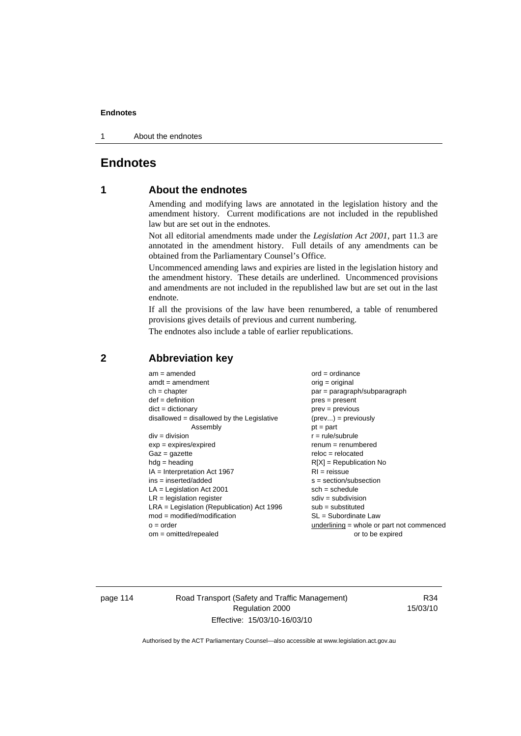1 About the endnotes

## **Endnotes**

## **1 About the endnotes**

Amending and modifying laws are annotated in the legislation history and the amendment history. Current modifications are not included in the republished law but are set out in the endnotes.

Not all editorial amendments made under the *Legislation Act 2001*, part 11.3 are annotated in the amendment history. Full details of any amendments can be obtained from the Parliamentary Counsel's Office.

Uncommenced amending laws and expiries are listed in the legislation history and the amendment history. These details are underlined. Uncommenced provisions and amendments are not included in the republished law but are set out in the last endnote.

If all the provisions of the law have been renumbered, a table of renumbered provisions gives details of previous and current numbering.

The endnotes also include a table of earlier republications.

| $am = amended$                               | $ord = ordinance$                         |
|----------------------------------------------|-------------------------------------------|
| $amdt = amendment$                           | orig = original                           |
| $ch = chapter$                               | $par = paragraph/subparagraph$            |
| $def = definition$                           | $pres = present$                          |
| $dict = dictionary$                          | $prev = previous$                         |
| $disallowed = disallowed by the Legislative$ | $(\text{prev}) = \text{previously}$       |
| Assembly                                     | $pt = part$                               |
| $div = division$                             | $r = rule/subrule$                        |
| $exp = expires/expired$                      | $renum = renumbered$                      |
| $Gaz = gazette$                              | $reloc = relocated$                       |
| $hdg =$ heading                              | $R[X]$ = Republication No                 |
| $IA = Interpretation Act 1967$               | $RI = reissue$                            |
| $ins = inserted/added$                       | $s = section/subsection$                  |
| $LA =$ Legislation Act 2001                  | $sch = schedule$                          |
| $LR =$ legislation register                  | $sdiv = subdivision$                      |
| $LRA =$ Legislation (Republication) Act 1996 | $sub = substituted$                       |
| $mod = modified/modification$                | $SL = Subordinate$ Law                    |
| $o = order$                                  | underlining = whole or part not commenced |
| om = omitted/repealed                        | or to be expired                          |
|                                              |                                           |

### **2 Abbreviation key**

page 114 Road Transport (Safety and Traffic Management) Regulation 2000 Effective: 15/03/10-16/03/10

R34 15/03/10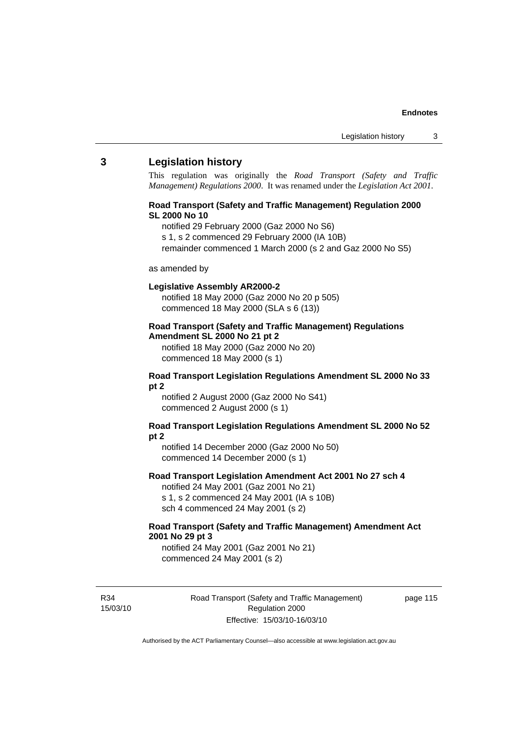### **3 Legislation history**

This regulation was originally the *Road Transport (Safety and Traffic Management) Regulations 2000*. It was renamed under the *Legislation Act 2001*.

### **Road Transport (Safety and Traffic Management) Regulation 2000 SL 2000 No 10**

- notified 29 February 2000 (Gaz 2000 No S6)
- s 1, s 2 commenced 29 February 2000 (IA 10B)
- remainder commenced 1 March 2000 (s 2 and Gaz 2000 No S5)

#### as amended by

#### **Legislative Assembly AR2000-2**

notified 18 May 2000 (Gaz 2000 No 20 p 505) commenced 18 May 2000 (SLA s 6 (13))

### **Road Transport (Safety and Traffic Management) Regulations Amendment SL 2000 No 21 pt 2**

notified 18 May 2000 (Gaz 2000 No 20) commenced 18 May 2000 (s 1)

### **Road Transport Legislation Regulations Amendment SL 2000 No 33 pt 2**

notified 2 August 2000 (Gaz 2000 No S41) commenced 2 August 2000 (s 1)

### **Road Transport Legislation Regulations Amendment SL 2000 No 52 pt 2**

notified 14 December 2000 (Gaz 2000 No 50) commenced 14 December 2000 (s 1)

#### **Road Transport Legislation Amendment Act 2001 No 27 sch 4**

notified 24 May 2001 (Gaz 2001 No 21) s 1, s 2 commenced 24 May 2001 (IA s 10B) sch 4 commenced 24 May 2001 (s 2)

### **Road Transport (Safety and Traffic Management) Amendment Act 2001 No 29 pt 3**

notified 24 May 2001 (Gaz 2001 No 21) commenced 24 May 2001 (s 2)

R34 15/03/10 Road Transport (Safety and Traffic Management) Regulation 2000 Effective: 15/03/10-16/03/10

page 115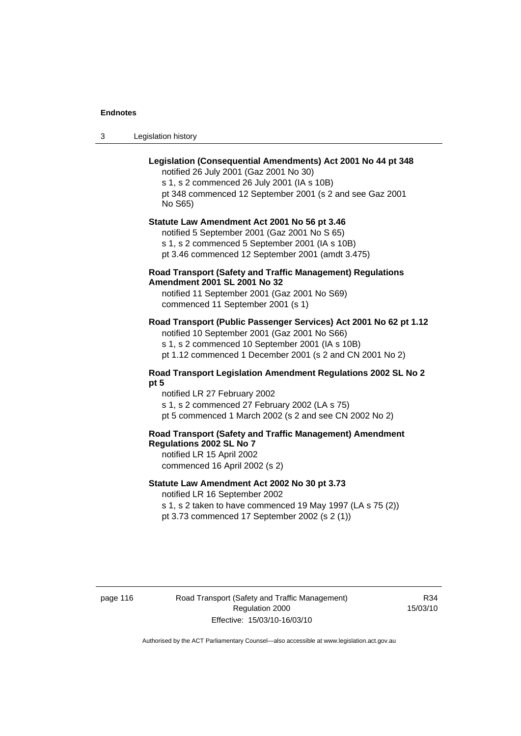3 Legislation history

### **Legislation (Consequential Amendments) Act 2001 No 44 pt 348**

notified 26 July 2001 (Gaz 2001 No 30) s 1, s 2 commenced 26 July 2001 (IA s 10B) pt 348 commenced 12 September 2001 (s 2 and see Gaz 2001 No S65)

## **Statute Law Amendment Act 2001 No 56 pt 3.46**

notified 5 September 2001 (Gaz 2001 No S 65) s 1, s 2 commenced 5 September 2001 (IA s 10B) pt 3.46 commenced 12 September 2001 (amdt 3.475)

### **Road Transport (Safety and Traffic Management) Regulations Amendment 2001 SL 2001 No 32**

notified 11 September 2001 (Gaz 2001 No S69) commenced 11 September 2001 (s 1)

### **Road Transport (Public Passenger Services) Act 2001 No 62 pt 1.12**

notified 10 September 2001 (Gaz 2001 No S66) s 1, s 2 commenced 10 September 2001 (IA s 10B)

pt 1.12 commenced 1 December 2001 (s 2 and CN 2001 No 2)

### **Road Transport Legislation Amendment Regulations 2002 SL No 2 pt 5**

notified LR 27 February 2002 s 1, s 2 commenced 27 February 2002 (LA s 75) pt 5 commenced 1 March 2002 (s 2 and see CN 2002 No 2)

### **Road Transport (Safety and Traffic Management) Amendment Regulations 2002 SL No 7**

notified LR 15 April 2002 commenced 16 April 2002 (s 2)

### **Statute Law Amendment Act 2002 No 30 pt 3.73**

notified LR 16 September 2002

s 1, s 2 taken to have commenced 19 May 1997 (LA s 75 (2)) pt 3.73 commenced 17 September 2002 (s 2 (1))

page 116 Road Transport (Safety and Traffic Management) Regulation 2000 Effective: 15/03/10-16/03/10

R34 15/03/10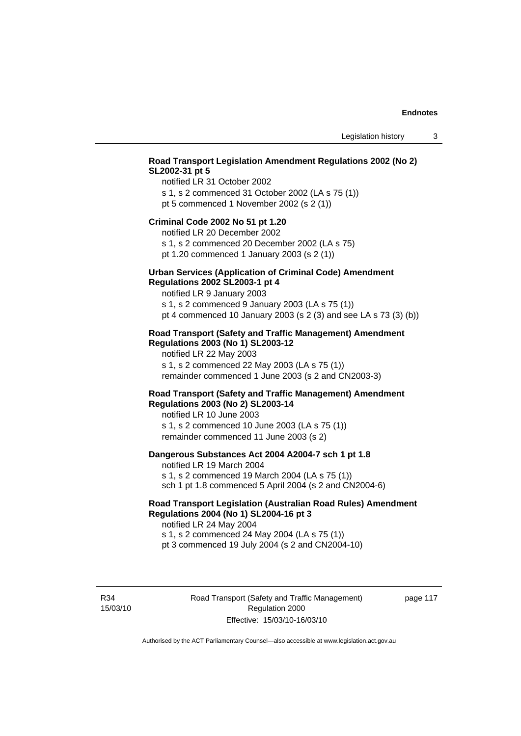### **Road Transport Legislation Amendment Regulations 2002 (No 2) SL2002-31 pt 5**

notified LR 31 October 2002 s 1, s 2 commenced 31 October 2002 (LA s 75 (1)) pt 5 commenced 1 November 2002 (s 2 (1))

#### **Criminal Code 2002 No 51 pt 1.20**

notified LR 20 December 2002

s 1, s 2 commenced 20 December 2002 (LA s 75) pt 1.20 commenced 1 January 2003 (s 2 (1))

# **Urban Services (Application of Criminal Code) Amendment**

#### **Regulations 2002 SL2003-1 pt 4**

notified LR 9 January 2003

s 1, s 2 commenced 9 January 2003 (LA s 75 (1)) pt 4 commenced 10 January 2003 (s 2 (3) and see LA s 73 (3) (b))

### **Road Transport (Safety and Traffic Management) Amendment Regulations 2003 (No 1) SL2003-12**

notified LR 22 May 2003 s 1, s 2 commenced 22 May 2003 (LA s 75 (1)) remainder commenced 1 June 2003 (s 2 and CN2003-3)

### **Road Transport (Safety and Traffic Management) Amendment Regulations 2003 (No 2) SL2003-14**

notified LR 10 June 2003 s 1, s 2 commenced 10 June 2003 (LA s 75 (1)) remainder commenced 11 June 2003 (s 2)

### **Dangerous Substances Act 2004 A2004-7 sch 1 pt 1.8**

notified LR 19 March 2004 s 1, s 2 commenced 19 March 2004 (LA s 75 (1)) sch 1 pt 1.8 commenced 5 April 2004 (s 2 and CN2004-6)

### **Road Transport Legislation (Australian Road Rules) Amendment Regulations 2004 (No 1) SL2004-16 pt 3**

notified LR 24 May 2004 s 1, s 2 commenced 24 May 2004 (LA s 75 (1)) pt 3 commenced 19 July 2004 (s 2 and CN2004-10)

R34 15/03/10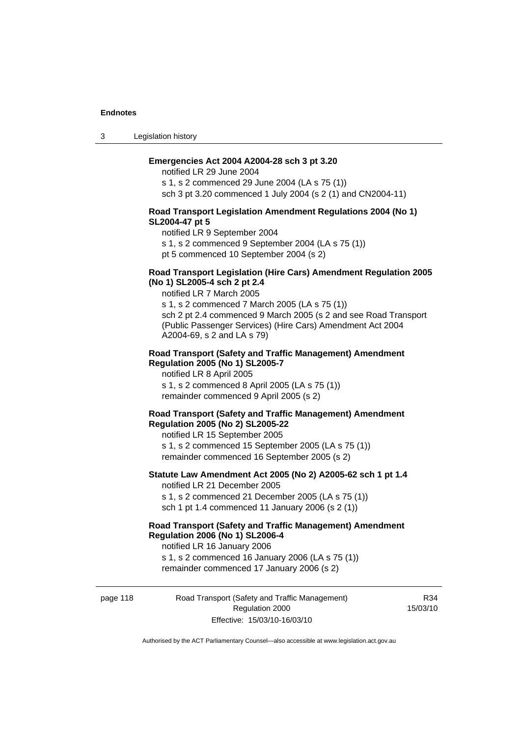3 Legislation history

### **Emergencies Act 2004 A2004-28 sch 3 pt 3.20**

notified LR 29 June 2004 s 1, s 2 commenced 29 June 2004 (LA s 75 (1)) sch 3 pt 3.20 commenced 1 July 2004 (s 2 (1) and CN2004-11)

### **Road Transport Legislation Amendment Regulations 2004 (No 1) SL2004-47 pt 5**

notified LR 9 September 2004

s 1, s 2 commenced 9 September 2004 (LA s 75 (1))

pt 5 commenced 10 September 2004 (s 2)

### **Road Transport Legislation (Hire Cars) Amendment Regulation 2005 (No 1) SL2005-4 sch 2 pt 2.4**

notified LR 7 March 2005

s 1, s 2 commenced 7 March 2005 (LA s 75 (1)) sch 2 pt 2.4 commenced 9 March 2005 (s 2 and see Road Transport (Public Passenger Services) (Hire Cars) Amendment Act 2004 A2004-69, s 2 and LA s 79)

### **Road Transport (Safety and Traffic Management) Amendment Regulation 2005 (No 1) SL2005-7**

notified LR 8 April 2005 s 1, s 2 commenced 8 April 2005 (LA s 75 (1)) remainder commenced 9 April 2005 (s 2)

### **Road Transport (Safety and Traffic Management) Amendment Regulation 2005 (No 2) SL2005-22**

notified LR 15 September 2005 s 1, s 2 commenced 15 September 2005 (LA s 75 (1)) remainder commenced 16 September 2005 (s 2)

### **Statute Law Amendment Act 2005 (No 2) A2005-62 sch 1 pt 1.4**  notified LR 21 December 2005

s 1, s 2 commenced 21 December 2005 (LA s 75 (1)) sch 1 pt 1.4 commenced 11 January 2006 (s 2 (1))

## **Road Transport (Safety and Traffic Management) Amendment Regulation 2006 (No 1) SL2006-4**

notified LR 16 January 2006 s 1, s 2 commenced 16 January 2006 (LA s 75 (1)) remainder commenced 17 January 2006 (s 2)

page 118 Road Transport (Safety and Traffic Management) Regulation 2000 Effective: 15/03/10-16/03/10

R34 15/03/10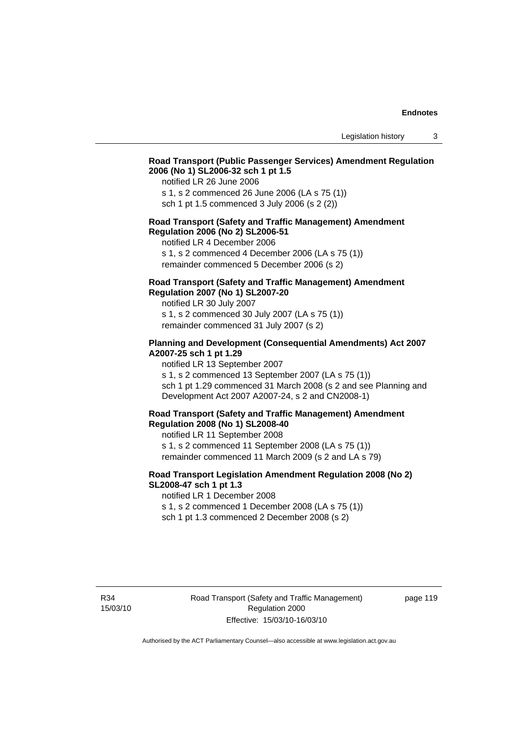### **Road Transport (Public Passenger Services) Amendment Regulation 2006 (No 1) SL2006-32 sch 1 pt 1.5**

notified LR 26 June 2006

s 1, s 2 commenced 26 June 2006 (LA s 75 (1)) sch 1 pt 1.5 commenced 3 July 2006 (s 2 (2))

### **Road Transport (Safety and Traffic Management) Amendment Regulation 2006 (No 2) SL2006-51**

notified LR 4 December 2006

s 1, s 2 commenced 4 December 2006 (LA s 75 (1)) remainder commenced 5 December 2006 (s 2)

### **Road Transport (Safety and Traffic Management) Amendment Regulation 2007 (No 1) SL2007-20**

notified LR 30 July 2007 s 1, s 2 commenced 30 July 2007 (LA s 75 (1)) remainder commenced 31 July 2007 (s 2)

### **Planning and Development (Consequential Amendments) Act 2007 A2007-25 sch 1 pt 1.29**

notified LR 13 September 2007

s 1, s 2 commenced 13 September 2007 (LA s 75 (1)) sch 1 pt 1.29 commenced 31 March 2008 (s 2 and see Planning and Development Act 2007 A2007-24, s 2 and CN2008-1)

### **Road Transport (Safety and Traffic Management) Amendment Regulation 2008 (No 1) SL2008-40**

notified LR 11 September 2008 s 1, s 2 commenced 11 September 2008 (LA s 75 (1)) remainder commenced 11 March 2009 (s 2 and LA s 79)

### **Road Transport Legislation Amendment Regulation 2008 (No 2) SL2008-47 sch 1 pt 1.3**

notified LR 1 December 2008 s 1, s 2 commenced 1 December 2008 (LA s 75 (1)) sch 1 pt 1.3 commenced 2 December 2008 (s 2)

page 119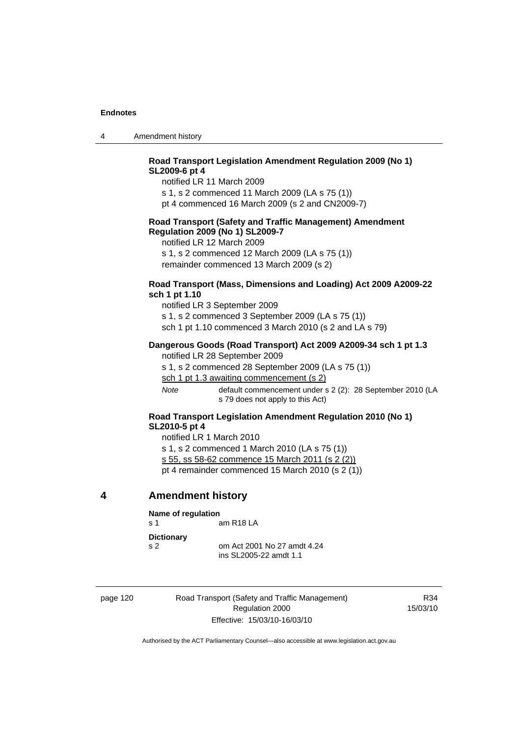|  | Amendment history |
|--|-------------------|
|--|-------------------|

### **Road Transport Legislation Amendment Regulation 2009 (No 1) SL2009-6 pt 4**

notified LR 11 March 2009

s 1, s 2 commenced 11 March 2009 (LA s 75 (1))

pt 4 commenced 16 March 2009 (s 2 and CN2009-7)

### **Road Transport (Safety and Traffic Management) Amendment Regulation 2009 (No 1) SL2009-7**

notified LR 12 March 2009

s 1, s 2 commenced 12 March 2009 (LA s 75 (1)) remainder commenced 13 March 2009 (s 2)

### **Road Transport (Mass, Dimensions and Loading) Act 2009 A2009-22 sch 1 pt 1.10**

notified LR 3 September 2009 s 1, s 2 commenced 3 September 2009 (LA s 75 (1)) sch 1 pt 1.10 commenced 3 March 2010 (s 2 and LA s 79)

### **Dangerous Goods (Road Transport) Act 2009 A2009-34 sch 1 pt 1.3**

notified LR 28 September 2009

s 1, s 2 commenced 28 September 2009 (LA s 75 (1))

sch 1 pt 1.3 awaiting commencement (s 2)

*Note* default commencement under s 2 (2): 28 September 2010 (LA s 79 does not apply to this Act)

### **Road Transport Legislation Amendment Regulation 2010 (No 1) SL2010-5 pt 4**

notified LR 1 March 2010 s 1, s 2 commenced 1 March 2010 (LA s 75 (1)) s 55, ss 58-62 commence 15 March 2011 (s 2 (2)) pt 4 remainder commenced 15 March 2010 (s 2 (1))

### **4 Amendment history**

| Name of regulation                  |                                                       |  |
|-------------------------------------|-------------------------------------------------------|--|
| $\mathbf{s}$ 1                      | am R <sub>18</sub> LA                                 |  |
| <b>Dictionary</b><br>S <sub>2</sub> | om Act 2001 No 27 amdt 4.24<br>ins SL2005-22 amdt 1.1 |  |

page 120 Road Transport (Safety and Traffic Management) Regulation 2000 Effective: 15/03/10-16/03/10

R34 15/03/10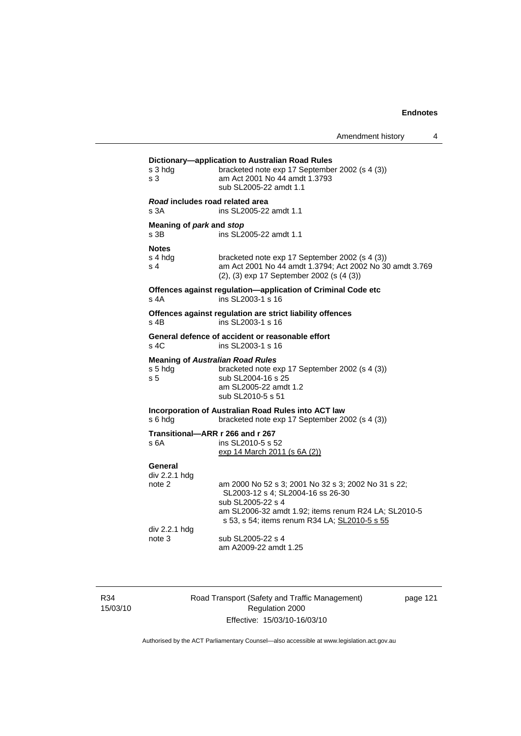| s 3 hdg<br>s 3                                            | Dictionary-application to Australian Road Rules<br>bracketed note exp 17 September 2002 (s 4 (3))<br>am Act 2001 No 44 amdt 1.3793<br>sub SL2005-22 amdt 1.1          |
|-----------------------------------------------------------|-----------------------------------------------------------------------------------------------------------------------------------------------------------------------|
| Road includes road related area<br>s 3A                   | ins SL2005-22 amdt 1.1                                                                                                                                                |
| Meaning of park and stop<br>s <sub>3B</sub>               | ins SL2005-22 amdt 1.1                                                                                                                                                |
| <b>Notes</b><br>s 4 hdg<br>s <sub>4</sub>                 | bracketed note exp 17 September 2002 (s 4 (3))<br>am Act 2001 No 44 amdt 1.3794; Act 2002 No 30 amdt 3.769<br>(2), (3) exp 17 September 2002 (s (4 (3))               |
| s 4A                                                      | Offences against regulation-application of Criminal Code etc<br>ins SL2003-1 s 16                                                                                     |
| s 4B                                                      | Offences against regulation are strict liability offences<br>ins SL2003-1 s 16                                                                                        |
| s, 4C                                                     | General defence of accident or reasonable effort<br>ins SL2003-1 s 16                                                                                                 |
| <b>Meaning of Australian Road Rules</b><br>s 5 hdg<br>s 5 | bracketed note exp 17 September 2002 (s 4 (3))<br>sub SL2004-16 s 25<br>am SL2005-22 amdt 1.2<br>sub SL2010-5 s 51                                                    |
| s 6 hdg                                                   | Incorporation of Australian Road Rules into ACT law<br>bracketed note exp 17 September 2002 (s 4 (3))                                                                 |
| Transitional-ARR r 266 and r 267<br>s 6A                  | ins SL2010-5 s 52<br>exp 14 March 2011 (s 6A (2))                                                                                                                     |
| General<br>div 2.2.1 hdg                                  |                                                                                                                                                                       |
| note 2                                                    | am 2000 No 52 s 3; 2001 No 32 s 3; 2002 No 31 s 22;<br>SL2003-12 s 4; SL2004-16 ss 26-30<br>sub SL2005-22 s 4<br>am SL2006-32 amdt 1.92; items renum R24 LA; SL2010-5 |
| div 2.2.1 hdg<br>note 3                                   | s 53, s 54; items renum R34 LA; SL2010-5 s 55<br>sub SL2005-22 s 4<br>am A2009-22 amdt 1.25                                                                           |
|                                                           |                                                                                                                                                                       |

R34 15/03/10 Road Transport (Safety and Traffic Management) Regulation 2000 Effective: 15/03/10-16/03/10

page 121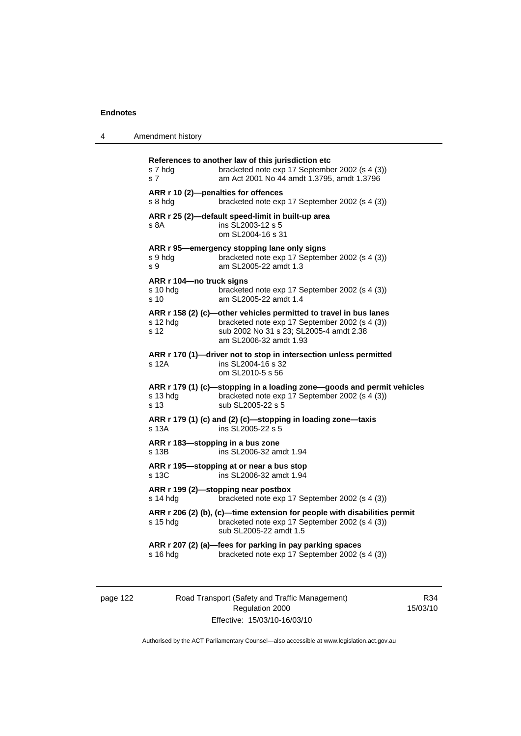| 4 | Amendment history |  |
|---|-------------------|--|
|---|-------------------|--|

| s 7 hdg<br>s 7                                            | References to another law of this jurisdiction etc<br>bracketed note exp 17 September 2002 (s 4 (3))<br>am Act 2001 No 44 amdt 1.3795, amdt 1.3796                                       |
|-----------------------------------------------------------|------------------------------------------------------------------------------------------------------------------------------------------------------------------------------------------|
| s 8 hdg                                                   | ARR r 10 (2)-penalties for offences<br>bracketed note exp 17 September 2002 (s 4 (3))                                                                                                    |
| s 8A                                                      | ARR r 25 (2)-default speed-limit in built-up area<br>ins SL2003-12 s 5<br>om SL2004-16 s 31                                                                                              |
| s 9 hdg<br>s 9                                            | ARR r 95-emergency stopping lane only signs<br>bracketed note exp 17 September 2002 (s 4 (3))<br>am SL2005-22 amdt 1.3                                                                   |
| ARR r 104-no truck signs<br>$s$ 10 hdg<br>s <sub>10</sub> | bracketed note exp 17 September 2002 (s 4 (3))<br>am SL2005-22 amdt 1.4                                                                                                                  |
| s 12 hdg<br>s 12                                          | ARR r 158 (2) (c)-other vehicles permitted to travel in bus lanes<br>bracketed note exp 17 September 2002 (s 4 (3))<br>sub 2002 No 31 s 23; SL2005-4 amdt 2.38<br>am SL2006-32 amdt 1.93 |
| s 12A                                                     | ARR r 170 (1)-driver not to stop in intersection unless permitted<br>ins SL2004-16 s 32<br>om SL2010-5 s 56                                                                              |
| s 13 hdg<br>s 13                                          | ARR r 179 (1) (c)-stopping in a loading zone-goods and permit vehicles<br>bracketed note exp 17 September 2002 (s 4 (3))<br>sub SL2005-22 s 5                                            |
| s 13A                                                     | ARR r 179 (1) (c) and (2) (c)-stopping in loading zone-taxis<br>ins SL2005-22 s 5                                                                                                        |
| ARR r 183-stopping in a bus zone<br>s 13B                 | ins SL2006-32 amdt 1.94                                                                                                                                                                  |
| s 13C                                                     | ARR r 195—stopping at or near a bus stop<br>ins SL2006-32 amdt 1.94                                                                                                                      |
| s 14 hdg                                                  | ARR r 199 (2)-stopping near postbox<br>bracketed note exp 17 September 2002 (s 4 (3))                                                                                                    |
| $s$ 15 hdg                                                | ARR r 206 (2) (b), (c)—time extension for people with disabilities permit<br>bracketed note exp 17 September 2002 (s 4 (3))<br>sub SL2005-22 amdt 1.5                                    |
| s 16 hdg                                                  | ARR r 207 (2) (a)-fees for parking in pay parking spaces<br>bracketed note exp 17 September 2002 (s 4 (3))                                                                               |
|                                                           |                                                                                                                                                                                          |

page 122 Road Transport (Safety and Traffic Management) Regulation 2000 Effective: 15/03/10-16/03/10

R34 15/03/10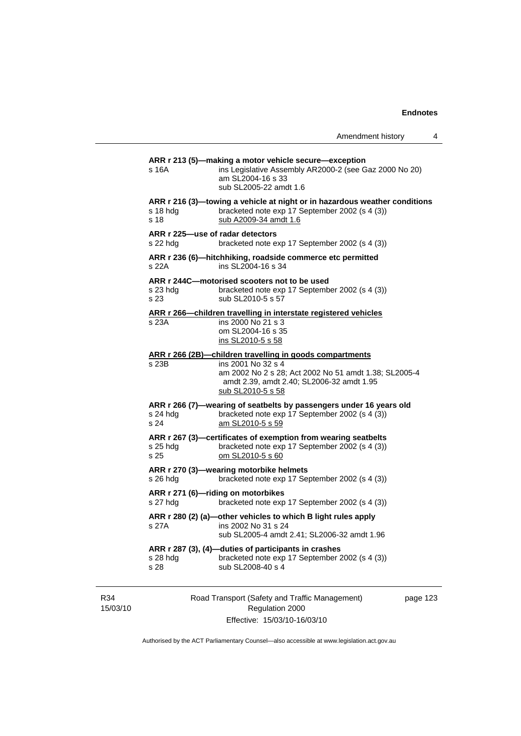| Amendment history |  |  |
|-------------------|--|--|
|-------------------|--|--|

| s 16A            | ARR r 213 (5)—making a motor vehicle secure—exception<br>ins Legislative Assembly AR2000-2 (see Gaz 2000 No 20)<br>am SL2004-16 s 33<br>sub SL2005-22 amdt 1.6                                            |
|------------------|-----------------------------------------------------------------------------------------------------------------------------------------------------------------------------------------------------------|
| s 18 hdg<br>s 18 | ARR r 216 (3)—towing a vehicle at night or in hazardous weather conditions<br>bracketed note exp 17 September 2002 (s 4 (3))<br>sub A2009-34 amdt 1.6                                                     |
| s 22 hdg         | ARR r 225-use of radar detectors<br>bracketed note exp 17 September 2002 (s 4 (3))                                                                                                                        |
| s 22A            | ARR r 236 (6)-hitchhiking, roadside commerce etc permitted<br>ins SL2004-16 s 34                                                                                                                          |
| s 23 hda<br>s 23 | ARR r 244C-motorised scooters not to be used<br>bracketed note exp 17 September 2002 (s 4 (3))<br>sub SL2010-5 s 57                                                                                       |
| s 23A            | ARR r 266-children travelling in interstate registered vehicles<br>ins 2000 No 21 s 3<br>om SL2004-16 s 35<br>ins SL2010-5 s 58                                                                           |
| s 23B            | ARR r 266 (2B)-children travelling in goods compartments<br>ins 2001 No 32 s 4<br>am 2002 No 2 s 28; Act 2002 No 51 amdt 1.38; SL2005-4<br>amdt 2.39, amdt 2.40; SL2006-32 amdt 1.95<br>sub SL2010-5 s 58 |
| s 24 hdg<br>s 24 | ARR r 266 (7)-wearing of seatbelts by passengers under 16 years old<br>bracketed note exp 17 September 2002 (s 4 (3))<br>am SL2010-5 s 59                                                                 |
| s 25 hdg<br>s 25 | ARR r 267 (3)-certificates of exemption from wearing seatbelts<br>bracketed note exp 17 September 2002 (s 4 (3))<br>om SL2010-5 s 60                                                                      |
| s 26 hdg         | ARR r 270 (3)-wearing motorbike helmets<br>bracketed note exp 17 September 2002 (s 4 (3))                                                                                                                 |
| s 27 hdg         | ARR r 271 (6)-riding on motorbikes<br>bracketed note exp 17 September 2002 (s 4 (3))                                                                                                                      |
| s 27A            | ARR r 280 (2) (a)-other vehicles to which B light rules apply<br>ins 2002 No 31 s 24<br>sub SL2005-4 amdt 2.41; SL2006-32 amdt 1.96                                                                       |
|                  | ARR r 287 (3), (4)-duties of participants in crashes<br>bracketed note exp 17 September 2002 (s 4 (3))                                                                                                    |

R34 15/03/10 Road Transport (Safety and Traffic Management) Regulation 2000 Effective: 15/03/10-16/03/10

page 123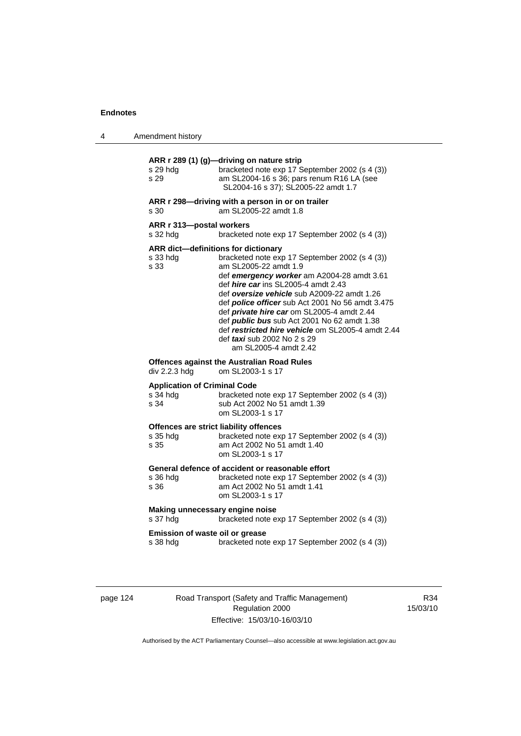4 Amendment history

| s 29 hdg<br>s 29                                        | ARR r 289 (1) (g)-driving on nature strip<br>bracketed note exp 17 September 2002 (s 4 (3))<br>am SL2004-16 s 36; pars renum R16 LA (see<br>SL2004-16 s 37); SL2005-22 amdt 1.7                                                                                                                                                                                                                                                                                                                                                              |
|---------------------------------------------------------|----------------------------------------------------------------------------------------------------------------------------------------------------------------------------------------------------------------------------------------------------------------------------------------------------------------------------------------------------------------------------------------------------------------------------------------------------------------------------------------------------------------------------------------------|
| s 30                                                    | ARR r 298-driving with a person in or on trailer<br>am SL2005-22 amdt 1.8                                                                                                                                                                                                                                                                                                                                                                                                                                                                    |
| ARR r 313-postal workers<br>s 32 hdg                    | bracketed note exp 17 September 2002 (s 4 (3))                                                                                                                                                                                                                                                                                                                                                                                                                                                                                               |
| s 33 hdg<br>s 33                                        | ARR dict-definitions for dictionary<br>bracketed note exp 17 September 2002 (s 4 (3))<br>am SL2005-22 amdt 1.9<br>def emergency worker am A2004-28 amdt 3.61<br>def <i>hire car</i> ins SL2005-4 amdt 2.43<br>def oversize vehicle sub A2009-22 amdt 1.26<br>def <i>police officer</i> sub Act 2001 No 56 amdt 3.475<br>def private hire car om SL2005-4 amdt 2.44<br>def <i>public bus</i> sub Act 2001 No 62 amdt 1.38<br>def restricted hire vehicle om SL2005-4 amdt 2.44<br>def <i>taxi</i> sub 2002 No 2 s 29<br>am SL2005-4 amdt 2.42 |
| div 2.2.3 hdg                                           | <b>Offences against the Australian Road Rules</b><br>om SL2003-1 s 17                                                                                                                                                                                                                                                                                                                                                                                                                                                                        |
| <b>Application of Criminal Code</b><br>s 34 hdg<br>s 34 | bracketed note exp 17 September 2002 (s 4 (3))<br>sub Act 2002 No 51 amdt 1.39<br>om SL2003-1 s 17                                                                                                                                                                                                                                                                                                                                                                                                                                           |
| s 35 hdg<br>s 35                                        | Offences are strict liability offences<br>bracketed note exp 17 September 2002 (s 4 (3))<br>am Act 2002 No 51 amdt 1.40<br>om SL2003-1 s 17                                                                                                                                                                                                                                                                                                                                                                                                  |
| s 36 hda<br>s 36                                        | General defence of accident or reasonable effort<br>bracketed note exp 17 September 2002 (s 4 (3))<br>am Act 2002 No 51 amdt 1.41<br>om SL2003-1 s 17                                                                                                                                                                                                                                                                                                                                                                                        |
| Making unnecessary engine noise<br>s 37 hdg             | bracketed note exp 17 September 2002 (s 4 (3))                                                                                                                                                                                                                                                                                                                                                                                                                                                                                               |
| Emission of waste oil or grease<br>s 38 hdg             | bracketed note exp 17 September 2002 (s 4 (3))                                                                                                                                                                                                                                                                                                                                                                                                                                                                                               |

page 124 Road Transport (Safety and Traffic Management) Regulation 2000 Effective: 15/03/10-16/03/10

R34 15/03/10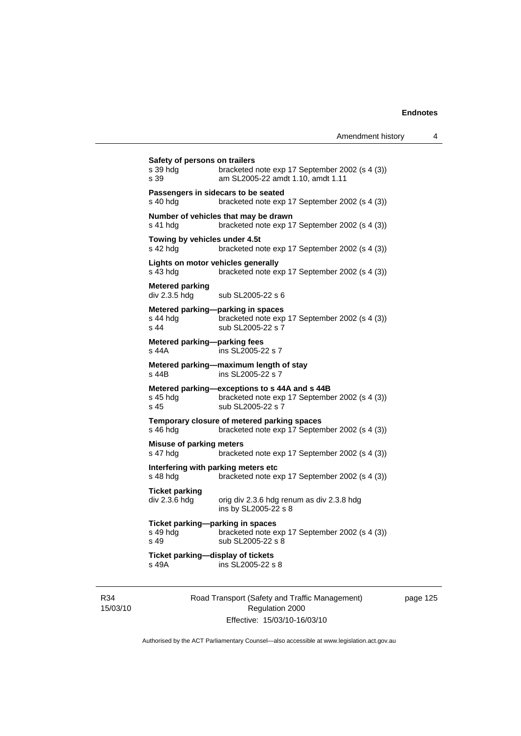| s 39 hdg<br>s 39                            | bracketed note exp 17 September 2002 (s 4 (3))<br>am SL2005-22 amdt 1.10, amdt 1.11                                  |
|---------------------------------------------|----------------------------------------------------------------------------------------------------------------------|
| s 40 hdg                                    | Passengers in sidecars to be seated<br>bracketed note exp 17 September 2002 (s 4 (3))                                |
| s 41 hdg                                    | Number of vehicles that may be drawn<br>bracketed note exp 17 September 2002 (s 4 (3))                               |
| Towing by vehicles under 4.5t<br>s 42 hdg   | bracketed note exp 17 September 2002 (s 4 (3))                                                                       |
| s 43 hdg                                    | Lights on motor vehicles generally<br>bracketed note exp 17 September 2002 (s 4 (3))                                 |
| <b>Metered parking</b><br>div 2.3.5 hdg     | sub SL2005-22 s 6                                                                                                    |
| s 44 hda<br>s <sub>44</sub>                 | Metered parking-parking in spaces<br>bracketed note exp 17 September 2002 (s 4 (3))<br>sub SL2005-22 s 7             |
| Metered parking-parking fees<br>s 44A       | ins SL2005-22 s 7                                                                                                    |
| s 44B                                       | Metered parking-maximum length of stay<br>ins SL2005-22 s 7                                                          |
| s 45 hdg<br>s <sub>45</sub>                 | Metered parking-exceptions to s 44A and s 44B<br>bracketed note exp 17 September 2002 (s 4 (3))<br>sub SL2005-22 s 7 |
| s 46 hdg                                    | Temporary closure of metered parking spaces<br>bracketed note exp 17 September 2002 (s 4 (3))                        |
| <b>Misuse of parking meters</b><br>s 47 hdg | bracketed note exp 17 September 2002 (s 4 (3))                                                                       |
| s 48 hda                                    | Interfering with parking meters etc<br>bracketed note exp 17 September 2002 (s 4 (3))                                |
| <b>Ticket parking</b><br>div 2.3.6 hdg      | orig div 2.3.6 hdg renum as div 2.3.8 hdg<br>ins by SL2005-22 s 8                                                    |
| s 49 hdg<br>s 49                            | Ticket parking-parking in spaces<br>bracketed note exp 17 September 2002 (s 4 (3))<br>sub SL2005-22 s 8              |
| s 49A                                       | Ticket parking-display of tickets<br>ins SL2005-22 s 8                                                               |

R34 15/03/10 Road Transport (Safety and Traffic Management) Regulation 2000 Effective: 15/03/10-16/03/10

page 125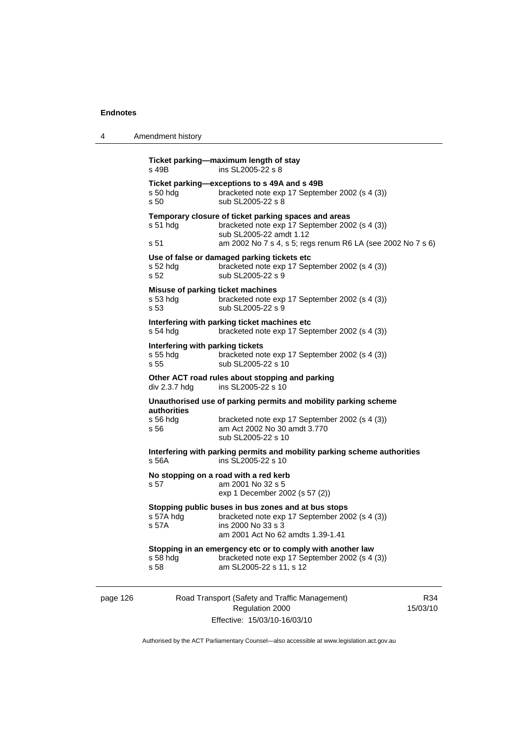4 Amendment history

| s 58                                     |                                                                                                           |                                                                                                                                                                                                                                                                                                                                                                                                                                                                                                                                                                                                                                                                                                                                                                           |
|------------------------------------------|-----------------------------------------------------------------------------------------------------------|---------------------------------------------------------------------------------------------------------------------------------------------------------------------------------------------------------------------------------------------------------------------------------------------------------------------------------------------------------------------------------------------------------------------------------------------------------------------------------------------------------------------------------------------------------------------------------------------------------------------------------------------------------------------------------------------------------------------------------------------------------------------------|
| $s58$ hdg                                | bracketed note exp 17 September 2002 (s 4 (3))<br>am SL2005-22 s 11, s 12                                 |                                                                                                                                                                                                                                                                                                                                                                                                                                                                                                                                                                                                                                                                                                                                                                           |
| s 57A hdg<br>s 57A                       | bracketed note exp 17 September 2002 (s 4 (3))<br>ins 2000 No 33 s 3<br>am 2001 Act No 62 amdts 1.39-1.41 |                                                                                                                                                                                                                                                                                                                                                                                                                                                                                                                                                                                                                                                                                                                                                                           |
| s 57                                     | am 2001 No 32 s 5<br>exp 1 December 2002 (s 57 (2))                                                       |                                                                                                                                                                                                                                                                                                                                                                                                                                                                                                                                                                                                                                                                                                                                                                           |
| s 56A                                    | ins SL2005-22 s 10                                                                                        |                                                                                                                                                                                                                                                                                                                                                                                                                                                                                                                                                                                                                                                                                                                                                                           |
| <b>authorities</b><br>$s$ 56 hdg<br>s 56 | bracketed note exp 17 September 2002 (s 4 (3))<br>am Act 2002 No 30 amdt 3.770<br>sub SL2005-22 s 10      |                                                                                                                                                                                                                                                                                                                                                                                                                                                                                                                                                                                                                                                                                                                                                                           |
| div 2.3.7 hdg                            | ins SL2005-22 s 10                                                                                        |                                                                                                                                                                                                                                                                                                                                                                                                                                                                                                                                                                                                                                                                                                                                                                           |
| s 55 hdg<br>s 55                         | bracketed note exp 17 September 2002 (s 4 (3))<br>sub SL2005-22 s 10                                      |                                                                                                                                                                                                                                                                                                                                                                                                                                                                                                                                                                                                                                                                                                                                                                           |
| s 54 hdg                                 | bracketed note exp 17 September 2002 (s 4 (3))                                                            |                                                                                                                                                                                                                                                                                                                                                                                                                                                                                                                                                                                                                                                                                                                                                                           |
| s 53 hdg<br>s 53                         | bracketed note exp 17 September 2002 (s 4 (3))<br>sub SL2005-22 s 9                                       |                                                                                                                                                                                                                                                                                                                                                                                                                                                                                                                                                                                                                                                                                                                                                                           |
| $s52$ hdg<br>s 52                        | bracketed note exp 17 September 2002 (s 4 (3))<br>sub SL2005-22 s 9                                       |                                                                                                                                                                                                                                                                                                                                                                                                                                                                                                                                                                                                                                                                                                                                                                           |
| $s51$ hdg<br>s 51                        | bracketed note exp 17 September 2002 (s 4 (3))<br>sub SL2005-22 amdt 1.12                                 |                                                                                                                                                                                                                                                                                                                                                                                                                                                                                                                                                                                                                                                                                                                                                                           |
| s 50 hdg<br>s 50                         | bracketed note exp 17 September 2002 (s 4 (3))<br>sub SL2005-22 s 8                                       |                                                                                                                                                                                                                                                                                                                                                                                                                                                                                                                                                                                                                                                                                                                                                                           |
|                                          |                                                                                                           |                                                                                                                                                                                                                                                                                                                                                                                                                                                                                                                                                                                                                                                                                                                                                                           |
|                                          |                                                                                                           |                                                                                                                                                                                                                                                                                                                                                                                                                                                                                                                                                                                                                                                                                                                                                                           |
|                                          | s 49B                                                                                                     | Ticket parking-maximum length of stay<br>ins SL2005-22 s 8<br>Ticket parking-exceptions to s 49A and s 49B<br>Temporary closure of ticket parking spaces and areas<br>am 2002 No 7 s 4, s 5; regs renum R6 LA (see 2002 No 7 s 6)<br>Use of false or damaged parking tickets etc<br>Misuse of parking ticket machines<br>Interfering with parking ticket machines etc<br>Interfering with parking tickets<br>Other ACT road rules about stopping and parking<br>Unauthorised use of parking permits and mobility parking scheme<br>Interfering with parking permits and mobility parking scheme authorities<br>No stopping on a road with a red kerb<br>Stopping public buses in bus zones and at bus stops<br>Stopping in an emergency etc or to comply with another law |

Authorised by the ACT Parliamentary Counsel—also accessible at www.legislation.act.gov.au

Regulation 2000 Effective: 15/03/10-16/03/10 15/03/10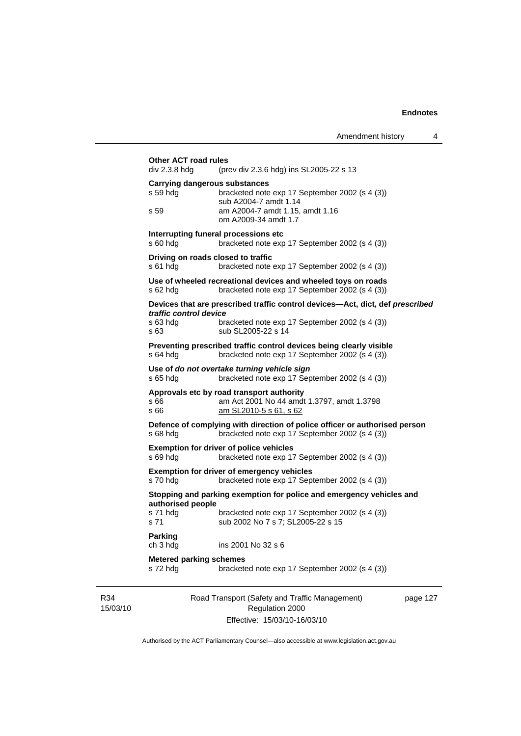Amendment history 4

|                 | <b>Other ACT road rules</b><br>div 2.3.8 hdg     | (prev div 2.3.6 hdg) ins SL2005-22 s 13                                                                                         |         |
|-----------------|--------------------------------------------------|---------------------------------------------------------------------------------------------------------------------------------|---------|
|                 | <b>Carrying dangerous substances</b><br>s 59 hda | bracketed note exp 17 September 2002 (s 4 (3))<br>sub A2004-7 amdt 1.14                                                         |         |
|                 | s 59                                             | am A2004-7 amdt 1.15, amdt 1.16<br>om A2009-34 amdt 1.7                                                                         |         |
|                 | s 60 hdg                                         | Interrupting funeral processions etc<br>bracketed note exp 17 September 2002 (s 4 (3))                                          |         |
|                 | Driving on roads closed to traffic<br>s 61 hda   | bracketed note exp 17 September 2002 (s 4 (3))                                                                                  |         |
|                 | s 62 hdg                                         | Use of wheeled recreational devices and wheeled toys on roads<br>bracketed note exp 17 September 2002 (s 4 (3))                 |         |
|                 | traffic control device<br>s 63 hdg               | Devices that are prescribed traffic control devices—Act, dict, def prescribed<br>bracketed note exp 17 September 2002 (s 4 (3)) |         |
|                 | s 63                                             | sub SL2005-22 s 14                                                                                                              |         |
|                 | s 64 hdg                                         | Preventing prescribed traffic control devices being clearly visible<br>bracketed note exp 17 September 2002 (s 4 (3))           |         |
|                 | s 65 hdg                                         | Use of do not overtake turning vehicle sign<br>bracketed note exp 17 September 2002 (s 4 (3))                                   |         |
|                 | s 66<br>s 66                                     | Approvals etc by road transport authority<br>am Act 2001 No 44 amdt 1.3797, amdt 1.3798<br>am SL2010-5 s 61, s 62               |         |
|                 | s 68 hdg                                         | Defence of complying with direction of police officer or authorised person<br>bracketed note exp 17 September 2002 (s 4 (3))    |         |
|                 | s 69 hdg                                         | <b>Exemption for driver of police vehicles</b><br>bracketed note exp 17 September 2002 (s 4 (3))                                |         |
|                 | s 70 hdg                                         | <b>Exemption for driver of emergency vehicles</b><br>bracketed note exp 17 September 2002 (s 4 (3))                             |         |
|                 | authorised people                                | Stopping and parking exemption for police and emergency vehicles and                                                            |         |
|                 | s 71 hdg<br>s 71                                 | bracketed note exp 17 September 2002 (s 4 (3))<br>sub 2002 No 7 s 7; SL2005-22 s 15                                             |         |
|                 | Parking<br>ch 3 hdg                              | ins 2001 No 32 s 6                                                                                                              |         |
|                 | <b>Metered parking schemes</b><br>s 72 hdg       | bracketed note exp 17 September 2002 (s 4 (3))                                                                                  |         |
| R34<br>15/03/10 |                                                  | Road Transport (Safety and Traffic Management)<br>Regulation 2000                                                               | page 12 |

Effective: 15/03/10-16/03/10

 $27$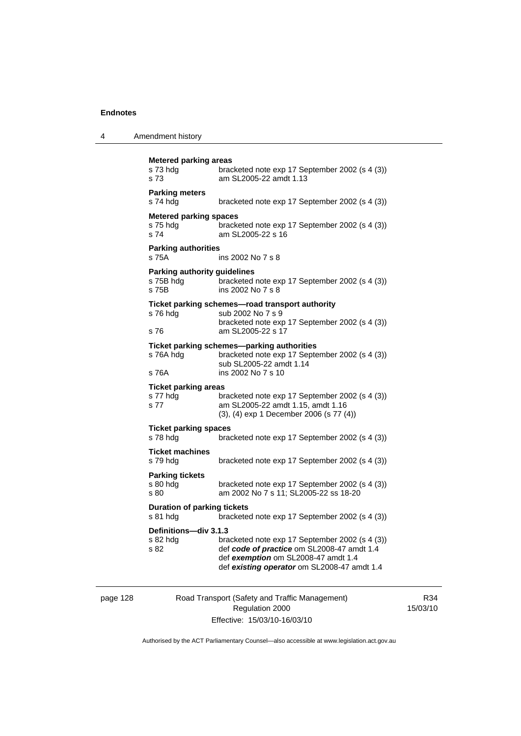| 4 | Amendment history |
|---|-------------------|
|---|-------------------|

| <b>Metered parking areas</b><br>s 73 hda<br>s 73          | bracketed note exp 17 September 2002 (s 4 (3))<br>am SL2005-22 amdt 1.13                                                                                                           |
|-----------------------------------------------------------|------------------------------------------------------------------------------------------------------------------------------------------------------------------------------------|
| <b>Parking meters</b><br>s 74 hdg                         | bracketed note exp 17 September 2002 (s 4 (3))                                                                                                                                     |
| <b>Metered parking spaces</b><br>s 75 hda<br>s 74         | bracketed note exp 17 September 2002 (s 4 (3))<br>am SL2005-22 s 16                                                                                                                |
| <b>Parking authorities</b><br>s 75A                       | ins 2002 No 7 s 8                                                                                                                                                                  |
| <b>Parking authority guidelines</b><br>s 75B hdg<br>s 75B | bracketed note exp 17 September 2002 (s 4 (3))<br>ins 2002 No 7 s 8                                                                                                                |
| s 76 hdg<br>s 76                                          | Ticket parking schemes-road transport authority<br>sub 2002 No 7 s 9<br>bracketed note exp 17 September 2002 (s 4 (3))<br>am SL2005-22 s 17                                        |
| s 76A hdg<br>s 76A                                        | Ticket parking schemes-parking authorities<br>bracketed note exp 17 September 2002 (s 4 (3))<br>sub SL2005-22 amdt 1.14<br>ins 2002 No 7 s 10                                      |
| <b>Ticket parking areas</b><br>s 77 hdg<br>s 77           | bracketed note exp 17 September 2002 (s 4 (3))<br>am SL2005-22 amdt 1.15, amdt 1.16<br>(3), (4) exp 1 December 2006 (s 77 (4))                                                     |
| <b>Ticket parking spaces</b><br>s 78 hdg                  | bracketed note exp 17 September 2002 (s 4 (3))                                                                                                                                     |
| <b>Ticket machines</b><br>s 79 hdg                        | bracketed note exp 17 September 2002 (s 4 (3))                                                                                                                                     |
| <b>Parking tickets</b><br>s 80 hda<br>s 80                | bracketed note exp 17 September 2002 (s 4 (3))<br>am 2002 No 7 s 11; SL2005-22 ss 18-20                                                                                            |
| <b>Duration of parking tickets</b><br>s 81 hdg            | bracketed note exp 17 September 2002 (s 4 (3))                                                                                                                                     |
| Definitions-div 3.1.3<br>s 82 hda<br>s 82                 | bracketed note exp 17 September 2002 (s 4 (3))<br>def code of practice om SL2008-47 amdt 1.4<br>def exemption om SL2008-47 amdt 1.4<br>def existing operator om SL2008-47 amdt 1.4 |

page 128 Road Transport (Safety and Traffic Management) Regulation 2000 Effective: 15/03/10-16/03/10

R34 15/03/10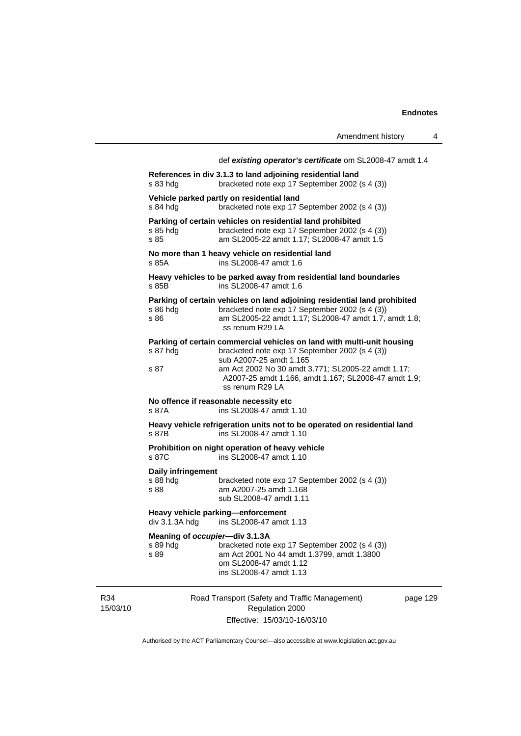|                                                    | Amendment history                                                                                                                                                                                                                                                                    | 4        |
|----------------------------------------------------|--------------------------------------------------------------------------------------------------------------------------------------------------------------------------------------------------------------------------------------------------------------------------------------|----------|
|                                                    | def existing operator's certificate om SL2008-47 amdt 1.4<br>References in div 3.1.3 to land adjoining residential land                                                                                                                                                              |          |
| s 83 hdg                                           | bracketed note exp 17 September 2002 (s 4 (3))                                                                                                                                                                                                                                       |          |
| s 84 hdg                                           | Vehicle parked partly on residential land<br>bracketed note exp 17 September 2002 (s 4 (3))                                                                                                                                                                                          |          |
| s 85 hdg<br>s 85                                   | Parking of certain vehicles on residential land prohibited<br>bracketed note exp 17 September 2002 (s 4 (3))<br>am SL2005-22 amdt 1.17; SL2008-47 amdt 1.5                                                                                                                           |          |
| s 85A                                              | No more than 1 heavy vehicle on residential land<br>ins SL2008-47 amdt 1.6                                                                                                                                                                                                           |          |
| s 85B                                              | Heavy vehicles to be parked away from residential land boundaries<br>ins SL2008-47 amdt 1.6                                                                                                                                                                                          |          |
| s 86 hdg<br>s 86                                   | Parking of certain vehicles on land adjoining residential land prohibited<br>bracketed note exp 17 September 2002 (s 4 (3))<br>am SL2005-22 amdt 1.17; SL2008-47 amdt 1.7, amdt 1.8;<br>ss renum R29 LA                                                                              |          |
| s 87 hdg<br>s 87                                   | Parking of certain commercial vehicles on land with multi-unit housing<br>bracketed note exp 17 September 2002 (s 4 (3))<br>sub A2007-25 amdt 1.165<br>am Act 2002 No 30 amdt 3.771; SL2005-22 amdt 1.17;<br>A2007-25 amdt 1.166, amdt 1.167; SL2008-47 amdt 1.9;<br>ss renum R29 LA |          |
| s 87A                                              | No offence if reasonable necessity etc<br>ins SL2008-47 amdt 1.10                                                                                                                                                                                                                    |          |
| s 87B                                              | Heavy vehicle refrigeration units not to be operated on residential land<br>ins SL2008-47 amdt 1.10                                                                                                                                                                                  |          |
| s 87C                                              | Prohibition on night operation of heavy vehicle<br>ins SL2008-47 amdt 1.10                                                                                                                                                                                                           |          |
| Daily infringement<br>s 88 hdg<br>s 88             | bracketed note exp 17 September 2002 (s 4 (3))<br>am A2007-25 amdt 1.168<br>sub SL2008-47 amdt 1.11                                                                                                                                                                                  |          |
|                                                    | Heavy vehicle parking-enforcement<br>div 3.1.3A hdg ins SL2008-47 amdt 1.13                                                                                                                                                                                                          |          |
| Meaning of occupier-div 3.1.3A<br>s 89 hdg<br>s 89 | bracketed note exp 17 September 2002 (s 4 (3))<br>am Act 2001 No 44 amdt 1.3799, amdt 1.3800<br>om SL2008-47 amdt 1.12<br>ins SL2008-47 amdt 1.13                                                                                                                                    |          |
|                                                    | Road Transport (Safety and Traffic Management)<br>Regulation 2000                                                                                                                                                                                                                    | page 129 |
|                                                    | Effective: 15/03/10-16/03/10                                                                                                                                                                                                                                                         |          |

Authorised by the ACT Parliamentary Counsel—also accessible at www.legislation.act.gov.au

R34 15/03/10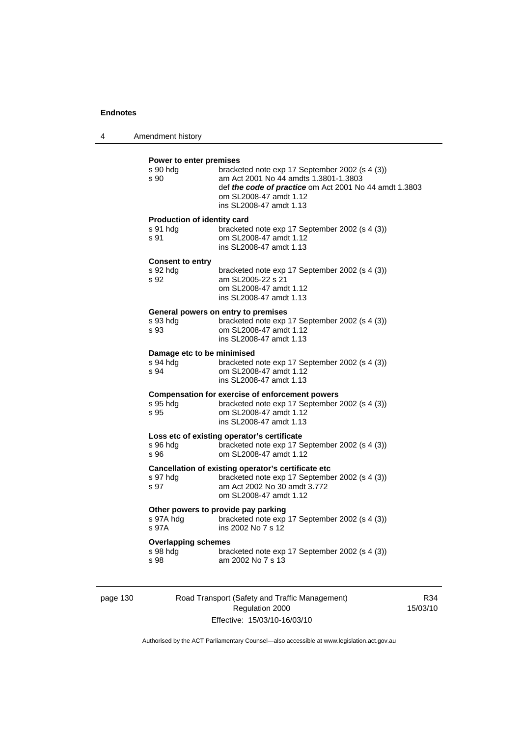| 4 | Amendment history |
|---|-------------------|
|---|-------------------|

#### **Power to enter premises**

| s 90 hdg<br>s 90            | bracketed note exp 17 September 2002 (s 4 (3))<br>am Act 2001 No 44 amdts 1.3801-1.3803<br>def the code of practice om Act 2001 No 44 amdt 1.3803<br>om SL2008-47 amdt 1.12<br>ins SL2008-47 amdt 1.13 |
|-----------------------------|--------------------------------------------------------------------------------------------------------------------------------------------------------------------------------------------------------|
| Production of identity card |                                                                                                                                                                                                        |
| s 91 hdg<br>s 91            | bracketed note exp 17 September 2002 (s 4 (3))<br>om SL2008-47 amdt 1.12<br>ins SL2008-47 amdt 1.13                                                                                                    |
| <b>Consent to entry</b>     |                                                                                                                                                                                                        |
| s 92 hdg<br>s 92            | bracketed note exp 17 September 2002 (s 4 (3))<br>am SL2005-22 s 21<br>om SL2008-47 amdt 1.12<br>ins SL2008-47 amdt 1.13                                                                               |
|                             | General powers on entry to premises                                                                                                                                                                    |
| s 93 hdg<br>s 93            | bracketed note exp 17 September 2002 (s 4 (3))<br>om SL2008-47 amdt 1.12<br>ins SL2008-47 amdt 1.13                                                                                                    |
| Damage etc to be minimised  |                                                                                                                                                                                                        |
| s 94 hdg<br>s 94            | bracketed note exp 17 September 2002 (s 4 (3))<br>om SL2008-47 amdt 1.12<br>ins SL2008-47 amdt 1.13                                                                                                    |
|                             | <b>Compensation for exercise of enforcement powers</b>                                                                                                                                                 |
| s 95 hdg<br>s 95            | bracketed note exp 17 September 2002 (s 4 (3))<br>om SL2008-47 amdt 1.12<br>ins SL2008-47 amdt 1.13                                                                                                    |
|                             | Loss etc of existing operator's certificate                                                                                                                                                            |
| s 96 hda<br>s 96            | bracketed note exp 17 September 2002 (s 4 (3))<br>om SL2008-47 amdt 1.12                                                                                                                               |
|                             | Cancellation of existing operator's certificate etc                                                                                                                                                    |
| s 97 hdg<br>s 97            | bracketed note exp 17 September 2002 (s 4 (3))<br>am Act 2002 No 30 amdt 3.772<br>om SL2008-47 amdt 1.12                                                                                               |
|                             | Other powers to provide pay parking                                                                                                                                                                    |
| s 97A hdg<br>s 97A          | bracketed note exp 17 September 2002 (s 4 (3))<br>ins 2002 No 7 s 12                                                                                                                                   |
| <b>Overlapping schemes</b>  |                                                                                                                                                                                                        |
| s 98 hdg<br>s 98            | bracketed note exp 17 September 2002 (s 4 (3))<br>am 2002 No 7 s 13                                                                                                                                    |
|                             |                                                                                                                                                                                                        |

page 130 Road Transport (Safety and Traffic Management) Regulation 2000 Effective: 15/03/10-16/03/10

R34 15/03/10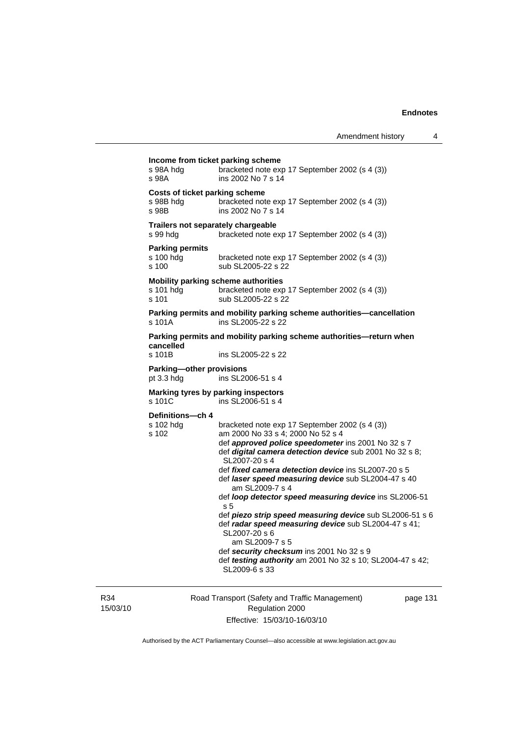| s 98A                                           | ins 2002 No 7 s 14                                                                                                                                                                                                                                                                                                                                                                                                                                                                                                                                                                                                                                                                              |
|-------------------------------------------------|-------------------------------------------------------------------------------------------------------------------------------------------------------------------------------------------------------------------------------------------------------------------------------------------------------------------------------------------------------------------------------------------------------------------------------------------------------------------------------------------------------------------------------------------------------------------------------------------------------------------------------------------------------------------------------------------------|
| s 98B hdg<br>s 98B                              | Costs of ticket parking scheme<br>bracketed note exp 17 September 2002 (s 4 (3))<br>ins 2002 No 7 s 14                                                                                                                                                                                                                                                                                                                                                                                                                                                                                                                                                                                          |
| s 99 hdg                                        | Trailers not separately chargeable<br>bracketed note exp 17 September 2002 (s 4 (3))                                                                                                                                                                                                                                                                                                                                                                                                                                                                                                                                                                                                            |
| <b>Parking permits</b><br>s 100 hdg<br>s 100    | bracketed note exp 17 September 2002 (s 4 (3))<br>sub SL2005-22 s 22                                                                                                                                                                                                                                                                                                                                                                                                                                                                                                                                                                                                                            |
| s 101 hdg<br>s 101                              | <b>Mobility parking scheme authorities</b><br>bracketed note exp 17 September 2002 (s 4 (3))<br>sub SL2005-22 s 22                                                                                                                                                                                                                                                                                                                                                                                                                                                                                                                                                                              |
| s 101A                                          | Parking permits and mobility parking scheme authorities-cancellation<br>ins SL2005-22 s 22                                                                                                                                                                                                                                                                                                                                                                                                                                                                                                                                                                                                      |
|                                                 | Parking permits and mobility parking scheme authorities-return when                                                                                                                                                                                                                                                                                                                                                                                                                                                                                                                                                                                                                             |
| cancelled<br>s 101B                             | ins SL2005-22 s 22                                                                                                                                                                                                                                                                                                                                                                                                                                                                                                                                                                                                                                                                              |
| <b>Parking-other provisions</b><br>pt $3.3$ hdg | ins SL2006-51 s 4                                                                                                                                                                                                                                                                                                                                                                                                                                                                                                                                                                                                                                                                               |
| s 101C                                          | Marking tyres by parking inspectors<br>ins SL2006-51 s 4                                                                                                                                                                                                                                                                                                                                                                                                                                                                                                                                                                                                                                        |
| Definitions-ch 4<br>s 102 hdg<br>s 102          | bracketed note exp 17 September 2002 (s 4 (3))<br>am 2000 No 33 s 4; 2000 No 52 s 4<br>def approved police speedometer ins 2001 No 32 s 7<br>def digital camera detection device sub 2001 No 32 s 8;<br>SL2007-20 s 4<br>def <i>fixed camera detection device</i> ins SL2007-20 s 5<br>def laser speed measuring device sub SL2004-47 s 40<br>am SL2009-7 s 4<br>def loop detector speed measuring device ins SL2006-51<br>s 5<br>def piezo strip speed measuring device sub SL2006-51 s 6<br>def radar speed measuring device sub SL2004-47 s 41;<br>SL2007-20 s 6<br>am SL2009-7 s 5<br>def security checksum ins 2001 No 32 s 9<br>def testing authority am 2001 No 32 s 10; SL2004-47 s 42; |

R34 15/03/10 Road Transport (Safety and Traffic Management) Regulation 2000 Effective: 15/03/10-16/03/10

page 131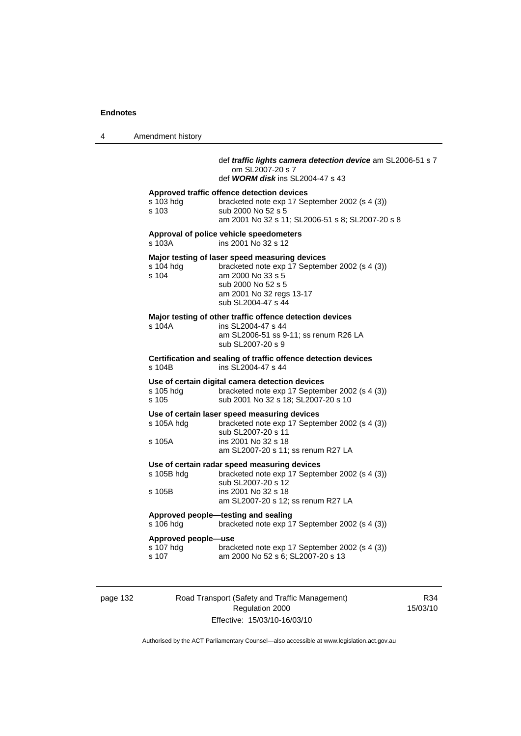4 Amendment history

### def *traffic lights camera detection device* am SL2006-51 s 7 om SL2007-20 s 7

def *WORM disk* ins SL2004-47 s 43

#### **Approved traffic offence detection devices**

| s 103 hda | bracketed note exp 17 September 2002 (s 4 (3))   |
|-----------|--------------------------------------------------|
| s 103     | sub 2000 No 52 s 5                               |
|           | am 2001 No 32 s 11; SL2006-51 s 8; SL2007-20 s 8 |

#### **Approval of police vehicle speedometers**  ins 2001 No 32 s 12

### **Major testing of laser speed measuring devices**

| s 104 hda | bracketed note exp 17 September 2002 (s 4 (3)) |
|-----------|------------------------------------------------|
| s 104     | am 2000 No 33 s 5                              |
|           | sub 2000 No 52 s 5                             |
|           | am 2001 No 32 regs 13-17                       |
|           | sub SL2004-47 s 44                             |
|           |                                                |

#### **Major testing of other traffic offence detection devices**

| s 104A | ins SL2004-47 s 44                    |
|--------|---------------------------------------|
|        | am SL2006-51 ss 9-11; ss renum R26 LA |
|        | sub SL2007-20 s 9                     |

**Certification and sealing of traffic offence detection devices**  s 104B ins SL2004-47 s 44

# **Use of certain digital camera detection devices**

bracketed note exp 17 September 2002 (s 4 (3)) s 105 sub 2001 No 32 s 18; SL2007-20 s 10

#### **Use of certain laser speed measuring devices**

| s 105A hdg | bracketed note exp 17 September 2002 (s 4 (3)) |
|------------|------------------------------------------------|
|            | sub SL2007-20 s 11                             |
| s 105A     | ins 2001 No 32 s 18                            |
|            | am SL2007-20 s 11; ss renum R27 LA             |

#### **Use of certain radar speed measuring devices**

| s 105B hdg | bracketed note exp 17 September 2002 (s 4 (3)) |
|------------|------------------------------------------------|
|            | sub SL2007-20 s 12                             |
| s 105B     | ins 2001 No 32 s 18                            |
|            | am SL2007-20 s 12; ss renum R27 LA             |
|            |                                                |

#### **Approved people—testing and sealing**

s 106 hdg bracketed note exp 17 September 2002 (s 4 (3))

#### **Approved people—use**

| s 107 hdg | bracketed note exp 17 September 2002 (s 4 (3)) |
|-----------|------------------------------------------------|
| s 107     | am 2000 No 52 s 6; SL2007-20 s 13              |

page 132 Road Transport (Safety and Traffic Management) Regulation 2000 Effective: 15/03/10-16/03/10

R34 15/03/10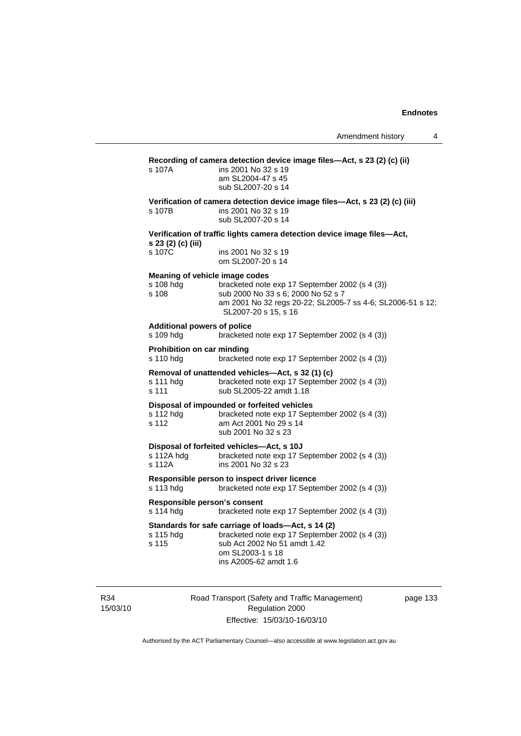| Recording of camera detection device image files-Act, s 23 (2) (c) (ii)<br>ins 2001 No 32 s 19<br>s 107A<br>am SL2004-47 s 45<br>sub SL2007-20 s 14                                                                                |  |  |
|------------------------------------------------------------------------------------------------------------------------------------------------------------------------------------------------------------------------------------|--|--|
| Verification of camera detection device image files-Act, s 23 (2) (c) (iii)<br>ins 2001 No 32 s 19<br>s 107B<br>sub SL2007-20 s 14                                                                                                 |  |  |
| Verification of traffic lights camera detection device image files—Act,                                                                                                                                                            |  |  |
| s 23 (2) (c) (iii)<br>s 107C<br>ins 2001 No 32 s 19<br>om SL2007-20 s 14                                                                                                                                                           |  |  |
| Meaning of vehicle image codes<br>bracketed note exp 17 September 2002 (s 4 (3))<br>s 108 hdg<br>s 108<br>sub 2000 No 33 s 6; 2000 No 52 s 7<br>am 2001 No 32 regs 20-22; SL2005-7 ss 4-6; SL2006-51 s 12;<br>SL2007-20 s 15, s 16 |  |  |
| <b>Additional powers of police</b><br>s 109 hdg<br>bracketed note exp 17 September 2002 (s 4 (3))                                                                                                                                  |  |  |
| Prohibition on car minding<br>s 110 hdg<br>bracketed note exp 17 September 2002 (s 4 (3))                                                                                                                                          |  |  |
| Removal of unattended vehicles—Act, s 32 (1) (c)<br>bracketed note exp 17 September 2002 (s 4 (3))<br>s 111 hdg<br>s 111<br>sub SL2005-22 amdt 1.18                                                                                |  |  |
| Disposal of impounded or forfeited vehicles<br>s 112 hdg<br>bracketed note exp 17 September 2002 (s 4 (3))<br>s 112<br>am Act 2001 No 29 s 14<br>sub 2001 No 32 s 23                                                               |  |  |
| Disposal of forfeited vehicles-Act, s 10J<br>bracketed note exp 17 September 2002 (s 4 (3))<br>s 112A hdg<br>s 112A<br>ins 2001 No 32 s 23                                                                                         |  |  |
| Responsible person to inspect driver licence<br>s 113 hdg<br>bracketed note exp 17 September 2002 (s 4 (3))                                                                                                                        |  |  |
| Responsible person's consent<br>s 114 hdg<br>bracketed note exp 17 September 2002 (s 4 (3))                                                                                                                                        |  |  |
| Standards for safe carriage of loads-Act, s 14 (2)<br>bracketed note exp 17 September 2002 (s 4 (3))<br>s 115 hdg<br>sub Act 2002 No 51 amdt 1.42<br>s 115<br>om SL2003-1 s 18<br>ins A2005-62 amdt 1.6                            |  |  |

R34 15/03/10 Road Transport (Safety and Traffic Management) Regulation 2000 Effective: 15/03/10-16/03/10

page 133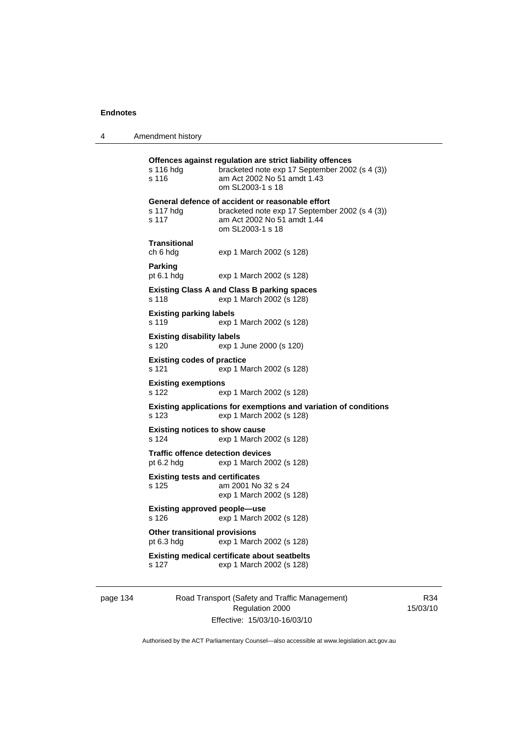4 Amendment history

**Offences against regulation are strict liability offences**  s 116 hdg bracketed note exp 17 September 2002 (s 4 (3)) s 116 am Act 2002 No 51 amdt 1.43 om SL2003-1 s 18 **General defence of accident or reasonable effort**  s 117 hdg bracketed note exp 17 September 2002 (s 4 (3)) s 117 am Act 2002 No 51 amdt 1.44 om SL2003-1 s 18 **Transitional**  ch 6 hdg exp 1 March 2002 (s 128) **Parking**  pt 6.1 hdg exp 1 March 2002 (s 128) **Existing Class A and Class B parking spaces**  s 118 exp 1 March 2002 (s 128) **Existing parking labels**  s 119 exp 1 March 2002 (s 128) **Existing disability labels**  s 120 exp 1 June 2000 (s 120) **Existing codes of practice**  s 121 exp 1 March 2002 (s 128) **Existing exemptions**  s 122 exp 1 March 2002 (s 128) **Existing applications for exemptions and variation of conditions**  s 123 exp 1 March 2002 (s 128) **Existing notices to show cause**  s 124 exp 1 March 2002 (s 128) **Traffic offence detection devices**  pt 6.2 hdg exp 1 March 2002 (s 128) **Existing tests and certificates**  s 125 am 2001 No 32 s 24 exp 1 March 2002 (s 128) **Existing approved people—use**  s 126 exp 1 March 2002 (s 128) **Other transitional provisions**  pt 6.3 hdg exp 1 March 2002 (s 128) **Existing medical certificate about seatbelts**  s 127 exp 1 March 2002 (s 128)

page 134 Road Transport (Safety and Traffic Management) Regulation 2000 Effective: 15/03/10-16/03/10

R34 15/03/10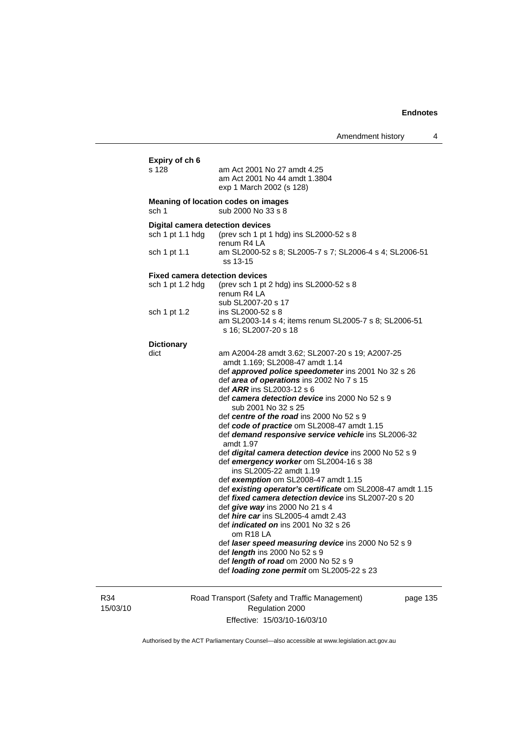| Expiry of ch 6<br>s 128               | am Act 2001 No 27 amdt 4.25<br>am Act 2001 No 44 amdt 1.3804<br>exp 1 March 2002 (s 128)                                      |
|---------------------------------------|-------------------------------------------------------------------------------------------------------------------------------|
| sch <sub>1</sub>                      | Meaning of location codes on images<br>sub 2000 No 33 s 8                                                                     |
| Digital camera detection devices      |                                                                                                                               |
| sch 1 pt 1.1 hdg                      | (prev sch 1 pt 1 hdg) ins SL2000-52 s 8                                                                                       |
| sch 1 pt 1.1                          | renum R4 LA<br>am SL2000-52 s 8; SL2005-7 s 7; SL2006-4 s 4; SL2006-51<br>ss 13-15                                            |
| <b>Fixed camera detection devices</b> |                                                                                                                               |
| sch 1 pt 1.2 hdg                      | (prev sch 1 pt 2 hdg) ins SL2000-52 s 8<br>renum R4 LA                                                                        |
| sch 1 pt 1.2                          | sub SL2007-20 s 17<br>ins SL2000-52 s 8                                                                                       |
|                                       | am SL2003-14 s 4; items renum SL2005-7 s 8; SL2006-51<br>s 16; SL2007-20 s 18                                                 |
| <b>Dictionary</b>                     |                                                                                                                               |
| dict                                  | am A2004-28 amdt 3.62; SL2007-20 s 19; A2007-25<br>amdt 1.169; SL2008-47 amdt 1.14                                            |
|                                       | def approved police speedometer ins 2001 No 32 s 26<br>def area of operations ins 2002 No 7 s 15<br>def ARR ins SL2003-12 s 6 |
|                                       | def camera detection device ins 2000 No 52 s 9<br>sub 2001 No 32 s 25                                                         |
|                                       | def centre of the road ins 2000 No 52 s 9                                                                                     |
|                                       | def code of practice om SL2008-47 amdt 1.15<br>def demand responsive service vehicle ins SL2006-32<br>amdt 1.97               |
|                                       | def digital camera detection device ins 2000 No 52 s 9                                                                        |
|                                       | def emergency worker om SL2004-16 s 38                                                                                        |
|                                       | ins SL2005-22 amdt 1.19<br>def exemption om SL2008-47 amdt 1.15                                                               |
|                                       | def existing operator's certificate om SL2008-47 amdt 1.15                                                                    |
|                                       | def fixed camera detection device ins SL2007-20 s 20                                                                          |
|                                       | def give way ins 2000 No 21 s 4                                                                                               |
|                                       | def <i>hire car</i> ins SL2005-4 amdt 2.43                                                                                    |
|                                       | def <i>indicated on</i> ins 2001 No 32 s 26<br>om R <sub>18</sub> LA                                                          |
|                                       | def laser speed measuring device ins 2000 No 52 s 9                                                                           |
|                                       | def <i>length</i> ins 2000 No 52 s 9                                                                                          |
|                                       | def length of road om 2000 No 52 s 9<br>def loading zone permit om SL2005-22 s 23                                             |

R34 15/03/10 Road Transport (Safety and Traffic Management) Regulation 2000 Effective: 15/03/10-16/03/10

page 135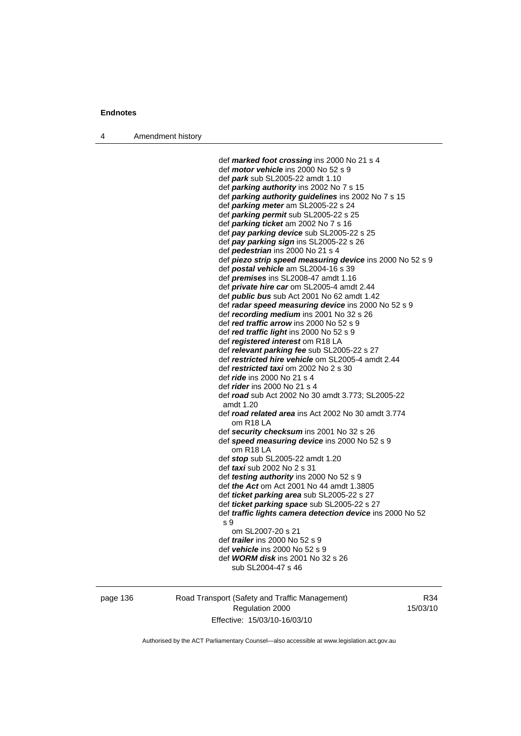4 Amendment history

 def *marked foot crossing* ins 2000 No 21 s 4 def *motor vehicle* ins 2000 No 52 s 9 def *park* sub SL2005-22 amdt 1.10 def *parking authority* ins 2002 No 7 s 15 def *parking authority guidelines* ins 2002 No 7 s 15 def *parking meter* am SL2005-22 s 24 def *parking permit* sub SL2005-22 s 25 def *parking ticket* am 2002 No 7 s 16 def *pay parking device* sub SL2005-22 s 25 def *pay parking sign* ins SL2005-22 s 26 def *pedestrian* ins 2000 No 21 s 4 def *piezo strip speed measuring device* ins 2000 No 52 s 9 def *postal vehicle* am SL2004-16 s 39 def *premises* ins SL2008-47 amdt 1.16 def *private hire car* om SL2005-4 amdt 2.44 def *public bus* sub Act 2001 No 62 amdt 1.42 def *radar speed measuring device* ins 2000 No 52 s 9 def *recording medium* ins 2001 No 32 s 26 def *red traffic arrow* ins 2000 No 52 s 9 def *red traffic light* ins 2000 No 52 s 9 def *registered interest* om R18 LA def *relevant parking fee* sub SL2005-22 s 27 def *restricted hire vehicle* om SL2005-4 amdt 2.44 def *restricted taxi* om 2002 No 2 s 30 def *ride* ins 2000 No 21 s 4 def *rider* ins 2000 No 21 s 4 def *road* sub Act 2002 No 30 amdt 3.773; SL2005-22 amdt 1.20 def *road related area* ins Act 2002 No 30 amdt 3.774 om R18 LA def *security checksum* ins 2001 No 32 s 26 def *speed measuring device* ins 2000 No 52 s 9 om R18 LA def *stop* sub SL2005-22 amdt 1.20 def *taxi* sub 2002 No 2 s 31 def *testing authority* ins 2000 No 52 s 9 def *the Act* om Act 2001 No 44 amdt 1.3805 def *ticket parking area* sub SL2005-22 s 27 def *ticket parking space* sub SL2005-22 s 27 def *traffic lights camera detection device* ins 2000 No 52 s 9 om SL2007-20 s 21 def *trailer* ins 2000 No 52 s 9 def *vehicle* ins 2000 No 52 s 9 def *WORM disk* ins 2001 No 32 s 26 sub SL2004-47 s 46

page 136 Road Transport (Safety and Traffic Management) Regulation 2000 Effective: 15/03/10-16/03/10

R34 15/03/10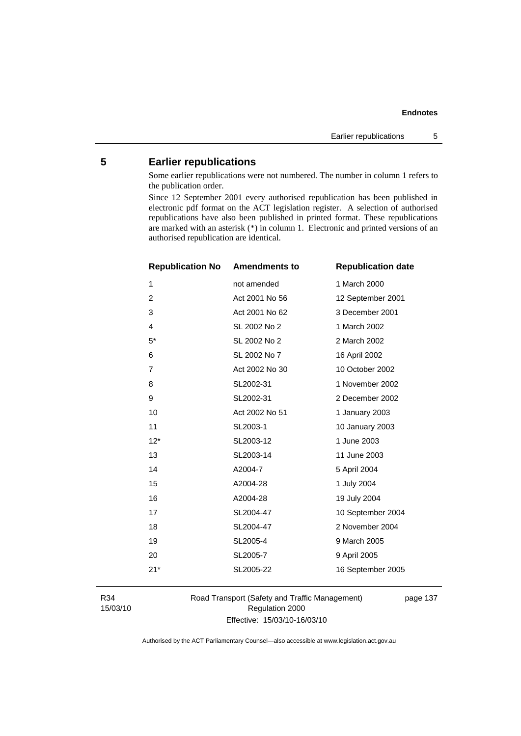# **5 Earlier republications**

Some earlier republications were not numbered. The number in column 1 refers to the publication order.

Since 12 September 2001 every authorised republication has been published in electronic pdf format on the ACT legislation register. A selection of authorised republications have also been published in printed format. These republications are marked with an asterisk (\*) in column 1. Electronic and printed versions of an authorised republication are identical.

| <b>Republication No</b> | <b>Amendments to</b> | <b>Republication date</b> |
|-------------------------|----------------------|---------------------------|
| 1                       | not amended          | 1 March 2000              |
| 2                       | Act 2001 No 56       | 12 September 2001         |
| 3                       | Act 2001 No 62       | 3 December 2001           |
| 4                       | SL 2002 No 2         | 1 March 2002              |
| $5^*$                   | SL 2002 No 2         | 2 March 2002              |
| 6                       | SL 2002 No 7         | 16 April 2002             |
| 7                       | Act 2002 No 30       | 10 October 2002           |
| 8                       | SL2002-31            | 1 November 2002           |
| 9                       | SL2002-31            | 2 December 2002           |
| 10                      | Act 2002 No 51       | 1 January 2003            |
| 11                      | SL2003-1             | 10 January 2003           |
| $12*$                   | SL2003-12            | 1 June 2003               |
| 13                      | SL2003-14            | 11 June 2003              |
| 14                      | A2004-7              | 5 April 2004              |
| 15                      | A2004-28             | 1 July 2004               |
| 16                      | A2004-28             | 19 July 2004              |
| 17                      | SL2004-47            | 10 September 2004         |
| 18                      | SL2004-47            | 2 November 2004           |
| 19                      | SL2005-4             | 9 March 2005              |
| 20                      | SL2005-7             | 9 April 2005              |
| $21*$                   | SL2005-22            | 16 September 2005         |
|                         |                      |                           |

R34 15/03/10 Road Transport (Safety and Traffic Management) Regulation 2000 Effective: 15/03/10-16/03/10

page 137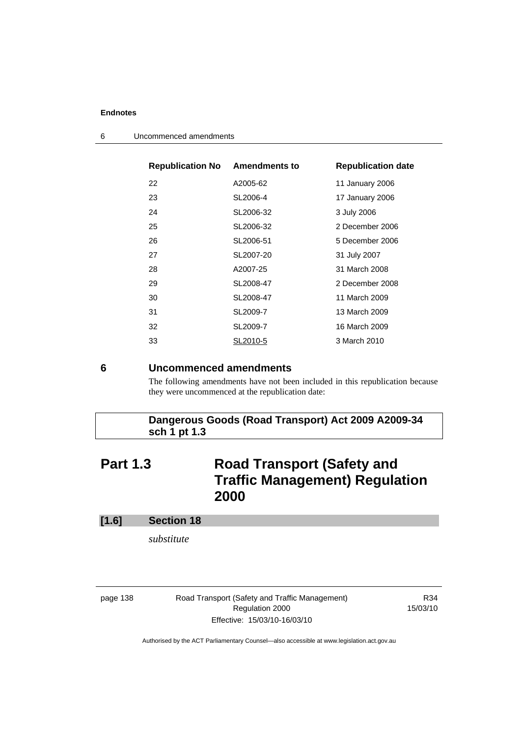| <b>Republication No Amendments to</b> |           | <b>Republication date</b> |
|---------------------------------------|-----------|---------------------------|
| 22                                    | A2005-62  | 11 January 2006           |
| 23                                    | SL2006-4  | 17 January 2006           |
| 24                                    | SL2006-32 | 3 July 2006               |
| 25                                    | SL2006-32 | 2 December 2006           |
| 26                                    | SL2006-51 | 5 December 2006           |
| 27                                    | SL2007-20 | 31 July 2007              |
| 28                                    | A2007-25  | 31 March 2008             |
| 29                                    | SL2008-47 | 2 December 2008           |
| 30                                    | SL2008-47 | 11 March 2009             |
| 31                                    | SL2009-7  | 13 March 2009             |
| 32                                    | SL2009-7  | 16 March 2009             |
| 33                                    | SL2010-5  | 3 March 2010              |
|                                       |           |                           |

6 Uncommenced amendments

### **6 Uncommenced amendments**

The following amendments have not been included in this republication because they were uncommenced at the republication date:

# **Dangerous Goods (Road Transport) Act 2009 A2009-34 sch 1 pt 1.3**

# **Part 1.3 Road Transport (Safety and Traffic Management) Regulation 2000**

### **[1.6] Section 18**

*substitute* 

page 138 Road Transport (Safety and Traffic Management) Regulation 2000 Effective: 15/03/10-16/03/10

R34 15/03/10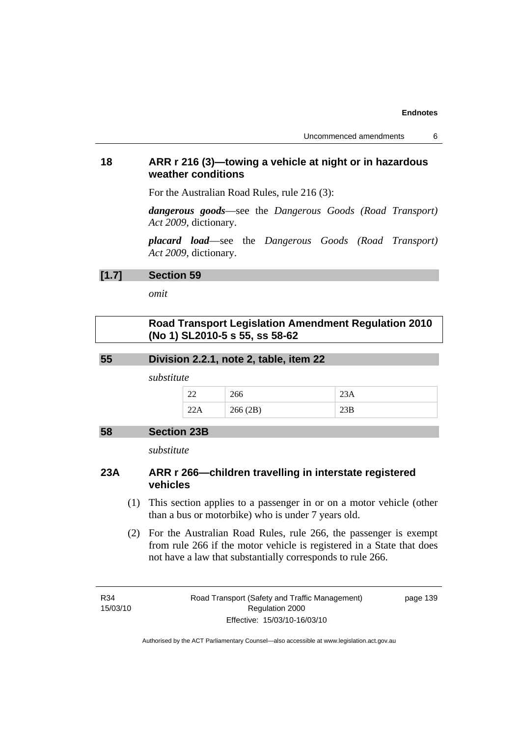# **18 ARR r 216 (3)—towing a vehicle at night or in hazardous weather conditions**

For the Australian Road Rules, rule 216 (3):

*dangerous goods*—see the *Dangerous Goods (Road Transport) Act 2009*, dictionary.

*placard load*—see the *Dangerous Goods (Road Transport) Act 2009*, dictionary.

### **[1.7] Section 59**

*omit* 

# **Road Transport Legislation Amendment Regulation 2010 (No 1) SL2010-5 s 55, ss 58-62**

#### **55 Division 2.2.1, note 2, table, item 22**

*substitute* 

| ΩO<br>44<br>-- | ∠∪∪                               | ZJA         |
|----------------|-----------------------------------|-------------|
| ---            | 266(2R)<br>$\angle 00 (\angle D)$ | $\angle$ JD |

#### **58 Section 23B**

*substitute* 

# **23A ARR r 266—children travelling in interstate registered vehicles**

- (1) This section applies to a passenger in or on a motor vehicle (other than a bus or motorbike) who is under 7 years old.
- (2) For the Australian Road Rules, rule 266, the passenger is exempt from rule 266 if the motor vehicle is registered in a State that does not have a law that substantially corresponds to rule 266.

R34 15/03/10 page 139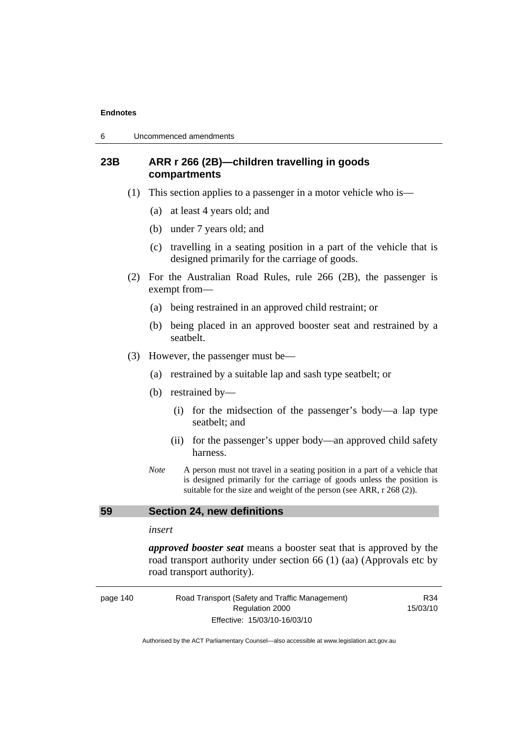# **23B ARR r 266 (2B)—children travelling in goods compartments**

- (1) This section applies to a passenger in a motor vehicle who is—
	- (a) at least 4 years old; and
	- (b) under 7 years old; and
	- (c) travelling in a seating position in a part of the vehicle that is designed primarily for the carriage of goods.
- (2) For the Australian Road Rules, rule 266 (2B), the passenger is exempt from—
	- (a) being restrained in an approved child restraint; or
	- (b) being placed in an approved booster seat and restrained by a seatbelt.
- (3) However, the passenger must be—
	- (a) restrained by a suitable lap and sash type seatbelt; or
	- (b) restrained by—
		- (i) for the midsection of the passenger's body—a lap type seatbelt; and
		- (ii) for the passenger's upper body—an approved child safety harness.
	- *Note* A person must not travel in a seating position in a part of a vehicle that is designed primarily for the carriage of goods unless the position is suitable for the size and weight of the person (see ARR, r 268 (2)).

## **59 Section 24, new definitions**

#### *insert*

*approved booster seat* means a booster seat that is approved by the road transport authority under section 66 (1) (aa) (Approvals etc by road transport authority).

| page 140 | Road Transport (Safety and Traffic Management) | R34      |
|----------|------------------------------------------------|----------|
|          | Regulation 2000                                | 15/03/10 |
|          | Effective: 15/03/10-16/03/10                   |          |